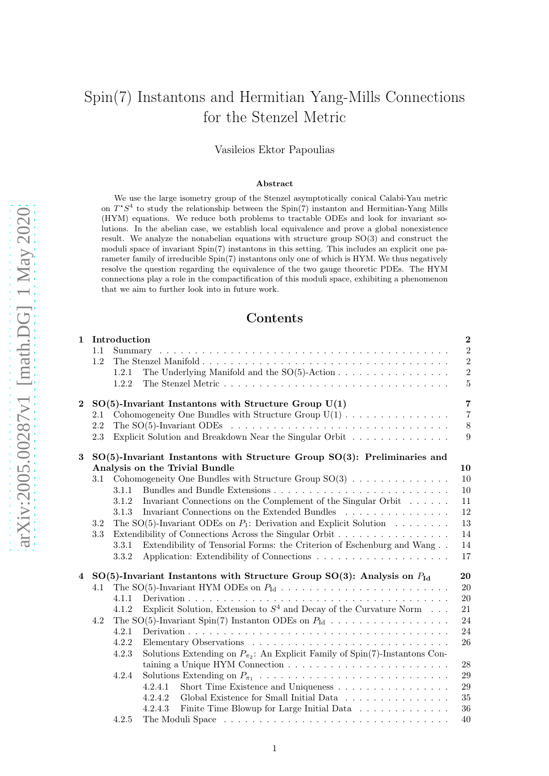# Spin(7) Instantons and Hermitian Yang-Mills Connections for the Stenzel Metric

Vasileios Ektor Papoulias

#### Abstract

We use the large isometry group of the Stenzel asymptotically conical Calabi-Yau metric on  $T^*S^4$  to study the relationship between the Spin(7) instanton and Hermitian-Yang Mills (HYM) equations. We reduce both problems to tractable ODEs and look for invariant solutions. In the abelian case, we establish local equivalence and prove a global nonexistence result. We analyze the nonabelian equations with structure group SO(3) and construct the moduli space of invariant Spin(7) instantons in this setting. This includes an explicit one parameter family of irreducible Spin(7) instantons only one of which is HYM. We thus negatively resolve the question regarding the equivalence of the two gauge theoretic PDEs. The HYM connections play a role in the compactification of this moduli space, exhibiting a phenomenon that we aim to further look into in future work.

## Contents

|                         | 1 Introduction                                                                                 |                |                                                                                           | $\bf{2}$         |
|-------------------------|------------------------------------------------------------------------------------------------|----------------|-------------------------------------------------------------------------------------------|------------------|
|                         | 1.1                                                                                            | Summary        |                                                                                           | $\,2$            |
|                         | 1.2                                                                                            |                |                                                                                           | $\overline{2}$   |
|                         |                                                                                                | 1.2.1          |                                                                                           | $\overline{2}$   |
|                         |                                                                                                | 1.2.2          |                                                                                           | $\overline{5}$   |
| $\bf{2}$                | $SO(5)$ -Invariant Instantons with Structure Group $U(1)$                                      |                |                                                                                           | $\overline{7}$   |
|                         | 2.1                                                                                            |                | Cohomogeneity One Bundles with Structure Group $U(1)$                                     | $\overline{7}$   |
|                         | 2.2                                                                                            |                |                                                                                           | $8\,$            |
|                         | 2.3                                                                                            |                | Explicit Solution and Breakdown Near the Singular Orbit                                   | $\boldsymbol{9}$ |
| 3                       | $SO(5)$ -Invariant Instantons with Structure Group $SO(3)$ : Preliminaries and                 |                |                                                                                           |                  |
|                         |                                                                                                |                | Analysis on the Trivial Bundle                                                            | 10               |
|                         | 3.1                                                                                            |                | Cohomogeneity One Bundles with Structure Group $SO(3)$                                    | 10               |
|                         |                                                                                                | 3.1.1          |                                                                                           | 10               |
|                         |                                                                                                | 3.1.2          | Invariant Connections on the Complement of the Singular Orbit                             | 11               |
|                         |                                                                                                | 3.1.3          | Invariant Connections on the Extended Bundles                                             | 12               |
|                         | 3.2                                                                                            |                | The SO(5)-Invariant ODEs on $P_1$ : Derivation and Explicit Solution                      | 13               |
|                         | 3.3                                                                                            |                | Extendibility of Connections Across the Singular Orbit                                    | 14               |
|                         |                                                                                                | 3.3.1<br>3.3.2 | Extendibility of Tensorial Forms: the Criterion of Eschenburg and Wang                    | 14<br>17         |
| $\overline{\mathbf{4}}$ | $SO(5)$ -Invariant Instantons with Structure Group $SO(3)$ : Analysis on $P_{\text{Id}}$<br>20 |                |                                                                                           |                  |
|                         | 4.1                                                                                            |                |                                                                                           | 20               |
|                         |                                                                                                | 4.1.1          |                                                                                           | $20\,$           |
|                         |                                                                                                | 4.1.2          | Explicit Solution, Extension to $S^4$ and Decay of the Curvature Norm                     | 21               |
|                         | 4.2                                                                                            |                | The SO(5)-Invariant Spin(7) Instanton ODEs on $P_{\text{Id}}$                             | 24               |
|                         |                                                                                                | 4.2.1          |                                                                                           | 24               |
|                         |                                                                                                | 4.2.2          |                                                                                           | 26               |
|                         |                                                                                                | 4.2.3          | Solutions Extending on $P_{\pi_2}$ : An Explicit Family of Spin(7)-Instantons Con-        |                  |
|                         |                                                                                                |                | taining a Unique HYM Connection $\ldots \ldots \ldots \ldots \ldots \ldots \ldots \ldots$ | 28               |
|                         |                                                                                                | 4.2.4          |                                                                                           | 29               |
|                         |                                                                                                |                | 4.2.4.1<br>Short Time Existence and Uniqueness                                            | 29               |
|                         |                                                                                                |                | 4.2.4.2<br>Global Existence for Small Initial Data                                        | 35               |
|                         |                                                                                                |                | Finite Time Blowup for Large Initial Data<br>4.2.4.3                                      | 36               |
|                         |                                                                                                | $\sim$ $\sim$  |                                                                                           | $\sqrt{2}$       |

4.2.5 The Moduli Space . . . . . . . . . . . . . . . . . . . . . . . . . . . . . . . . [40](#page-39-0)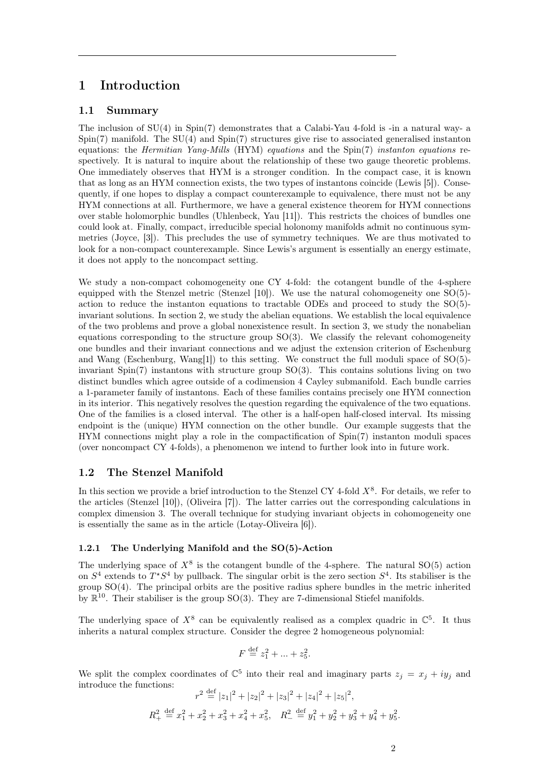## <span id="page-1-0"></span>1 Introduction

## <span id="page-1-1"></span>1.1 Summary

The inclusion of  $SU(4)$  in  $Spin(7)$  demonstrates that a Calabi-Yau 4-fold is -in a natural way- a Spin(7) manifold. The SU(4) and Spin(7) structures give rise to associated generalised instanton equations: the *Hermitian Yang-Mills* (HYM) equations and the Spin(7) instanton equations respectively. It is natural to inquire about the relationship of these two gauge theoretic problems. One immediately observes that HYM is a stronger condition. In the compact case, it is known that as long as an HYM connection exists, the two types of instantons coincide (Lewis [\[5\]](#page-41-0)). Consequently, if one hopes to display a compact counterexample to equivalence, there must not be any HYM connections at all. Furthermore, we have a general existence theorem for HYM connections over stable holomorphic bundles (Uhlenbeck, Yau [\[11\]](#page-41-1)). This restricts the choices of bundles one could look at. Finally, compact, irreducible special holonomy manifolds admit no continuous symmetries (Joyce, [\[3\]](#page-41-2)). This precludes the use of symmetry techniques. We are thus motivated to look for a non-compact counterexample. Since Lewis's argument is essentially an energy estimate, it does not apply to the noncompact setting.

We study a non-compact cohomogeneity one CY 4-fold: the cotangent bundle of the 4-sphere equipped with the Stenzel metric (Stenzel [\[10\]](#page-41-3)). We use the natural cohomogeneity one  $SO(5)$ action to reduce the instanton equations to tractable ODEs and proceed to study the SO(5) invariant solutions. In section 2, we study the abelian equations. We establish the local equivalence of the two problems and prove a global nonexistence result. In section 3, we study the nonabelian equations corresponding to the structure group  $SO(3)$ . We classify the relevant cohomogeneity one bundles and their invariant connections and we adjust the extension criterion of Eschenburg and Wang (Eschenburg, Wang[\[1\]](#page-41-4)) to this setting. We construct the full moduli space of SO(5) invariant Spin(7) instantons with structure group  $SO(3)$ . This contains solutions living on two distinct bundles which agree outside of a codimension 4 Cayley submanifold. Each bundle carries a 1-parameter family of instantons. Each of these families contains precisely one HYM connection in its interior. This negatively resolves the question regarding the equivalence of the two equations. One of the families is a closed interval. The other is a half-open half-closed interval. Its missing endpoint is the (unique) HYM connection on the other bundle. Our example suggests that the HYM connections might play a role in the compactification of Spin(7) instanton moduli spaces (over noncompact CY 4-folds), a phenomenon we intend to further look into in future work.

## <span id="page-1-2"></span>1.2 The Stenzel Manifold

In this section we provide a brief introduction to the Stenzel CY 4-fold  $X^8$ . For details, we refer to the articles (Stenzel [\[10\]](#page-41-3)), (Oliveira [\[7\]](#page-41-5)). The latter carries out the corresponding calculations in complex dimension 3. The overall technique for studying invariant objects in cohomogeneity one is essentially the same as in the article (Lotay-Oliveira [\[6\]](#page-41-6)).

#### <span id="page-1-3"></span>1.2.1 The Underlying Manifold and the SO(5)-Action

The underlying space of  $X^8$  is the cotangent bundle of the 4-sphere. The natural SO(5) action on  $S^4$  extends to  $T^*S^4$  by pullback. The singular orbit is the zero section  $S^4$ . Its stabiliser is the group  $SO(4)$ . The principal orbits are the positive radius sphere bundles in the metric inherited by  $\mathbb{R}^{10}$ . Their stabiliser is the group SO(3). They are 7-dimensional Stiefel manifolds.

The underlying space of  $X^8$  can be equivalently realised as a complex quadric in  $\mathbb{C}^5$ . It thus inherits a natural complex structure. Consider the degree 2 homogeneous polynomial:

$$
F \stackrel{\text{def}}{=} z_1^2 + \dots + z_5^2.
$$

We split the complex coordinates of  $\mathbb{C}^5$  into their real and imaginary parts  $z_j = x_j + iy_j$  and introduce the functions:

$$
r^2 \stackrel{\text{def}}{=} |z_1|^2 + |z_2|^2 + |z_3|^2 + |z_4|^2 + |z_5|^2,
$$
  

$$
R_+^2 \stackrel{\text{def}}{=} x_1^2 + x_2^2 + x_3^2 + x_4^2 + x_5^2, \quad R_-^2 \stackrel{\text{def}}{=} y_1^2 + y_2^2 + y_3^2 + y_4^2 + y_5^2.
$$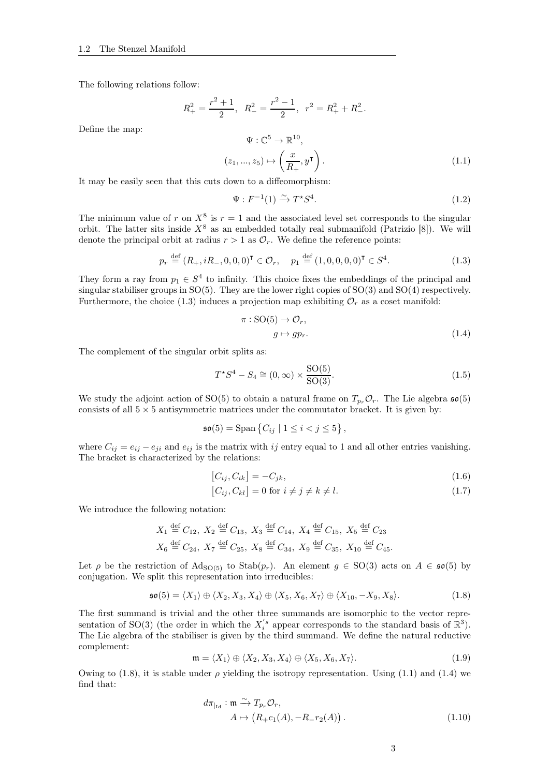The following relations follow:

$$
R_+^2 = \frac{r^2 + 1}{2}
$$
,  $R_-^2 = \frac{r^2 - 1}{2}$ ,  $r^2 = R_+^2 + R_-^2$ .

Define the map:

<span id="page-2-2"></span>
$$
\Psi: \mathbb{C}^5 \to \mathbb{R}^{10},
$$
  

$$
(z_1, ..., z_5) \mapsto \left(\frac{x}{R_+}, y^{\mathsf{T}}\right).
$$
 (1.1)

It may be easily seen that this cuts down to a diffeomorphism:

$$
\Psi: F^{-1}(1) \xrightarrow{\sim} T^*S^4. \tag{1.2}
$$

The minimum value of r on  $X^8$  is  $r = 1$  and the associated level set corresponds to the singular orbit. The latter sits inside  $X^8$  as an embedded totally real submanifold (Patrizio [\[8\]](#page-41-7)). We will denote the principal orbit at radius  $r > 1$  as  $\mathcal{O}_r$ . We define the reference points:

<span id="page-2-0"></span>
$$
p_r \stackrel{\text{def}}{=} (R_+, iR_-, 0, 0, 0)^\mathsf{T} \in \mathcal{O}_r, \quad p_1 \stackrel{\text{def}}{=} (1, 0, 0, 0, 0)^\mathsf{T} \in S^4.
$$
 (1.3)

They form a ray from  $p_1 \in S^4$  to infinity. This choice fixes the embeddings of the principal and singular stabiliser groups in SO(5). They are the lower right copies of SO(3) and SO(4) respectively. Furthermore, the choice [\(1.3\)](#page-2-0) induces a projection map exhibiting  $\mathcal{O}_r$  as a coset manifold:

<span id="page-2-3"></span>
$$
\pi: SO(5) \to \mathcal{O}_r,
$$
  
\n
$$
g \mapsto gp_r.
$$
\n(1.4)

The complement of the singular orbit splits as:

<span id="page-2-5"></span>
$$
T^*S^4 - S_4 \cong (0, \infty) \times \frac{\text{SO}(5)}{\text{SO}(3)}.\tag{1.5}
$$

We study the adjoint action of SO(5) to obtain a natural frame on  $T_{p_r}\mathcal{O}_r$ . The Lie algebra  $\mathfrak{so}(5)$ consists of all  $5 \times 5$  antisymmetric matrices under the commutator bracket. It is given by:

$$
\mathfrak{so}(5) = \mathrm{Span}\left\{C_{ij} \mid 1 \leq i < j \leq 5\right\},\
$$

where  $C_{ij} = e_{ij} - e_{ji}$  and  $e_{ij}$  is the matrix with ij entry equal to 1 and all other entries vanishing. The bracket is characterized by the relations:

<span id="page-2-7"></span>
$$
[C_{ij}, C_{ik}] = -C_{jk},\tag{1.6}
$$

<span id="page-2-8"></span>
$$
[C_{ij}, C_{kl}] = 0 \text{ for } i \neq j \neq k \neq l. \tag{1.7}
$$

We introduce the following notation:

$$
X_1 \stackrel{\text{def}}{=} C_{12}, X_2 \stackrel{\text{def}}{=} C_{13}, X_3 \stackrel{\text{def}}{=} C_{14}, X_4 \stackrel{\text{def}}{=} C_{15}, X_5 \stackrel{\text{def}}{=} C_{23}
$$
  
 $X_6 \stackrel{\text{def}}{=} C_{24}, X_7 \stackrel{\text{def}}{=} C_{25}, X_8 \stackrel{\text{def}}{=} C_{34}, X_9 \stackrel{\text{def}}{=} C_{35}, X_{10} \stackrel{\text{def}}{=} C_{45}.$ 

Let  $\rho$  be the restriction of  $\text{Ad}_{\text{SO}(5)}$  to  $\text{Stab}(p_r)$ . An element  $g \in \text{SO}(3)$  acts on  $A \in \mathfrak{so}(5)$  by conjugation. We split this representation into irreducibles:

<span id="page-2-1"></span>
$$
\mathfrak{so}(5) = \langle X_1 \rangle \oplus \langle X_2, X_3, X_4 \rangle \oplus \langle X_5, X_6, X_7 \rangle \oplus \langle X_{10}, -X_9, X_8 \rangle. \tag{1.8}
$$

The first summand is trivial and the other three summands are isomorphic to the vector representation of SO(3) (the order in which the  $X_i^{'s}$  appear corresponds to the standard basis of  $\mathbb{R}^3$ ). The Lie algebra of the stabiliser is given by the third summand. We define the natural reductive complement:

<span id="page-2-6"></span>
$$
\mathfrak{m} = \langle X_1 \rangle \oplus \langle X_2, X_3, X_4 \rangle \oplus \langle X_5, X_6, X_7 \rangle. \tag{1.9}
$$

Owing to [\(1.8\)](#page-2-1), it is stable under  $\rho$  yielding the isotropy representation. Using [\(1.1\)](#page-2-2) and [\(1.4\)](#page-2-3) we find that:

<span id="page-2-4"></span>
$$
d\pi_{|_{\text{Id}}} : \mathfrak{m} \xrightarrow{\sim} T_{p_r} \mathcal{O}_r,
$$
  
\n
$$
A \mapsto (R_+ c_1(A), -R_- r_2(A)).
$$
\n(1.10)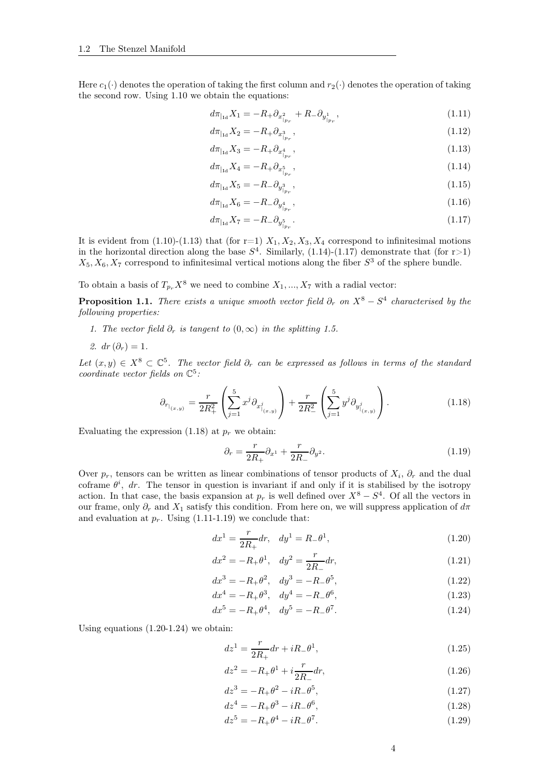Here  $c_1(\cdot)$  denotes the operation of taking the first column and  $r_2(\cdot)$  denotes the operation of taking the second row. Using [1.10](#page-2-4) we obtain the equations:

<span id="page-3-4"></span>
$$
d\pi_{|_{\text{Id}}} X_1 = -R_+ \partial_{x^2_{|_{p_r}}} + R_- \partial_{y^1_{|_{p_r}}},\tag{1.11}
$$

<span id="page-3-0"></span>
$$
d\pi_{|_{\text{Id}}} X_2 = -R_+ \partial_{x^3_{|_{p_r}}} \,,\tag{1.12}
$$

$$
d\pi_{|_{\text{Id}}} X_3 = -R_+ \partial_{x^4_{|p_r}}\,,\tag{1.13}
$$

<span id="page-3-1"></span>
$$
d\pi_{|_{\text{Id}}} X_4 = -R_+ \partial_{x^5_{|_{pr}}},\tag{1.14}
$$

$$
d\pi_{|_{\text{Id}}} X_5 = -R_-\partial_{y^3_{|_{pr}}},\tag{1.15}
$$

$$
d\pi_{\vert \mathrm{Id}} X_6 = -R_- \partial_{y^4_{\vert p_r}} \,, \tag{1.16}
$$

<span id="page-3-2"></span>
$$
d\pi_{|_{\text{Id}}} X_7 = -R_-\partial_{y^5_{|_{p_r}}}.
$$
\n(1.17)

It is evident from [\(1.10\)](#page-2-4)-[\(1.13\)](#page-3-0) that (for r=1)  $X_1, X_2, X_3, X_4$  correspond to infinitesimal motions in the horizontal direction along the base  $S<sup>4</sup>$ . Similarly, [\(1.14\)](#page-3-1)-[\(1.17\)](#page-3-2) demonstrate that (for r>1)  $X_5, X_6, X_7$  correspond to infinitesimal vertical motions along the fiber  $S^3$  of the sphere bundle.

To obtain a basis of  $T_{p_r}X^8$  we need to combine  $X_1, ..., X_7$  with a radial vector:

**Proposition 1.1.** There exists a unique smooth vector field  $\partial_r$  on  $X^8 - S^4$  characterised by the following properties:

- 1. The vector field  $\partial_r$  is tangent to  $(0,\infty)$  in the splitting [1.5.](#page-2-5)
- 2.  $dr(\partial_r)=1$ .

Let  $(x, y) \in X^8 \subset \mathbb{C}^5$ . The vector field  $\partial_r$  can be expressed as follows in terms of the standard coordinate vector fields on  $\mathbb{C}^5$ :

<span id="page-3-3"></span>
$$
\partial_{r_{|_{(x,y)}}} = \frac{r}{2R_+^2} \left( \sum_{j=1}^5 x^j \partial_{x_{|_{(x,y)}}^j} \right) + \frac{r}{2R_-^2} \left( \sum_{j=1}^5 y^j \partial_{y_{|_{(x,y)}}^j} \right).
$$
 (1.18)

Evaluating the expression  $(1.18)$  at  $p<sub>r</sub>$  we obtain:

<span id="page-3-5"></span>
$$
\partial_r = \frac{r}{2R_+} \partial_{x^1} + \frac{r}{2R_-} \partial_{y^2}.
$$
\n(1.19)

Over  $p_r$ , tensors can be written as linear combinations of tensor products of  $X_i$ ,  $\partial_r$  and the dual coframe  $\theta^i$ , dr. The tensor in question is invariant if and only if it is stabilised by the isotropy action. In that case, the basis expansion at  $p_r$  is well defined over  $X^8 - S^4$ . Of all the vectors in our frame, only  $\partial_r$  and  $X_1$  satisfy this condition. From here on, we will suppress application of  $d\pi$ and evaluation at  $p_r$ . Using [\(1.11-](#page-3-4)[1.19\)](#page-3-5) we conclude that:

<span id="page-3-6"></span>
$$
dx^{1} = \frac{r}{2R_{+}}dr, \quad dy^{1} = R_{-}\theta^{1}, \tag{1.20}
$$

$$
dx^{2} = -R_{+}\theta^{1}, dy^{2} = \frac{r}{2R_{-}}dr,
$$
\n(1.21)

$$
dx^{3} = -R_{+}\theta^{2}, dy^{3} = -R_{-}\theta^{5},
$$
\n(1.22)\n
$$
A = R_{-}\theta^{3}, A = R_{-}\theta^{6}
$$
\n(1.23)

$$
dx^{4} = -R_{+}\theta^{3}, dy^{4} = -R_{-}\theta^{6}, \qquad (1.23)
$$

$$
dx^{5} = -R_{+}\theta^{4}, dy^{5} = -R_{-}\theta^{7}.
$$
 (1.24)

Using equations [\(1.20-](#page-3-6)[1.24\)](#page-3-7) we obtain:

<span id="page-3-7"></span>
$$
dz^{1} = \frac{r}{2R_{+}}dr + iR_{-}\theta^{1},
$$
\n(1.25)

$$
dz^2 = -R_+\theta^1 + i\frac{r}{2R_-}dr,\t\t(1.26)
$$

$$
dz^3 = -R_+\theta^2 - iR_-\theta^5,\tag{1.27}
$$

$$
dz^4 = -R_+\theta^3 - iR_-\theta^6,\tag{1.28}
$$

$$
dz^5 = -R_+\theta^4 - iR_-\theta^7. \tag{1.29}
$$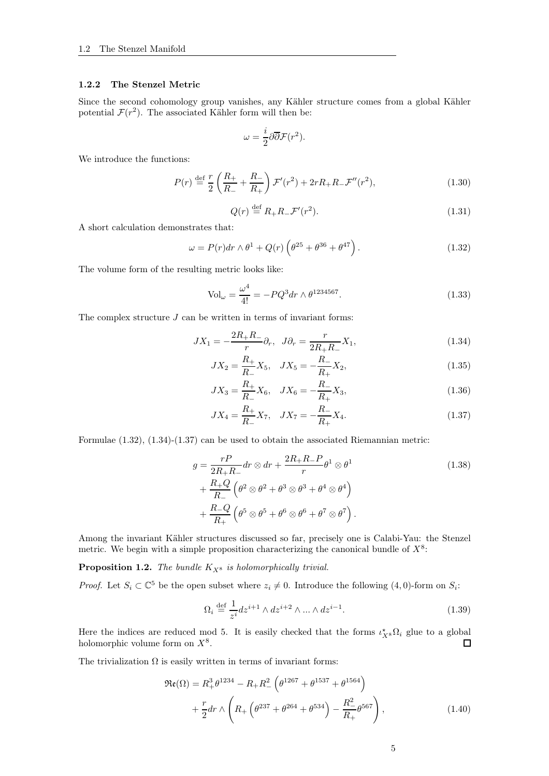#### <span id="page-4-0"></span>1.2.2 The Stenzel Metric

Since the second cohomology group vanishes, any Kähler structure comes from a global Kähler potential  $\mathcal{F}(r^2)$ . The associated Kähler form will then be:

$$
\omega = \frac{i}{2} \partial \overline{\partial} \mathcal{F}(r^2).
$$

We introduce the functions:

$$
P(r) \stackrel{\text{def}}{=} \frac{r}{2} \left( \frac{R_+}{R_-} + \frac{R_-}{R_+} \right) \mathcal{F}'(r^2) + 2rR_+R_- \mathcal{F}''(r^2), \tag{1.30}
$$

$$
Q(r) \stackrel{\text{def}}{=} R_+ R_- \mathcal{F}'(r^2). \tag{1.31}
$$

A short calculation demonstrates that:

<span id="page-4-1"></span>
$$
\omega = P(r)dr \wedge \theta^1 + Q(r)\left(\theta^{25} + \theta^{36} + \theta^{47}\right). \tag{1.32}
$$

The volume form of the resulting metric looks like:

<span id="page-4-4"></span>
$$
\text{Vol}_{\omega} = \frac{\omega^4}{4!} = -PQ^3 dr \wedge \theta^{1234567}.
$$
 (1.33)

The complex structure  $J$  can be written in terms of invariant forms:

$$
JX_1 = -\frac{2R_+R_-}{r}\partial_r, \ \ J\partial_r = \frac{r}{2R_+R_-}X_1,\tag{1.34}
$$

<span id="page-4-2"></span>
$$
JX_2 = \frac{R_+}{R_-} X_5, \quad JX_5 = -\frac{R_-}{R_+} X_2,\tag{1.35}
$$

$$
JX_3 = \frac{R_+}{R_-} X_6, \quad JX_6 = -\frac{R_-}{R_+} X_3,\tag{1.36}
$$

<span id="page-4-5"></span><span id="page-4-3"></span>
$$
JX_4 = \frac{R_+}{R_-} X_7, \quad JX_7 = -\frac{R_-}{R_+} X_4.
$$
\n(1.37)

Formulae [\(1.32\)](#page-4-1), [\(1.34\)](#page-4-2)-[\(1.37\)](#page-4-3) can be used to obtain the associated Riemannian metric:

$$
g = \frac{rP}{2R_{+}R_{-}}dr \otimes dr + \frac{2R_{+}R_{-}P}{r}\theta^{1} \otimes \theta^{1}
$$
  
+ 
$$
\frac{R_{+}Q}{R_{-}}\left(\theta^{2} \otimes \theta^{2} + \theta^{3} \otimes \theta^{3} + \theta^{4} \otimes \theta^{4}\right)
$$
  
+ 
$$
\frac{R_{-}Q}{R_{+}}\left(\theta^{5} \otimes \theta^{5} + \theta^{6} \otimes \theta^{6} + \theta^{7} \otimes \theta^{7}\right).
$$
 (1.38)

Among the invariant Kähler structures discussed so far, precisely one is Calabi-Yau: the Stenzel metric. We begin with a simple proposition characterizing the canonical bundle of  $X^8$ :

**Proposition 1.2.** The bundle  $K_{X^8}$  is holomorphically trivial.

*Proof.* Let  $S_i \subset \mathbb{C}^5$  be the open subset where  $z_i \neq 0$ . Introduce the following  $(4, 0)$ -form on  $S_i$ :

<span id="page-4-6"></span>
$$
\Omega_i \stackrel{\text{def}}{=} \frac{1}{z^i} dz^{i+1} \wedge dz^{i+2} \wedge \dots \wedge dz^{i-1}.
$$
\n(1.39)

Here the indices are reduced mod 5. It is easily checked that the forms  $\iota_{X^8}^{\star}\Omega_i$  glue to a global holomorphic volume form on  $X^8$ .

The trivialization  $\Omega$  is easily written in terms of invariant forms:

$$
\mathfrak{Re}(\Omega) = R_+^3 \theta^{1234} - R_+ R_-^2 \left( \theta^{1267} + \theta^{1537} + \theta^{1564} \right) \n+ \frac{r}{2} dr \wedge \left( R_+ \left( \theta^{237} + \theta^{264} + \theta^{534} \right) - \frac{R_-^2}{R_+} \theta^{567} \right),
$$
\n(1.40)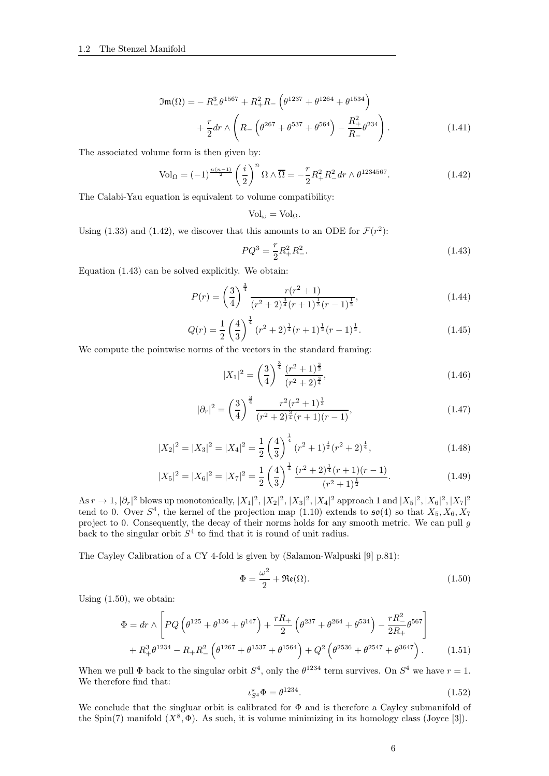$$
\mathfrak{Im}(\Omega) = -R_{-}^{3} \theta^{1567} + R_{+}^{2} R_{-} \left( \theta^{1237} + \theta^{1264} + \theta^{1534} \right) \n+ \frac{r}{2} dr \wedge \left( R_{-} \left( \theta^{267} + \theta^{537} + \theta^{564} \right) - \frac{R_{+}^{2}}{R_{-}} \theta^{234} \right).
$$
\n(1.41)

The associated volume form is then given by:

<span id="page-5-0"></span>
$$
\text{Vol}_{\Omega} = (-1)^{\frac{n(n-1)}{2}} \left(\frac{i}{2}\right)^n \Omega \wedge \overline{\Omega} = -\frac{r}{2} R_+^2 R_-^2 dr \wedge \theta^{1234567}.
$$
 (1.42)

The Calabi-Yau equation is equivalent to volume compatibility:

<span id="page-5-4"></span>
$$
Vol_{\omega} = Vol_{\Omega}.
$$

Using [\(1.33\)](#page-4-4) and [\(1.42\)](#page-5-0), we discover that this amounts to an ODE for  $\mathcal{F}(r^2)$ :

<span id="page-5-1"></span>
$$
PQ^3 = \frac{r}{2}R_+^2R_-^2.
$$
\n(1.43)

Equation [\(1.43\)](#page-5-1) can be solved explicitly. We obtain:

<span id="page-5-5"></span>
$$
P(r) = \left(\frac{3}{4}\right)^{\frac{3}{4}} \frac{r(r^2+1)}{(r^2+2)^{\frac{3}{4}}(r+1)^{\frac{1}{2}}(r-1)^{\frac{1}{2}}},\tag{1.44}
$$

<span id="page-5-6"></span>
$$
Q(r) = \frac{1}{2} \left(\frac{4}{3}\right)^{\frac{1}{4}} (r^2 + 2)^{\frac{1}{4}} (r+1)^{\frac{1}{2}} (r-1)^{\frac{1}{2}}.
$$
 (1.45)

We compute the pointwise norms of the vectors in the standard framing:

<span id="page-5-9"></span><span id="page-5-7"></span>
$$
|X_1|^2 = \left(\frac{3}{4}\right)^{\frac{3}{4}} \frac{(r^2+1)^{\frac{3}{2}}}{(r^2+2)^{\frac{3}{4}}},\tag{1.46}
$$

<span id="page-5-8"></span>
$$
|\partial_r|^2 = \left(\frac{3}{4}\right)^{\frac{3}{4}} \frac{r^2(r^2+1)^{\frac{1}{2}}}{(r^2+2)^{\frac{3}{4}}(r+1)(r-1)},\tag{1.47}
$$

$$
|X_2|^2 = |X_3|^2 = |X_4|^2 = \frac{1}{2} \left(\frac{4}{3}\right)^{\frac{1}{4}} (r^2 + 1)^{\frac{1}{2}} (r^2 + 2)^{\frac{1}{4}},\tag{1.48}
$$

$$
|X_5|^2 = |X_6|^2 = |X_7|^2 = \frac{1}{2} \left(\frac{4}{3}\right)^{\frac{1}{4}} \frac{(r^2 + 2)^{\frac{1}{4}}(r+1)(r-1)}{(r^2 + 1)^{\frac{1}{2}}}.
$$
\n(1.49)

As  $r \to 1$ ,  $|\partial_r|^2$  blows up monotonically,  $|X_1|^2$ ,  $|X_2|^2$ ,  $|X_3|^2$ ,  $|X_4|^2$  approach 1 and  $|X_5|^2$ ,  $|X_6|^2$ ,  $|X_7|^2$ tend to 0. Over  $S^4$ , the kernel of the projection map [\(1.10\)](#page-2-4) extends to  $\mathfrak{so}(4)$  so that  $X_5, X_6, X_7$ project to 0. Consequently, the decay of their norms holds for any smooth metric. We can pull g back to the singular orbit  $S<sup>4</sup>$  to find that it is round of unit radius.

The Cayley Calibration of a CY 4-fold is given by (Salamon-Walpuski [\[9\]](#page-41-8) p.81):

<span id="page-5-10"></span><span id="page-5-2"></span>
$$
\Phi = \frac{\omega^2}{2} + \Re(\Omega). \tag{1.50}
$$

Using [\(1.50\)](#page-5-2), we obtain:

$$
\Phi = dr \wedge \left[ PQ \left( \theta^{125} + \theta^{136} + \theta^{147} \right) + \frac{rR_+}{2} \left( \theta^{237} + \theta^{264} + \theta^{534} \right) - \frac{rR_-^2}{2R_+} \theta^{567} \right] + R_+^3 \theta^{1234} - R_+ R_-^2 \left( \theta^{1267} + \theta^{1537} + \theta^{1564} \right) + Q^2 \left( \theta^{2536} + \theta^{2547} + \theta^{3647} \right). \tag{1.51}
$$

When we pull  $\Phi$  back to the singular orbit  $S^4$ , only the  $\theta^{1234}$  term survives. On  $S^4$  we have  $r = 1$ . We therefore find that:

<span id="page-5-3"></span>
$$
\iota_{S^4}^* \Phi = \theta^{1234}.
$$
\n(1.52)

We conclude that the singluar orbit is calibrated for  $\Phi$  and is therefore a Cayley submanifold of the Spin(7) manifold  $(X^8, \Phi)$ . As such, it is volume minimizing in its homology class (Joyce [\[3\]](#page-41-2)).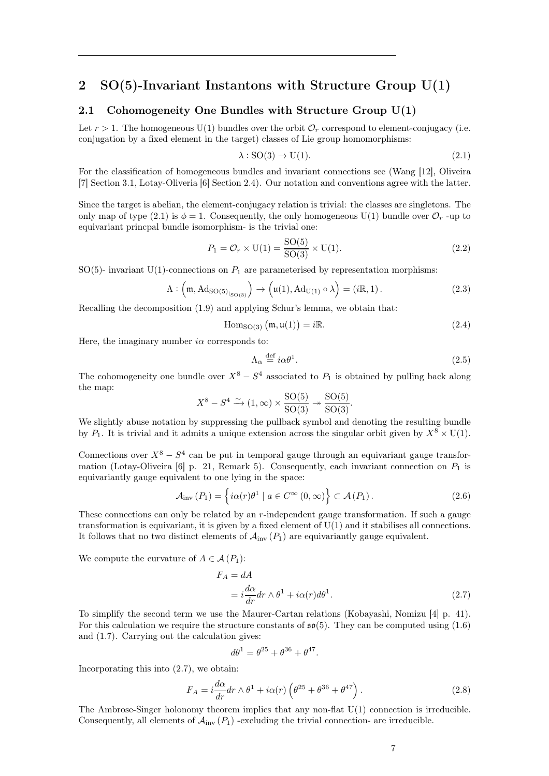## <span id="page-6-0"></span>2 SO(5)-Invariant Instantons with Structure Group U(1)

## <span id="page-6-1"></span>2.1 Cohomogeneity One Bundles with Structure Group U(1)

Let  $r > 1$ . The homogeneous U(1) bundles over the orbit  $\mathcal{O}_r$  correspond to element-conjugacy (i.e. conjugation by a fixed element in the target) classes of Lie group homomorphisms:

<span id="page-6-2"></span>
$$
\lambda: SO(3) \to U(1). \tag{2.1}
$$

For the classification of homogeneous bundles and invariant connections see (Wang [\[12\]](#page-41-9), Oliveira [\[7\]](#page-41-5) Section 3.1, Lotay-Oliveria [\[6\]](#page-41-6) Section 2.4). Our notation and conventions agree with the latter.

Since the target is abelian, the element-conjugacy relation is trivial: the classes are singletons. The only map of type [\(2.1\)](#page-6-2) is  $\phi = 1$ . Consequently, the only homogeneous U(1) bundle over  $\mathcal{O}_r$ -up to equivariant princpal bundle isomorphism- is the trivial one:

$$
P_1 = \mathcal{O}_r \times \mathrm{U}(1) = \frac{\mathrm{SO}(5)}{\mathrm{SO}(3)} \times \mathrm{U}(1). \tag{2.2}
$$

 $SO(5)$ - invariant U(1)-connections on  $P_1$  are parameterised by representation morphisms:

$$
\Lambda: \left(\mathfrak{m}, \mathrm{Ad}_{\mathrm{SO}(5)_{|_{\mathrm{SO}(3)}}}\right) \to \left(\mathfrak{u}(1), \mathrm{Ad}_{\mathrm{U}(1)} \circ \lambda\right) = \left(i\mathbb{R}, 1\right). \tag{2.3}
$$

Recalling the decomposition [\(1.9\)](#page-2-6) and applying Schur's lemma, we obtain that:

$$
\text{Hom}_{\text{SO}(3)}\left(\mathfrak{m},\mathfrak{u}(1)\right) = i\mathbb{R}.\tag{2.4}
$$

Here, the imaginary number  $i\alpha$  corresponds to:

$$
\Lambda_{\alpha} \stackrel{\text{def}}{=} i\alpha \theta^1. \tag{2.5}
$$

The cohomogeneity one bundle over  $X^8 - S^4$  associated to  $P_1$  is obtained by pulling back along the map:

$$
X^8 - S^4 \xrightarrow{\sim} (1, \infty) \times \frac{\text{SO}(5)}{\text{SO}(3)} \twoheadrightarrow \frac{\text{SO}(5)}{\text{SO}(3)}.
$$

We slightly abuse notation by suppressing the pullback symbol and denoting the resulting bundle by  $P_1$ . It is trivial and it admits a unique extension across the singular orbit given by  $X^8 \times U(1)$ .

Connections over  $X^8 - S^4$  can be put in temporal gauge through an equivariant gauge transfor-mation (Lotay-Oliveira [\[6\]](#page-41-6) p. 21, Remark 5). Consequently, each invariant connection on  $P_1$  is equivariantly gauge equivalent to one lying in the space:

<span id="page-6-5"></span>
$$
\mathcal{A}_{\text{inv}}(P_1) = \left\{ i\alpha(r)\theta^1 \mid a \in C^{\infty}(0,\infty) \right\} \subset \mathcal{A}(P_1).
$$
 (2.6)

These connections can only be related by an r-independent gauge transformation. If such a gauge transformation is equivariant, it is given by a fixed element of U(1) and it stabilises all connections. It follows that no two distinct elements of  $\mathcal{A}_{\text{inv}}(P_1)$  are equivariantly gauge equivalent.

We compute the curvature of  $A \in \mathcal{A}(P_1)$ :

$$
F_A = dA
$$
  
=  $i \frac{d\alpha}{dr} dr \wedge \theta^1 + i\alpha(r) d\theta^1.$  (2.7)

To simplify the second term we use the Maurer-Cartan relations (Kobayashi, Nomizu [\[4\]](#page-41-10) p. 41). For this calculation we require the structure constants of  $\mathfrak{so}(5)$ . They can be computed using  $(1.6)$ and [\(1.7\)](#page-2-8). Carrying out the calculation gives:

<span id="page-6-3"></span>
$$
d\theta^1 = \theta^{25} + \theta^{36} + \theta^{47}.
$$

Incorporating this into [\(2.7\)](#page-6-3), we obtain:

<span id="page-6-4"></span>
$$
F_A = i\frac{d\alpha}{dr}dr \wedge \theta^1 + i\alpha(r)\left(\theta^{25} + \theta^{36} + \theta^{47}\right). \tag{2.8}
$$

The Ambrose-Singer holonomy theorem implies that any non-flat U(1) connection is irreducible. Consequently, all elements of  $\mathcal{A}_{\text{inv}}(P_1)$  -excluding the trivial connection- are irreducible.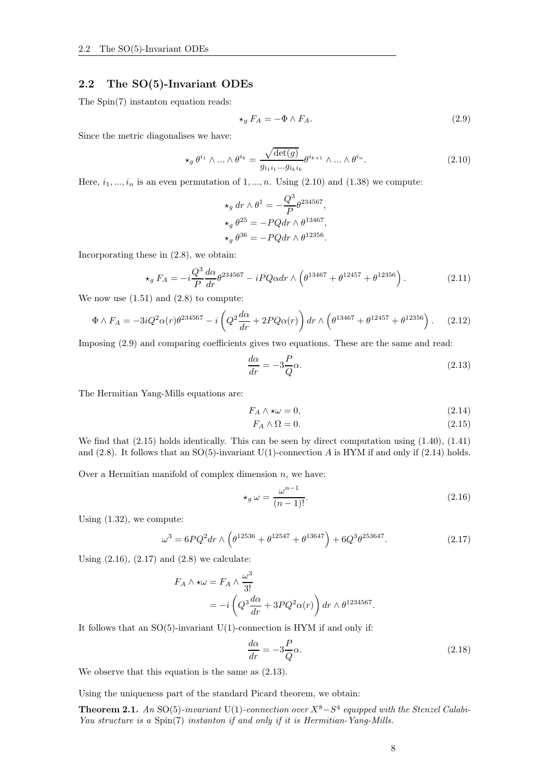## <span id="page-7-0"></span>2.2 The SO(5)-Invariant ODEs

The Spin(7) instanton equation reads:

<span id="page-7-2"></span>
$$
\star_g F_A = -\Phi \wedge F_A. \tag{2.9}
$$

Since the metric diagonalises we have:

<span id="page-7-1"></span>
$$
\star_g \theta^{i_1} \wedge \ldots \wedge \theta^{i_k} = \frac{\sqrt{\det(g)}}{g_{i_1 i_1 \cdots g_{i_k i_k}}} \theta^{i_{k+1}} \wedge \ldots \wedge \theta^{i_n}.
$$
 (2.10)

Here,  $i_1, ..., i_n$  is an even permutation of 1, ..., n. Using [\(2.10\)](#page-7-1) and [\(1.38\)](#page-4-5) we compute:

$$
\star_g dr \wedge \theta^1 = -\frac{Q^3}{P} \theta^{234567},
$$
  
\n
$$
\star_g \theta^{25} = -PQ dr \wedge \theta^{13467},
$$
  
\n
$$
\star_g \theta^{36} = -PQ dr \wedge \theta^{12356}.
$$

Incorporating these in [\(2.8\)](#page-6-4), we obtain:

$$
\star_g F_A = -i \frac{Q^3}{P} \frac{d\alpha}{dr} \theta^{234567} - iPQ\alpha dr \wedge \left(\theta^{13467} + \theta^{12457} + \theta^{12356}\right). \tag{2.11}
$$

We now use  $(1.51)$  and  $(2.8)$  to compute:

$$
\Phi \wedge F_A = -3iQ^2\alpha(r)\theta^{234567} - i\left(Q^2\frac{d\alpha}{dr} + 2PQ\alpha(r)\right)dr \wedge \left(\theta^{13467} + \theta^{12457} + \theta^{12356}\right). \tag{2.12}
$$

Imposing [\(2.9\)](#page-7-2) and comparing coefficients gives two equations. These are the same and read:

<span id="page-7-7"></span>
$$
\frac{d\alpha}{dr} = -3\frac{P}{Q}\alpha.\tag{2.13}
$$

The Hermitian Yang-Mills equations are:

$$
F_A \wedge \star \omega = 0,\tag{2.14}
$$

<span id="page-7-4"></span><span id="page-7-3"></span>
$$
F_A \wedge \Omega = 0. \tag{2.15}
$$

We find that [\(2.15\)](#page-7-3) holds identically. This can be seen by direct computation using [\(1.40\)](#page-4-6), [\(1.41\)](#page-5-4) and  $(2.8)$ . It follows that an SO(5)-invariant U(1)-connection A is HYM if and only if  $(2.14)$  holds.

Over a Hermitian manifold of complex dimension  $n$ , we have:

<span id="page-7-5"></span>
$$
\star_g \omega = \frac{\omega^{n-1}}{(n-1)!}.\tag{2.16}
$$

Using [\(1.32\)](#page-4-1), we compute:

<span id="page-7-6"></span>
$$
\omega^3 = 6PQ^2 dr \wedge \left(\theta^{12536} + \theta^{12547} + \theta^{13647}\right) + 6Q^3 \theta^{253647}.
$$
 (2.17)

Using  $(2.16)$ ,  $(2.17)$  and  $(2.8)$  we calculate:

$$
F_A \wedge \star \omega = F_A \wedge \frac{\omega^3}{3!}
$$
  
=  $-i \left( Q^3 \frac{d\alpha}{dr} + 3PQ^2 \alpha(r) \right) dr \wedge \theta^{1234567}.$ 

It follows that an  $SO(5)$ -invariant U(1)-connection is HYM if and only if:

<span id="page-7-8"></span>
$$
\frac{d\alpha}{dr} = -3\frac{P}{Q}\alpha.\tag{2.18}
$$

We observe that this equation is the same as [\(2.13\)](#page-7-7).

Using the uniqueness part of the standard Picard theorem, we obtain:

**Theorem 2.1.** An SO(5)-invariant U(1)-connection over  $X^8 - S^4$  equipped with the Stenzel Calabi-Yau structure is a  $Spin(7)$  instanton if and only if it is Hermitian-Yang-Mills.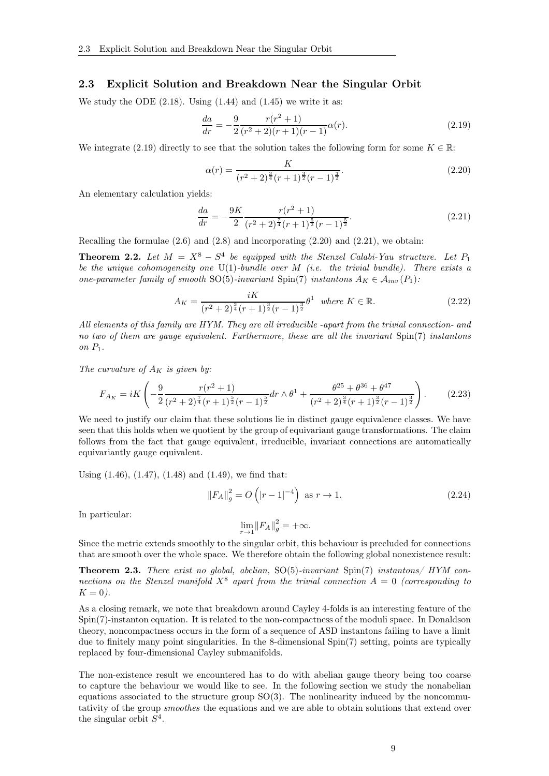## <span id="page-8-0"></span>2.3 Explicit Solution and Breakdown Near the Singular Orbit

We study the ODE  $(2.18)$ . Using  $(1.44)$  and  $(1.45)$  we write it as:

<span id="page-8-1"></span>
$$
\frac{da}{dr} = -\frac{9}{2} \frac{r(r^2+1)}{(r^2+2)(r+1)(r-1)} \alpha(r). \tag{2.19}
$$

We integrate [\(2.19\)](#page-8-1) directly to see that the solution takes the following form for some  $K \in \mathbb{R}$ :

<span id="page-8-2"></span>
$$
\alpha(r) = \frac{K}{(r^2 + 2)^{\frac{3}{4}}(r+1)^{\frac{3}{2}}(r-1)^{\frac{3}{2}}}.
$$
\n(2.20)

An elementary calculation yields:

<span id="page-8-3"></span>
$$
\frac{da}{dr} = -\frac{9K}{2} \frac{r(r^2+1)}{(r^2+2)^{\frac{7}{4}}(r+1)^{\frac{5}{2}}(r-1)^{\frac{5}{2}}}.
$$
\n(2.21)

Recalling the formulae  $(2.6)$  and  $(2.8)$  and incorporating  $(2.20)$  and  $(2.21)$ , we obtain:

<span id="page-8-4"></span>**Theorem 2.2.** Let  $M = X^8 - S^4$  be equipped with the Stenzel Calabi-Yau structure. Let  $P_1$ be the unique cohomogeneity one  $U(1)$ -bundle over M (i.e. the trivial bundle). There exists a one-parameter family of smooth SO(5)-invariant Spin(7) instantons  $A_K \in A_{inv}(P_1)$ :

$$
A_K = \frac{iK}{(r^2 + 2)^{\frac{3}{4}}(r+1)^{\frac{3}{2}}(r-1)^{\frac{3}{2}}} \theta^1 \text{ where } K \in \mathbb{R}.
$$
 (2.22)

All elements of this family are HYM. They are all irreducible -apart from the trivial connection- and no two of them are gauge equivalent. Furthermore, these are all the invariant Spin(7) instantons on  $P_1$ .

The curvature of  $A_K$  is given by:

$$
F_{A_K} = iK\left(-\frac{9}{2}\frac{r(r^2+1)}{(r^2+2)^{\frac{7}{4}}(r+1)^{\frac{5}{2}}(r-1)^{\frac{5}{2}}}dr\wedge\theta^1 + \frac{\theta^{25}+\theta^{36}+\theta^{47}}{(r^2+2)^{\frac{3}{4}}(r+1)^{\frac{3}{2}}(r-1)^{\frac{3}{2}}}\right).
$$
 (2.23)

We need to justify our claim that these solutions lie in distinct gauge equivalence classes. We have seen that this holds when we quotient by the group of equivariant gauge transformations. The claim follows from the fact that gauge equivalent, irreducible, invariant connections are automatically equivariantly gauge equivalent.

Using [\(1.46\)](#page-5-7), [\(1.47\)](#page-5-8), [\(1.48\)](#page-5-9) and [\(1.49\)](#page-5-10), we find that:

$$
||F_A||_g^2 = O\left(|r-1|^{-4}\right) \text{ as } r \to 1.
$$
 (2.24)

In particular:

$$
\lim_{r \to 1} ||F_A||_g^2 = +\infty.
$$

Since the metric extends smoothly to the singular orbit, this behaviour is precluded for connections that are smooth over the whole space. We therefore obtain the following global nonexistence result:

**Theorem 2.3.** There exist no global, abelian,  $SO(5)$ -invariant  $Spin(7)$  instantons/ HYM connections on the Stenzel manifold  $X^8$  apart from the trivial connection  $A = 0$  (corresponding to  $K = 0$ ).

As a closing remark, we note that breakdown around Cayley 4-folds is an interesting feature of the Spin(7)-instanton equation. It is related to the non-compactness of the moduli space. In Donaldson theory, noncompactness occurs in the form of a sequence of ASD instantons failing to have a limit due to finitely many point singularities. In the 8-dimensional Spin(7) setting, points are typically replaced by four-dimensional Cayley submanifolds.

The non-existence result we encountered has to do with abelian gauge theory being too coarse to capture the behaviour we would like to see. In the following section we study the nonabelian equations associated to the structure group  $SO(3)$ . The nonlinearity induced by the noncommutativity of the group smoothes the equations and we are able to obtain solutions that extend over the singular orbit  $S^4$ .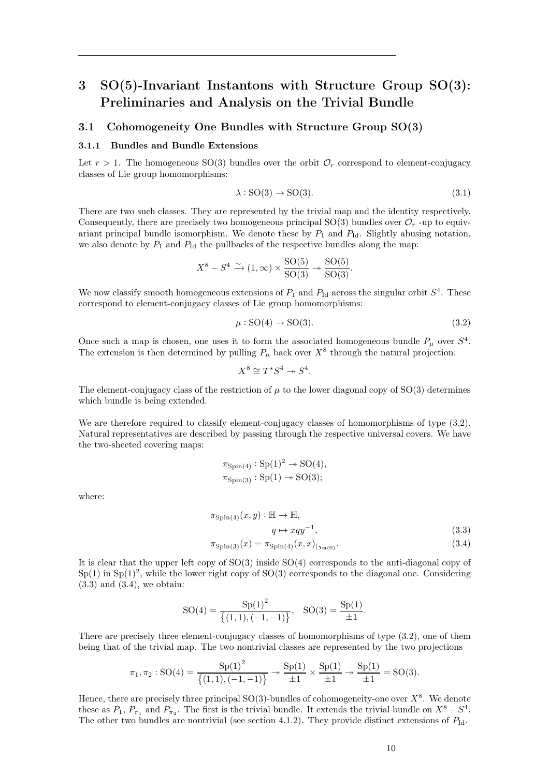# <span id="page-9-0"></span>3 SO(5)-Invariant Instantons with Structure Group SO(3): Preliminaries and Analysis on the Trivial Bundle

## <span id="page-9-2"></span><span id="page-9-1"></span>3.1 Cohomogeneity One Bundles with Structure Group SO(3)

### 3.1.1 Bundles and Bundle Extensions

Let  $r > 1$ . The homogeneous SO(3) bundles over the orbit  $\mathcal{O}_r$  correspond to element-conjugacy classes of Lie group homomorphisms:

$$
\lambda: SO(3) \to SO(3). \tag{3.1}
$$

There are two such classes. They are represented by the trivial map and the identity respectively. Consequently, there are precisely two homogeneous principal  $SO(3)$  bundles over  $\mathcal{O}_r$ -up to equivariant principal bundle isomorphism. We denote these by  $P_1$  and  $P_{Id}$ . Slightly abusing notation, we also denote by  $P_1$  and  $P_{\text{Id}}$  the pullbacks of the respective bundles along the map:

$$
X^8 - S^4 \xrightarrow{\sim} (1, \infty) \times \frac{\text{SO}(5)}{\text{SO}(3)} \twoheadrightarrow \frac{\text{SO}(5)}{\text{SO}(3)}.
$$

We now classify smooth homogeneous extensions of  $P_1$  and  $P_{Id}$  across the singular orbit  $S^4$ . These correspond to element-conjugacy classes of Lie group homomorphisms:

<span id="page-9-3"></span>
$$
\mu: \text{SO}(4) \to \text{SO}(3). \tag{3.2}
$$

Once such a map is chosen, one uses it to form the associated homogeneous bundle  $P_\mu$  over  $S^4$ . The extension is then determined by pulling  $P_\mu$  back over  $X^8$  through the natural projection:

$$
X^8 \cong T^*S^4 \twoheadrightarrow S^4.
$$

The element-conjugacy class of the restriction of  $\mu$  to the lower diagonal copy of SO(3) determines which bundle is being extended.

We are therefore required to classify element-conjugacy classes of homomorphisms of type  $(3.2)$ . Natural representatives are described by passing through the respective universal covers. We have the two-sheeted covering maps:

<span id="page-9-4"></span>
$$
\pi_{\text{Spin}(4)} : \text{Sp}(1)^2 \twoheadrightarrow \text{SO}(4),
$$
  

$$
\pi_{\text{Spin}(3)} : \text{Sp}(1) \twoheadrightarrow \text{SO}(3);
$$

where:

$$
\pi_{\text{Spin}(4)}(x,y) : \mathbb{H} \to \mathbb{H},
$$
  
\n
$$
q \mapsto xqy^{-1},
$$
\n(3.3)

<span id="page-9-5"></span>
$$
\pi_{\text{Spin}(3)}(x) = \pi_{\text{Spin}(4)}(x, x)_{|_{\mathfrak{Im}(\mathbb{H})}}.\tag{3.4}
$$

It is clear that the upper left copy of SO(3) inside SO(4) corresponds to the anti-diagonal copy of  $Sp(1)$  in  $Sp(1)<sup>2</sup>$ , while the lower right copy of  $SO(3)$  corresponds to the diagonal one. Considering  $(3.3)$  and  $(3.4)$ , we obtain:

$$
SO(4) = \frac{Sp(1)^{2}}{\{(1,1), (-1,-1)\}}, \quad SO(3) = \frac{Sp(1)}{\pm 1}.
$$

There are precisely three element-conjugacy classes of homomorphisms of type [\(3.2\)](#page-9-3), one of them being that of the trivial map. The two nontrivial classes are represented by the two projections

$$
\pi_1, \pi_2: \text{SO}(4) = \frac{\text{Sp}(1)^2}{\{(1,1), (-1,-1)\}} \twoheadrightarrow \frac{\text{Sp}(1)}{\pm 1} \times \frac{\text{Sp}(1)}{\pm 1} \twoheadrightarrow \frac{\text{Sp}(1)}{\pm 1} = \text{SO}(3).
$$

Hence, there are precisely three principal  $SO(3)$ -bundles of cohomogeneity-one over  $X^8$ . We denote these as  $P_1$ ,  $P_{\pi_1}$  and  $P_{\pi_2}$ . The first is the trivial bundle. It extends the trivial bundle on  $X^8 - S^4$ . The other two bundles are nontrivial (see section [4.1.2\)](#page-20-0). They provide distinct extensions of  $P_{\rm Id}$ .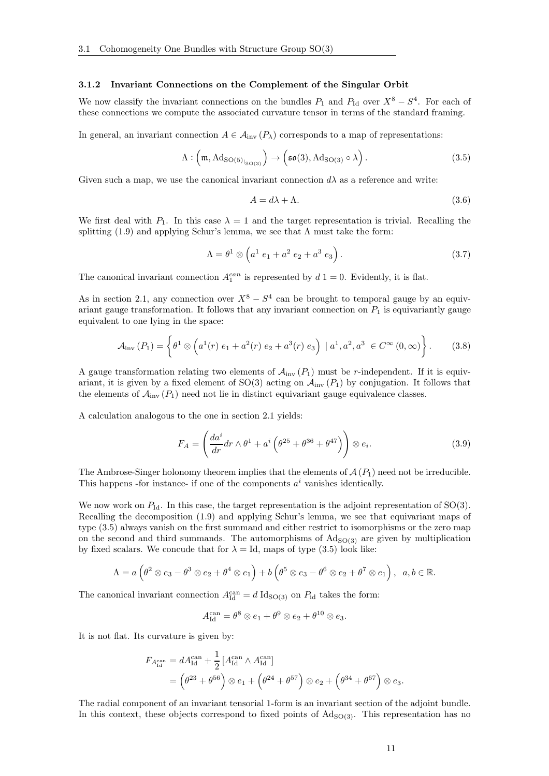#### <span id="page-10-0"></span>3.1.2 Invariant Connections on the Complement of the Singular Orbit

We now classify the invariant connections on the bundles  $P_1$  and  $P_{\text{Id}}$  over  $X^8 - S^4$ . For each of these connections we compute the associated curvature tensor in terms of the standard framing.

In general, an invariant connection  $A \in \mathcal{A}_{\text{inv}}(P_\lambda)$  corresponds to a map of representations:

<span id="page-10-1"></span>
$$
\Lambda: (\mathfrak{m}, \mathrm{Ad}_{\mathrm{SO}(5)_{\vert_{\mathrm{SO}(3)}}}) \to (\mathfrak{so}(3), \mathrm{Ad}_{\mathrm{SO}(3)} \circ \lambda).
$$
 (3.5)

Given such a map, we use the canonical invariant connection  $d\lambda$  as a reference and write:

$$
A = d\lambda + \Lambda. \tag{3.6}
$$

We first deal with  $P_1$ . In this case  $\lambda = 1$  and the target representation is trivial. Recalling the splitting [\(1.9\)](#page-2-6) and applying Schur's lemma, we see that  $\Lambda$  must take the form:

$$
\Lambda = \theta^1 \otimes \left( a^1 \ e_1 + a^2 \ e_2 + a^3 \ e_3 \right). \tag{3.7}
$$

The canonical invariant connection  $A_1^{can}$  is represented by  $d\ 1=0$ . Evidently, it is flat.

As in section [2.1,](#page-6-1) any connection over  $X^8 - S^4$  can be brought to temporal gauge by an equivariant gauge transformation. It follows that any invariant connection on  $P_1$  is equivariantly gauge equivalent to one lying in the space:

<span id="page-10-2"></span>
$$
\mathcal{A}_{\text{inv}}(P_1) = \left\{ \theta^1 \otimes \left( a^1(r) \ e_1 + a^2(r) \ e_2 + a^3(r) \ e_3 \right) \ | \ a^1, a^2, a^3 \ \in C^\infty(0, \infty) \right\}. \tag{3.8}
$$

A gauge transformation relating two elements of  $\mathcal{A}_{\text{inv}}(P_1)$  must be r-independent. If it is equivariant, it is given by a fixed element of  $SO(3)$  acting on  $\mathcal{A}_{inv}(P_1)$  by conjugation. It follows that the elements of  $\mathcal{A}_{\text{inv}}(P_1)$  need not lie in distinct equivariant gauge equivalence classes.

A calculation analogous to the one in section 2.1 yields:

<span id="page-10-3"></span>
$$
F_A = \left(\frac{da^i}{dr}dr \wedge \theta^1 + a^i\left(\theta^{25} + \theta^{36} + \theta^{47}\right)\right) \otimes e_i.
$$
 (3.9)

The Ambrose-Singer holonomy theorem implies that the elements of  $\mathcal{A}(P_1)$  need not be irreducible. This happens -for instance- if one of the components  $a^i$  vanishes identically.

We now work on  $P_{Id}$ . In this case, the target representation is the adjoint representation of  $SO(3)$ . Recalling the decomposition [\(1.9\)](#page-2-6) and applying Schur's lemma, we see that equivariant maps of type [\(3.5\)](#page-10-1) always vanish on the first summand and either restrict to isomorphisms or the zero map on the second and third summands. The automorphisms of  $Ad<sub>SO(3)</sub>$  are given by multiplication by fixed scalars. We concude that for  $\lambda = Id$ , maps of type [\(3.5\)](#page-10-1) look like:

$$
\Lambda = a \left( \theta^2 \otimes e_3 - \theta^3 \otimes e_2 + \theta^4 \otimes e_1 \right) + b \left( \theta^5 \otimes e_3 - \theta^6 \otimes e_2 + \theta^7 \otimes e_1 \right), \ \ a, b \in \mathbb{R}.
$$

The canonical invariant connection  $A_{\text{Id}}^{\text{can}} = d \text{ Id}_{\text{SO}(3)}$  on  $P_{\text{id}}$  takes the form:

$$
A_{\text{Id}}^{\text{can}} = \theta^8 \otimes e_1 + \theta^9 \otimes e_2 + \theta^{10} \otimes e_3.
$$

It is not flat. Its curvature is given by:

$$
F_{A_{\text{Id}}^{\text{can}}} = dA_{\text{Id}}^{\text{can}} + \frac{1}{2} [A_{\text{Id}}^{\text{can}} \wedge A_{\text{Id}}^{\text{can}}] = (\theta^{23} + \theta^{56}) \otimes e_1 + (\theta^{24} + \theta^{57}) \otimes e_2 + (\theta^{34} + \theta^{67}) \otimes e_3.
$$

The radial component of an invariant tensorial 1-form is an invariant section of the adjoint bundle. In this context, these objects correspond to fixed points of  $Ad<sub>SO(3)</sub>$ . This representation has no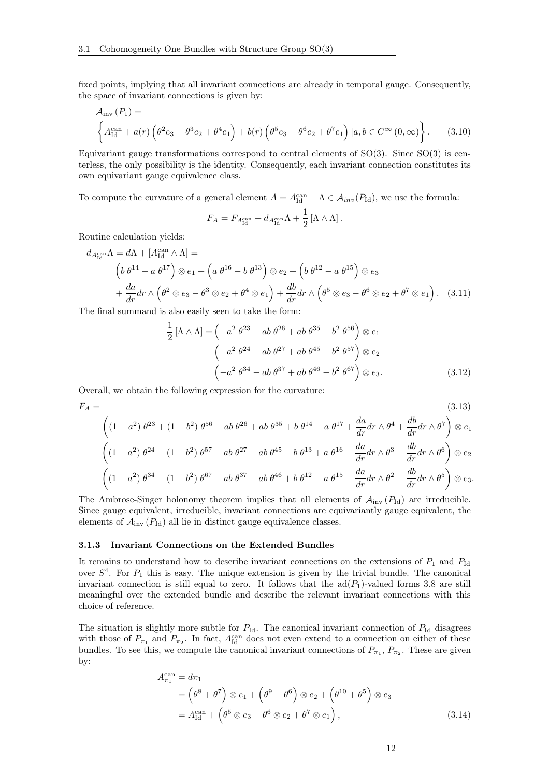fixed points, implying that all invariant connections are already in temporal gauge. Consequently, the space of invariant connections is given by:

$$
\mathcal{A}_{\text{inv}}(P_1) = \left\{ A_{\text{Id}}^{\text{can}} + a(r) \left( \theta^2 e_3 - \theta^3 e_2 + \theta^4 e_1 \right) + b(r) \left( \theta^5 e_3 - \theta^6 e_2 + \theta^7 e_1 \right) | a, b \in C^{\infty}(0, \infty) \right\}.
$$
 (3.10)

Equivariant gauge transformations correspond to central elements of  $SO(3)$ . Since  $SO(3)$  is centerless, the only possibility is the identity. Consequently, each invariant connection constitutes its own equivariant gauge equivalence class.

To compute the curvature of a general element  $A = A_{\text{Id}}^{\text{can}} + \Lambda \in \mathcal{A}_{inv}(P_{\text{Id}})$ , we use the formula:

<span id="page-11-1"></span>
$$
F_A = F_{A_{\operatorname{Id}}^{\operatorname{can}}} + d_{A_{\operatorname{Id}}^{\operatorname{can}}} \Lambda + \frac{1}{2}\left[\Lambda \wedge \Lambda\right].
$$

Routine calculation yields:

$$
d_{A_{\text{Id}}^{\text{can}}} \Lambda = d\Lambda + [A_{\text{Id}}^{\text{can}} \wedge \Lambda] =
$$
  
\n
$$
\left(b \theta^{14} - a \theta^{17}\right) \otimes e_1 + \left(a \theta^{16} - b \theta^{13}\right) \otimes e_2 + \left(b \theta^{12} - a \theta^{15}\right) \otimes e_3
$$
  
\n
$$
+ \frac{da}{dr} dr \wedge \left(\theta^2 \otimes e_3 - \theta^3 \otimes e_2 + \theta^4 \otimes e_1\right) + \frac{db}{dr} dr \wedge \left(\theta^5 \otimes e_3 - \theta^6 \otimes e_2 + \theta^7 \otimes e_1\right). \tag{3.11}
$$

The final summand is also easily seen to take the form:

<span id="page-11-2"></span>
$$
\frac{1}{2} [\Lambda \wedge \Lambda] = \left( -a^2 \theta^{23} - ab \theta^{26} + ab \theta^{35} - b^2 \theta^{56} \right) \otimes e_1
$$

$$
\left( -a^2 \theta^{24} - ab \theta^{27} + ab \theta^{45} - b^2 \theta^{57} \right) \otimes e_2
$$

$$
\left( -a^2 \theta^{34} - ab \theta^{37} + ab \theta^{46} - b^2 \theta^{67} \right) \otimes e_3.
$$
(3.12)

Overall, we obtain the following expression for the curvature:

$$
F_A = \n\tag{3.13}
$$
\n
$$
\begin{pmatrix}\n(a_1 - 2) & a_1^2 & a_2^2 & a_3^2 & a_4^2 \\
(a_2 - 2) & a_3^2 & a_4^2 & a_5^2 & a_6^2 & a_7^2 \\
(a_3 - 2) & a_4^2 & a_5^2 & a_6^2 & a_7^2 & a_7^2\n\end{pmatrix}
$$

$$
\left( (1 - a^2) \theta^{23} + (1 - b^2) \theta^{56} - ab \theta^{26} + ab \theta^{35} + b \theta^{14} - a \theta^{17} + \frac{da}{dr} dr \wedge \theta^4 + \frac{ab}{dr} dr \wedge \theta^7 \right) \otimes e_1
$$

$$
+\left((1-a^2)\,\theta^{24} + (1-b^2)\,\theta^{57} - ab\,\theta^{27} + ab\,\theta^{45} - b\,\theta^{13} + a\,\theta^{16} - \frac{da}{dr}dr\wedge\theta^3 - \frac{db}{dr}dr\wedge\theta^6\right)\otimes e_2
$$
  
+
$$
\left((1-a^2)\,\theta^{34} + (1-b^2)\,\theta^{67} - ab\,\theta^{37} + ab\,\theta^{46} + b\,\theta^{12} - a\,\theta^{15} + \frac{da}{dr}\,dr\wedge\theta^2 + \frac{db}{dr}\,dr\wedge\theta^5\right)\otimes e_2
$$

$$
+\left((1-a^2)\,\theta^{34}+(1-b^2)\,\theta^{67}-ab\,\theta^{37}+ab\,\theta^{46}+b\,\theta^{12}-a\,\theta^{15}+\frac{da}{dr}dr\wedge\theta^2+\frac{db}{dr}dr\wedge\theta^5\right)\otimes e_3.
$$

The Ambrose-Singer holonomy theorem implies that all elements of  $\mathcal{A}_{inv}(P_{Id})$  are irreducible. Since gauge equivalent, irreducible, invariant connections are equivariantly gauge equivalent, the elements of  $\mathcal{A}_{\text{inv}}(P_{\text{Id}})$  all lie in distinct gauge equivalence classes.

#### <span id="page-11-0"></span>3.1.3 Invariant Connections on the Extended Bundles

It remains to understand how to describe invariant connections on the extensions of  $P_1$  and  $P_{\text{Id}}$ over  $S<sup>4</sup>$ . For  $P<sub>1</sub>$  this is easy. The unique extension is given by the trivial bundle. The canonical invariant connection is still equal to zero. It follows that the  $\text{ad}(P_1)$ -valued forms [3.8](#page-10-2) are still meaningful over the extended bundle and describe the relevant invariant connections with this choice of reference.

The situation is slightly more subtle for  $P_{\text{Id}}$ . The canonical invariant connection of  $P_{\text{Id}}$  disagrees with those of  $P_{\pi_1}$  and  $P_{\pi_2}$ . In fact,  $A_{\text{Id}}^{\text{can}}$  does not even extend to a connection on either of these bundles. To see this, we compute the canonical invariant connections of  $P_{\pi_1}, P_{\pi_2}$ . These are given by:

$$
A_{\pi_1}^{\text{can}} = d\pi_1
$$
  
=  $(\theta^8 + \theta^7) \otimes e_1 + (\theta^9 - \theta^6) \otimes e_2 + (\theta^{10} + \theta^5) \otimes e_3$   
=  $A_{\text{Id}}^{\text{can}} + (\theta^5 \otimes e_3 - \theta^6 \otimes e_2 + \theta^7 \otimes e_1),$  (3.14)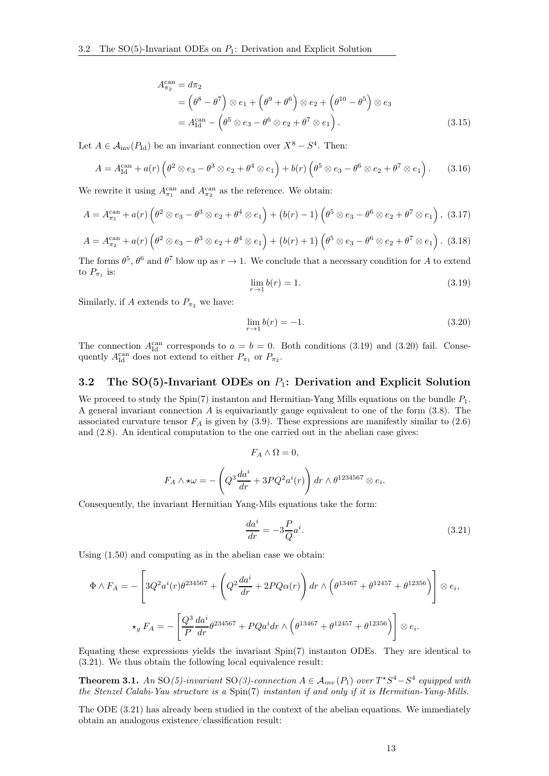$$
A_{\pi_2}^{\text{can}} = d\pi_2
$$
  
=  $(\theta^8 - \theta^7) \otimes e_1 + (\theta^9 + \theta^6) \otimes e_2 + (\theta^{10} - \theta^5) \otimes e_3$   
=  $A_{\text{Id}}^{\text{can}} - (\theta^5 \otimes e_3 - \theta^6 \otimes e_2 + \theta^7 \otimes e_1).$  (3.15)

Let  $A \in \mathcal{A}_{\text{inv}}(P_{\text{Id}})$  be an invariant connection over  $X^8 - S^4$ . Then:

$$
A = A_{\text{Id}}^{\text{can}} + a(r) \left( \theta^2 \otimes e_3 - \theta^3 \otimes e_2 + \theta^4 \otimes e_1 \right) + b(r) \left( \theta^5 \otimes e_3 - \theta^6 \otimes e_2 + \theta^7 \otimes e_1 \right). \tag{3.16}
$$

We rewrite it using  $A_{\pi_1}^{\text{can}}$  and  $A_{\pi_2}^{\text{can}}$  as the reference. We obtain:

<span id="page-12-4"></span>
$$
A = A_{\pi_1}^{\text{can}} + a(r) \left( \theta^2 \otimes e_3 - \theta^3 \otimes e_2 + \theta^4 \otimes e_1 \right) + (b(r) - 1) \left( \theta^5 \otimes e_3 - \theta^6 \otimes e_2 + \theta^7 \otimes e_1 \right), \tag{3.17}
$$

<span id="page-12-5"></span>
$$
A = A_{\pi_2}^{\text{can}} + a(r) \left( \theta^2 \otimes e_3 - \theta^3 \otimes e_2 + \theta^4 \otimes e_1 \right) + (b(r) + 1) \left( \theta^5 \otimes e_3 - \theta^6 \otimes e_2 + \theta^7 \otimes e_1 \right). \tag{3.18}
$$

The forms  $\theta^5$ ,  $\theta^6$  and  $\theta^7$  blow up as  $r \to 1$ . We conclude that a necessary condition for A to extend to  $P_{\pi_1}$  is:

<span id="page-12-1"></span>
$$
\lim_{r \to 1} b(r) = 1. \tag{3.19}
$$

Similarly, if A extends to  $P_{\pi_2}$  we have:

<span id="page-12-2"></span>
$$
\lim_{r \to 1} b(r) = -1. \tag{3.20}
$$

The connection  $A_{\text{Id}}^{\text{can}}$  corresponds to  $a = b = 0$ . Both conditions [\(3.19\)](#page-12-1) and [\(3.20\)](#page-12-2) fail. Consequently  $A_{\text{Id}}^{\text{can}}$  does not extend to either  $P_{\pi_1}$  or  $P_{\pi_2}$ .

## <span id="page-12-0"></span>3.2 The SO(5)-Invariant ODEs on  $P_1$ : Derivation and Explicit Solution

We proceed to study the Spin(7) instanton and Hermitian-Yang Mills equations on the bundle  $P_1$ . A general invariant connection A is equivariantly gauge equivalent to one of the form  $(3.8)$ . The associated curvature tensor  $F_A$  is given by [\(3.9\)](#page-10-3). These expressions are manifestly similar to [\(2.6\)](#page-6-5) and [\(2.8\)](#page-6-4). An identical computation to the one carried out in the abelian case gives:

$$
F_A \wedge \Omega = 0,
$$
  

$$
F_A \wedge \star \omega = -\left(Q^3 \frac{da^i}{dr} + 3PQ^2 a^i(r)\right) dr \wedge \theta^{1234567} \otimes e_i.
$$

Consequently, the invariant Hermitian Yang-Mils equations take the form:

<span id="page-12-3"></span>
$$
\frac{da^i}{dr} = -3\frac{P}{Q}a^i.
$$
\n(3.21)

Using [\(1.50\)](#page-5-2) and computing as in the abelian case we obtain:

$$
\Phi \wedge F_A = -\left[3Q^2 a^i(r)\theta^{234567} + \left(Q^2 \frac{da^i}{dr} + 2PQ\alpha(r)\right) dr \wedge \left(\theta^{13467} + \theta^{12457} + \theta^{12356}\right)\right] \otimes e_i,
$$
  

$$
\star_g F_A = -\left[\frac{Q^3}{P} \frac{da^i}{dr} \theta^{234567} + PQa^i dr \wedge \left(\theta^{13467} + \theta^{12457} + \theta^{12356}\right)\right] \otimes e_i.
$$

Equating these expressions yields the invariant Spin(7) instanton ODEs. They are identical to [\(3.21\)](#page-12-3). We thus obtain the following local equivalence result:

**Theorem 3.1.** An SO(5)-invariant SO(3)-connection  $A \in \mathcal{A}_{inv}(P_1)$  over  $T^*S^4 - S^4$  equipped with the Stenzel Calabi-Yau structure is a Spin(7) instanton if and only if it is Hermitian-Yang-Mills.

The ODE [\(3.21\)](#page-12-3) has already been studied in the context of the abelian equations. We immediately obtain an analogous existence/classification result: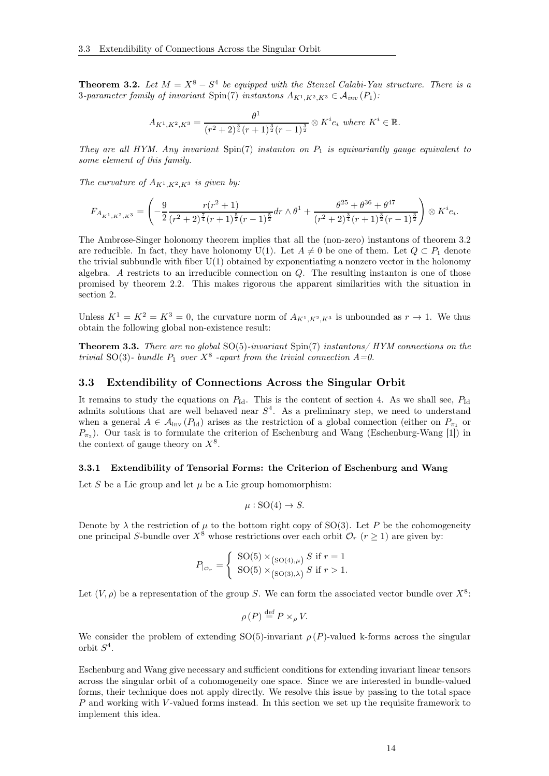<span id="page-13-2"></span>**Theorem 3.2.** Let  $M = X^8 - S^4$  be equipped with the Stenzel Calabi-Yau structure. There is a 3-parameter family of invariant Spin(7) instantons  $A_{K^1,K^2,K^3} \in \mathcal{A}_{inv}(P_1)$ :

$$
A_{K^1, K^2, K^3} = \frac{\theta^1}{(r^2+2)^{\frac{3}{4}}(r+1)^{\frac{3}{2}}(r-1)^{\frac{3}{2}}} \otimes K^i e_i \text{ where } K^i \in \mathbb{R}.
$$

They are all HYM. Any invariant  $Spin(7)$  instanton on  $P_1$  is equivariantly gauge equivalent to some element of this family.

The curvature of  $A_{K^1,K^2,K^3}$  is given by:

$$
F_{A_{K^1,K^2,K^3}} = \left(-\frac{9}{2} \frac{r(r^2+1)}{(r^2+2)^{\frac{7}{4}}(r+1)^{\frac{5}{2}}(r-1)^{\frac{5}{2}}} dr \wedge \theta^1 + \frac{\theta^{25} + \theta^{36} + \theta^{47}}{(r^2+2)^{\frac{3}{4}}(r+1)^{\frac{3}{2}}(r-1)^{\frac{3}{2}}}\right) \otimes K^i e_i.
$$

The Ambrose-Singer holonomy theorem implies that all the (non-zero) instantons of theorem [3.2](#page-13-2) are reducible. In fact, they have holonomy U(1). Let  $A \neq 0$  be one of them. Let  $Q \subset P_1$  denote the trivial subbundle with fiber  $U(1)$  obtained by exponentiating a nonzero vector in the holonomy algebra. A restricts to an irreducible connection on  $Q$ . The resulting instanton is one of those promised by theorem [2.2.](#page-8-4) This makes rigorous the apparent similarities with the situation in section 2.

Unless  $K^1 = K^2 = K^3 = 0$ , the curvature norm of  $A_{K^1, K^2, K^3}$  is unbounded as  $r \to 1$ . We thus obtain the following global non-existence result:

<span id="page-13-3"></span>**Theorem 3.3.** There are no global  $SO(5)$ -invariant  $Spin(7)$  instantons/ HYM connections on the trivial SO(3)- bundle  $P_1$  over  $X^8$  -apart from the trivial connection  $A=0$ .

#### <span id="page-13-0"></span>3.3 Extendibility of Connections Across the Singular Orbit

It remains to study the equations on  $P_{\text{Id}}$ . This is the content of section [4.](#page-19-0) As we shall see,  $P_{\text{Id}}$ admits solutions that are well behaved near  $S<sup>4</sup>$ . As a preliminary step, we need to understand when a general  $A \in \mathcal{A}_{inv}(P_{Id})$  arises as the restriction of a global connection (either on  $P_{\pi_1}$  or  $P_{\pi_2}$ ). Our task is to formulate the criterion of Eschenburg and Wang (Eschenburg-Wang [\[1\]](#page-41-4)) in the context of gauge theory on  $X^8$ .

#### <span id="page-13-1"></span>3.3.1 Extendibility of Tensorial Forms: the Criterion of Eschenburg and Wang

Let S be a Lie group and let  $\mu$  be a Lie group homomorphism:

$$
\mu: \text{SO}(4) \to S.
$$

Denote by  $\lambda$  the restriction of  $\mu$  to the bottom right copy of SO(3). Let P be the cohomogeneity one principal S-bundle over  $X^8$  whose restrictions over each orbit  $\mathcal{O}_r$  ( $r \geq 1$ ) are given by:

$$
P_{\vert_{\mathcal{O}_r}} = \begin{cases} \text{SO}(5) \times_{\text{(SO(4),\mu)}} S \text{ if } r = 1\\ \text{SO(5)} \times_{\text{(SO(3),\lambda)}} S \text{ if } r > 1. \end{cases}
$$

Let  $(V, \rho)$  be a representation of the group S. We can form the associated vector bundle over  $X^8$ .

$$
\rho(P) \stackrel{\text{def}}{=} P \times_{\rho} V.
$$

We consider the problem of extending SO(5)-invariant  $\rho(P)$ -valued k-forms across the singular orbit  $S^4$ .

Eschenburg and Wang give necessary and sufficient conditions for extending invariant linear tensors across the singular orbit of a cohomogeneity one space. Since we are interested in bundle-valued forms, their technique does not apply directly. We resolve this issue by passing to the total space P and working with V-valued forms instead. In this section we set up the requisite framework to implement this idea.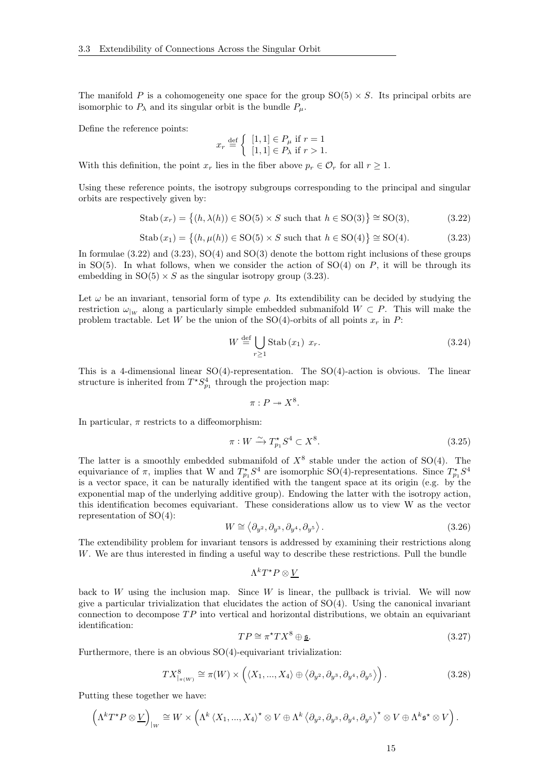The manifold P is a cohomogeneity one space for the group  $SO(5) \times S$ . Its principal orbits are isomorphic to  $P_{\lambda}$  and its singular orbit is the bundle  $P_{\mu}$ .

Define the reference points:

$$
x_r \stackrel{\text{def}}{=} \left\{ \begin{array}{l} [1,1] \in P_\mu \text{ if } r = 1\\ [1,1] \in P_\lambda \text{ if } r > 1. \end{array} \right.
$$

With this definition, the point  $x_r$  lies in the fiber above  $p_r \in \mathcal{O}_r$  for all  $r > 1$ .

Using these reference points, the isotropy subgroups corresponding to the principal and singular orbits are respectively given by:

<span id="page-14-0"></span>
$$
\text{Stab}\,(x_r) = \left\{ (h, \lambda(h)) \in \text{SO}(5) \times S \text{ such that } h \in \text{SO}(3) \right\} \cong \text{SO}(3),\tag{3.22}
$$

<span id="page-14-1"></span>
$$
\text{Stab}(x_1) = \left\{ (h, \mu(h)) \in \text{SO}(5) \times S \text{ such that } h \in \text{SO}(4) \right\} \cong \text{SO}(4). \tag{3.23}
$$

In formulae [\(3.22\)](#page-14-0) and [\(3.23\)](#page-14-1), SO(4) and SO(3) denote the bottom right inclusions of these groups in  $SO(5)$ . In what follows, when we consider the action of  $SO(4)$  on P, it will be through its embedding in  $SO(5) \times S$  as the singular isotropy group [\(3.23\)](#page-14-1).

Let  $\omega$  be an invariant, tensorial form of type  $\rho$ . Its extendibility can be decided by studying the restriction  $\omega_{\vert w}$  along a particularly simple embedded submanifold  $W \subset P$ . This will make the problem tractable. Let W be the union of the SO(4)-orbits of all points  $x_r$  in P:

$$
W \stackrel{\text{def}}{=} \bigcup_{r \ge 1} \text{Stab}(x_1) \ x_r. \tag{3.24}
$$

This is a 4-dimensional linear  $SO(4)$ -representation. The  $SO(4)$ -action is obvious. The linear structure is inherited from  $T^*S^4_{p_1}$  through the projection map:

$$
\pi:P\twoheadrightarrow X^8.
$$

In particular,  $\pi$  restricts to a diffeomorphism:

$$
\pi: W \xrightarrow{\sim} T_{p_1}^* S^4 \subset X^8. \tag{3.25}
$$

The latter is a smoothly embedded submanifold of  $X^8$  stable under the action of SO(4). The equivariance of  $\pi$ , implies that W and  $T_{p_1}^* S^4$  are isomorphic SO(4)-representations. Since  $T_{p_1}^* S^4$ is a vector space, it can be naturally identified with the tangent space at its origin (e.g. by the exponential map of the underlying additive group). Endowing the latter with the isotropy action, this identification becomes equivariant. These considerations allow us to view W as the vector representation of SO(4):

<span id="page-14-2"></span>
$$
W \cong \langle \partial_{y^2}, \partial_{y^3}, \partial_{y^4}, \partial_{y^5} \rangle. \tag{3.26}
$$

The extendibility problem for invariant tensors is addressed by examining their restrictions along W. We are thus interested in finding a useful way to describe these restrictions. Pull the bundle

$$
\Lambda^kT^\star P\otimes \underline{V}
$$

back to  $W$  using the inclusion map. Since  $W$  is linear, the pullback is trivial. We will now give a particular trivialization that elucidates the action of  $SO(4)$ . Using the canonical invariant connection to decompose  $TP$  into vertical and horizontal distributions, we obtain an equivariant identification:

$$
TP \cong \pi^* TX^8 \oplus \underline{\mathfrak{s}}.\tag{3.27}
$$

Furthermore, there is an obvious  $SO(4)$ -equivariant trivialization:

$$
TX_{|\pi(W)}^8 \cong \pi(W) \times \left( \langle X_1, ..., X_4 \rangle \oplus \langle \partial_{y^2}, \partial_{y^3}, \partial_{y^4}, \partial_{y^5} \rangle \right). \tag{3.28}
$$

Putting these together we have:

$$
\left(\Lambda^k T^{\star} P \otimes \underline{V}\right)_{|_{W}} \cong W \times \left(\Lambda^k \left\langle X_1, ..., X_4 \right\rangle^{\star} \otimes V \oplus \Lambda^k \left\langle \partial_{y^2}, \partial_{y^3}, \partial_{y^4}, \partial_{y^5} \right\rangle^{\star} \otimes V \oplus \Lambda^k \mathfrak{s}^{\star} \otimes V \right).
$$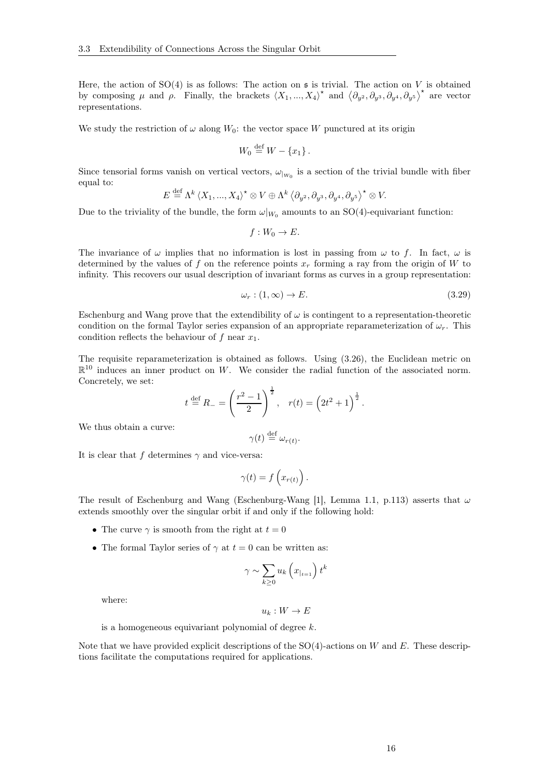Here, the action of  $SO(4)$  is as follows: The action on  $\mathfrak s$  is trivial. The action on V is obtained by composing  $\mu$  and  $\rho$ . Finally, the brackets  $\langle X_1, ..., X_4 \rangle^*$  and  $\langle \partial_{y^2}, \partial_{y^3}, \partial_{y^4}, \partial_{y^5} \rangle^*$  are vector representations.

We study the restriction of  $\omega$  along  $W_0$ : the vector space W punctured at its origin

$$
W_0 \stackrel{\text{def}}{=} W - \{x_1\}.
$$

Since tensorial forms vanish on vertical vectors,  $\omega_{|_{W_0}}$  is a section of the trivial bundle with fiber equal to:  $\mathbf{d} \cdot \mathbf{r}$ 

$$
E \stackrel{\text{def}}{=} \Lambda^k \left\langle X_1, ..., X_4 \right\rangle^{\star} \otimes V \oplus \Lambda^k \left\langle \partial_{y^2}, \partial_{y^3}, \partial_{y^4}, \partial_{y^5} \right\rangle^{\star} \otimes V.
$$

Due to the triviality of the bundle, the form  $\omega|_{W_0}$  amounts to an SO(4)-equivariant function:

$$
f:W_0\to E.
$$

The invariance of  $\omega$  implies that no information is lost in passing from  $\omega$  to f. In fact,  $\omega$  is determined by the values of f on the reference points  $x_r$  forming a ray from the origin of W to infinity. This recovers our usual description of invariant forms as curves in a group representation:

<span id="page-15-0"></span>
$$
\omega_r : (1, \infty) \to E. \tag{3.29}
$$

Eschenburg and Wang prove that the extendibility of  $\omega$  is contingent to a representation-theoretic condition on the formal Taylor series expansion of an appropriate reparameterization of  $\omega_r$ . This condition reflects the behaviour of  $f$  near  $x_1$ .

The requisite reparameterization is obtained as follows. Using [\(3.26\)](#page-14-2), the Euclidean metric on  $\mathbb{R}^{10}$  induces an inner product on W. We consider the radial function of the associated norm. Concretely, we set:

$$
t \stackrel{\text{def}}{=} R_{-} = \left(\frac{r^2 - 1}{2}\right)^{\frac{1}{2}}, \quad r(t) = \left(2t^2 + 1\right)^{\frac{1}{2}}.
$$

We thus obtain a curve:

$$
\gamma(t) \stackrel{\text{def}}{=} \omega_{r(t)}.
$$

It is clear that f determines  $\gamma$  and vice-versa:

$$
\gamma(t) = f\left(x_{r(t)}\right).
$$

The result of Eschenburg and Wang (Eschenburg-Wang [\[1\]](#page-41-4), Lemma 1.1, p.113) asserts that  $\omega$ extends smoothly over the singular orbit if and only if the following hold:

- The curve  $\gamma$  is smooth from the right at  $t = 0$
- The formal Taylor series of  $\gamma$  at  $t = 0$  can be written as:

$$
\gamma \sim \sum_{k\geq 0} u_k \left( x_{|_{t=1}} \right) t^k
$$

where:

$$
u_k: W \to E
$$

is a homogeneous equivariant polynomial of degree k.

Note that we have provided explicit descriptions of the  $SO(4)$ -actions on W and E. These descriptions facilitate the computations required for applications.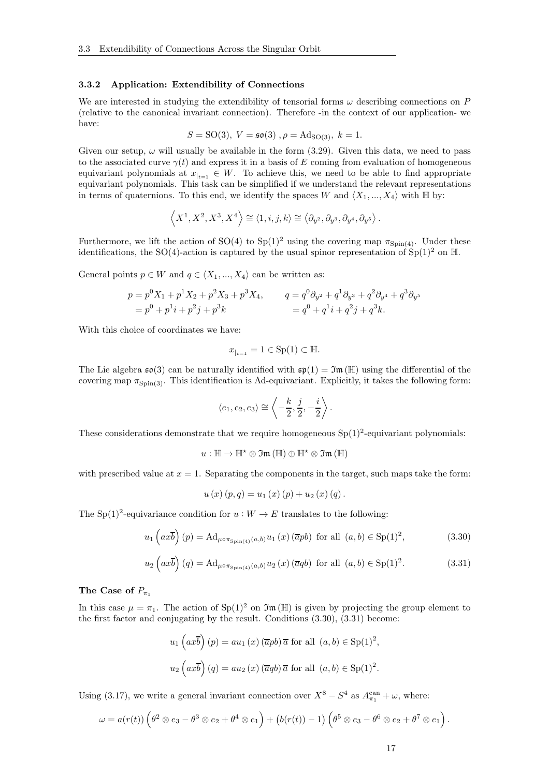#### <span id="page-16-0"></span>3.3.2 Application: Extendibility of Connections

We are interested in studying the extendibility of tensorial forms  $\omega$  describing connections on P (relative to the canonical invariant connection). Therefore -in the context of our application- we have:

$$
S = SO(3), V = \mathfrak{so}(3), \rho = Ad_{SO(3)}, k = 1.
$$

Given our setup,  $\omega$  will usually be available in the form [\(3.29\)](#page-15-0). Given this data, we need to pass to the associated curve  $\gamma(t)$  and express it in a basis of E coming from evaluation of homogeneous equivariant polynomials at  $x_{t+1} \in W$ . To achieve this, we need to be able to find appropriate equivariant polynomials. This task can be simplified if we understand the relevant representations in terms of quaternions. To this end, we identify the spaces W and  $\langle X_1, ..., X_4 \rangle$  with H by:

$$
\left\langle X^1, X^2, X^3, X^4 \right\rangle \cong \left\langle 1, i, j, k \right\rangle \cong \left\langle \partial_{y^2}, \partial_{y^3}, \partial_{y^4}, \partial_{y^5} \right\rangle.
$$

Furthermore, we lift the action of SO(4) to Sp(1)<sup>2</sup> using the covering map  $\pi_{\text{Spin}(4)}$ . Under these identifications, the SO(4)-action is captured by the usual spinor representation of  $Sp(1)<sup>2</sup>$  on H.

General points  $p \in W$  and  $q \in \langle X_1, ..., X_4 \rangle$  can be written as:

$$
p = p^{0}X_{1} + p^{1}X_{2} + p^{2}X_{3} + p^{3}X_{4},
$$
  
\n
$$
q = q^{0}\partial_{y^{2}} + q^{1}\partial_{y^{3}} + q^{2}\partial_{y^{4}} + q^{3}\partial_{y^{5}}
$$
  
\n
$$
= p^{0} + p^{1}i + p^{2}j + p^{3}k
$$
  
\n
$$
= q^{0} + q^{1}i + q^{2}j + q^{3}k.
$$

With this choice of coordinates we have:

$$
x_{|_{t=1}} = 1 \in \text{Sp}(1) \subset \mathbb{H}.
$$

The Lie algebra  $\mathfrak{so}(3)$  can be naturally identified with  $\mathfrak{so}(1) = \mathfrak{Im}(\mathbb{H})$  using the differential of the covering map  $\pi_{\text{Spin}(3)}$ . This identification is Ad-equivariant. Explicitly, it takes the following form:

$$
\langle e_1, e_2, e_3 \rangle \cong \left\langle -\frac{k}{2}, \frac{j}{2}, -\frac{i}{2} \right\rangle.
$$

These considerations demonstrate that we require homogeneous  $Sp(1)<sup>2</sup>$ -equivariant polynomials:

$$
u:\mathbb{H}\rightarrow\mathbb{H}^{\star}\otimes\mathfrak{Im}\left(\mathbb{H}\right)\oplus\mathbb{H}^{\star}\otimes\mathfrak{Im}\left(\mathbb{H}\right)
$$

with prescribed value at  $x = 1$ . Separating the components in the target, such maps take the form:

$$
u(x) (p,q) = u_1(x) (p) + u_2(x) (q).
$$

The Sp(1)<sup>2</sup>-equivariance condition for  $u: W \to E$  translates to the following:

<span id="page-16-1"></span>
$$
u_1\left(ax\overline{b}\right)(p) = \operatorname{Ad}_{\mu \circ \pi_{\operatorname{Spin}(4)}(a,b)} u_1\left(x\right)(\overline{a}pb) \text{ for all } (a,b) \in \operatorname{Sp}(1)^2,
$$
 (3.30)

<span id="page-16-2"></span>
$$
u_2\left(ax\overline{b}\right)(q) = \operatorname{Ad}_{\mu \circ \pi_{\operatorname{Spin}(4)}(a,b)} u_2\left(x\right)(\overline{a}qb) \text{ for all } (a,b) \in \operatorname{Sp}(1)^2. \tag{3.31}
$$

### The Case of  $P_{\pi_1}$

In this case  $\mu = \pi_1$ . The action of Sp(1)<sup>2</sup> on  $\mathfrak{Im}(\mathbb{H})$  is given by projecting the group element to the first factor and conjugating by the result. Conditions [\(3.30\)](#page-16-1), [\(3.31\)](#page-16-2) become:

$$
u_1 ig(ax\overline{b}ig) (p) = au_1(x) (\overline{a}pb)\overline{a} \text{ for all } (a,b) \in \text{Sp}(1)^2,
$$
  

$$
u_2 ig(ax\overline{b}ig) (q) = au_2(x) (\overline{a}qb)\overline{a} \text{ for all } (a,b) \in \text{Sp}(1)^2.
$$

Using [\(3.17\)](#page-12-4), we write a general invariant connection over  $X^8 - S^4$  as  $A_{\pi_1}^{\text{can}} + \omega$ , where:

$$
\omega = a(r(t)) \left( \theta^2 \otimes e_3 - \theta^3 \otimes e_2 + \theta^4 \otimes e_1 \right) + \left( b(r(t)) - 1 \right) \left( \theta^5 \otimes e_3 - \theta^6 \otimes e_2 + \theta^7 \otimes e_1 \right).
$$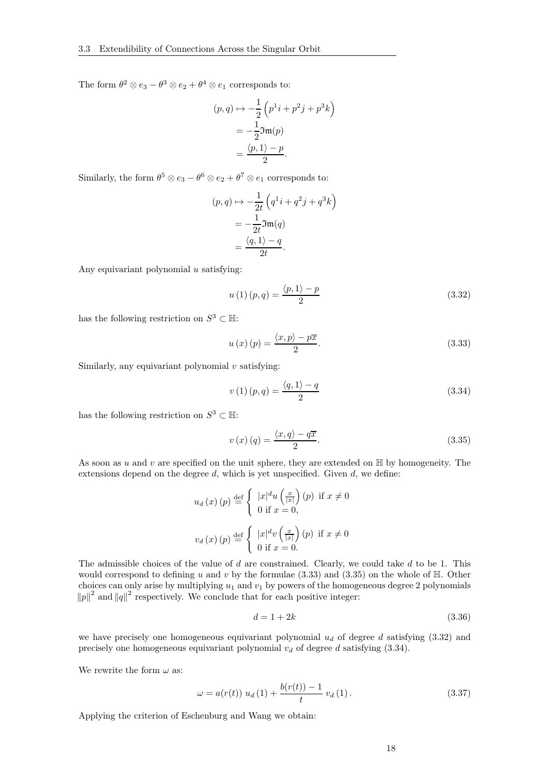The form  $\theta^2 \otimes e_3 - \theta^3 \otimes e_2 + \theta^4 \otimes e_1$  corresponds to:

$$
(p,q) \mapsto -\frac{1}{2} \left( p^1 i + p^2 j + p^3 k \right)
$$

$$
= -\frac{1}{2} \mathfrak{Im}(p)
$$

$$
= \frac{\langle p, 1 \rangle - p}{2}.
$$

Similarly, the form  $\theta^5 \otimes e_3 - \theta^6 \otimes e_2 + \theta^7 \otimes e_1$  corresponds to:

$$
(p,q) \mapsto -\frac{1}{2t} \left( q^1 i + q^2 j + q^3 k \right)
$$
  
=  $-\frac{1}{2t} \mathfrak{Im}(q)$   
=  $\frac{\langle q, 1 \rangle - q}{2t}.$ 

Any equivariant polynomial  $u$  satisfying:

<span id="page-17-2"></span>
$$
u(1)(p,q) = \frac{\langle p, 1 \rangle - p}{2} \tag{3.32}
$$

has the following restriction on  $S^3 \subset \mathbb{H}$ :

<span id="page-17-0"></span>
$$
u(x)(p) = \frac{\langle x, p \rangle - p\overline{x}}{2}.
$$
\n(3.33)

Similarly, any equivariant polynomial  $v$  satisfying:

<span id="page-17-3"></span>
$$
v(1)(p,q) = \frac{\langle q, 1 \rangle - q}{2} \tag{3.34}
$$

has the following restriction on  $S^3 \subset \mathbb{H}$ :

<span id="page-17-1"></span>
$$
v(x)(q) = \frac{\langle x, q \rangle - q\overline{x}}{2}.
$$
\n(3.35)

As soon as u and v are specified on the unit sphere, they are extended on  $\mathbb H$  by homogeneity. The extensions depend on the degree  $d$ , which is yet unspecified. Given  $d$ , we define:

$$
u_d(x)(p) \stackrel{\text{def}}{=} \begin{cases} |x|^d u\left(\frac{x}{|x|}\right)(p) & \text{if } x \neq 0\\ 0 & \text{if } x = 0, \end{cases}
$$

$$
v_d(x)(p) \stackrel{\text{def}}{=} \begin{cases} |x|^d v\left(\frac{x}{|x|}\right)(p) & \text{if } x \neq 0\\ 0 & \text{if } x = 0. \end{cases}
$$

The admissible choices of the value of d are constrained. Clearly, we could take d to be 1. This would correspond to defining u and v by the formulae  $(3.33)$  and  $(3.35)$  on the whole of  $\mathbb{H}$ . Other choices can only arise by multiplying  $u_1$  and  $v_1$  by powers of the homogeneous degree 2 polynomials  $||p||^2$  and  $||q||^2$  respectively. We conclude that for each positive integer:

$$
d = 1 + 2k \tag{3.36}
$$

we have precisely one homogeneous equivariant polynomial  $u_d$  of degree d satisfying [\(3.32\)](#page-17-2) and precisely one homogeneous equivariant polynomial  $v_d$  of degree d satisfying [\(3.34\)](#page-17-3).

We rewrite the form  $\omega$  as:

$$
\omega = a(r(t)) u_d(1) + \frac{b(r(t)) - 1}{t} v_d(1).
$$
 (3.37)

Applying the criterion of Eschenburg and Wang we obtain: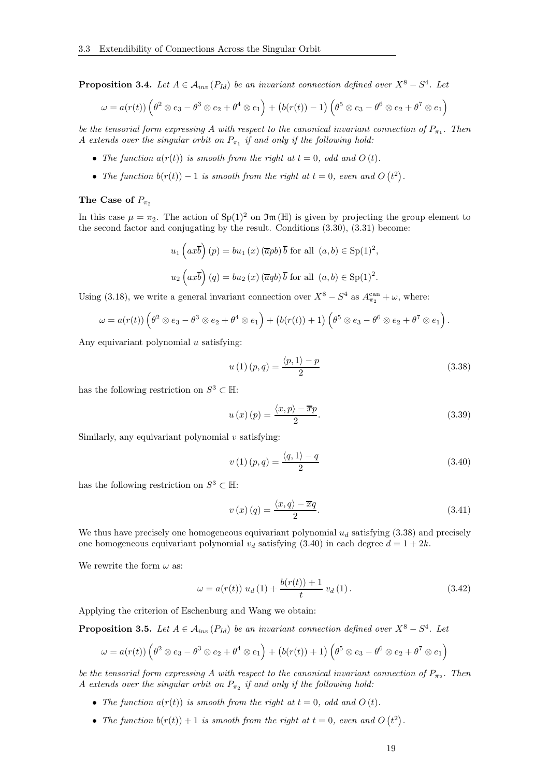<span id="page-18-2"></span>**Proposition 3.4.** Let  $A \in A_{inv}(P_{Id})$  be an invariant connection defined over  $X^8 - S^4$ . Let

$$
\omega = a(r(t)) \left( \theta^2 \otimes e_3 - \theta^3 \otimes e_2 + \theta^4 \otimes e_1 \right) + \left( b(r(t)) - 1 \right) \left( \theta^5 \otimes e_3 - \theta^6 \otimes e_2 + \theta^7 \otimes e_1 \right)
$$

be the tensorial form expressing A with respect to the canonical invariant connection of  $P_{\pi_1}$ . Then A extends over the singular orbit on  $P_{\pi_1}$  if and only if the following hold:

- The function  $a(r(t))$  is smooth from the right at  $t = 0$ , odd and  $O(t)$ .
- The function  $b(r(t)) 1$  is smooth from the right at  $t = 0$ , even and  $O(t^2)$ .

#### The Case of  $P_{\pi_2}$

In this case  $\mu = \pi_2$ . The action of Sp(1)<sup>2</sup> on  $\mathfrak{Im}(\mathbb{H})$  is given by projecting the group element to the second factor and conjugating by the result. Conditions [\(3.30\)](#page-16-1), [\(3.31\)](#page-16-2) become:

$$
u_1 ig(ax\overline{b}ig) (p) = bu_1(x) (\overline{a}pb) \overline{b} \text{ for all } (a, b) \in \text{Sp}(1)^2,
$$
  

$$
u_2 \big( ax\overline{b}ig) (q) = bu_2(x) (\overline{a}qb) \overline{b} \text{ for all } (a, b) \in \text{Sp}(1)^2.
$$

Using [\(3.18\)](#page-12-5), we write a general invariant connection over  $X^8 - S^4$  as  $A_{\pi_2}^{\text{can}} + \omega$ , where:

$$
\omega = a(r(t)) \left( \theta^2 \otimes e_3 - \theta^3 \otimes e_2 + \theta^4 \otimes e_1 \right) + \left( b(r(t)) + 1 \right) \left( \theta^5 \otimes e_3 - \theta^6 \otimes e_2 + \theta^7 \otimes e_1 \right).
$$

Any equivariant polynomial  $u$  satisfying:

<span id="page-18-0"></span>
$$
u(1)(p,q) = \frac{\langle p, 1 \rangle - p}{2} \tag{3.38}
$$

has the following restriction on  $S^3 \subset \mathbb{H}$ :

$$
u(x)(p) = \frac{\langle x, p \rangle - \overline{x}p}{2}.
$$
\n(3.39)

Similarly, any equivariant polynomial  $v$  satisfying:

<span id="page-18-1"></span>
$$
v(1)(p,q) = \frac{\langle q, 1 \rangle - q}{2} \tag{3.40}
$$

has the following restriction on  $S^3 \subset \mathbb{H}$ :

$$
v(x)(q) = \frac{\langle x, q \rangle - \overline{x}q}{2}.
$$
\n(3.41)

We thus have precisely one homogeneous equivariant polynomial  $u_d$  satisfying [\(3.38\)](#page-18-0) and precisely one homogeneous equivariant polynomial  $v_d$  satisfying [\(3.40\)](#page-18-1) in each degree  $d = 1 + 2k$ .

We rewrite the form  $\omega$  as:

$$
\omega = a(r(t)) u_d(1) + \frac{b(r(t)) + 1}{t} v_d(1).
$$
 (3.42)

Applying the criterion of Eschenburg and Wang we obtain:

<span id="page-18-3"></span>**Proposition 3.5.** Let  $A \in A_{inv}(P_{Id})$  be an invariant connection defined over  $X^8 - S^4$ . Let

$$
\omega = a(r(t)) \left( \theta^2 \otimes e_3 - \theta^3 \otimes e_2 + \theta^4 \otimes e_1 \right) + \left( b(r(t)) + 1 \right) \left( \theta^5 \otimes e_3 - \theta^6 \otimes e_2 + \theta^7 \otimes e_1 \right)
$$

be the tensorial form expressing A with respect to the canonical invariant connection of  $P_{\pi_2}$ . Then A extends over the singular orbit on  $P_{\pi_2}$  if and only if the following hold:

- The function  $a(r(t))$  is smooth from the right at  $t = 0$ , odd and  $O(t)$ .
- The function  $b(r(t)) + 1$  is smooth from the right at  $t = 0$ , even and  $O(t^2)$ .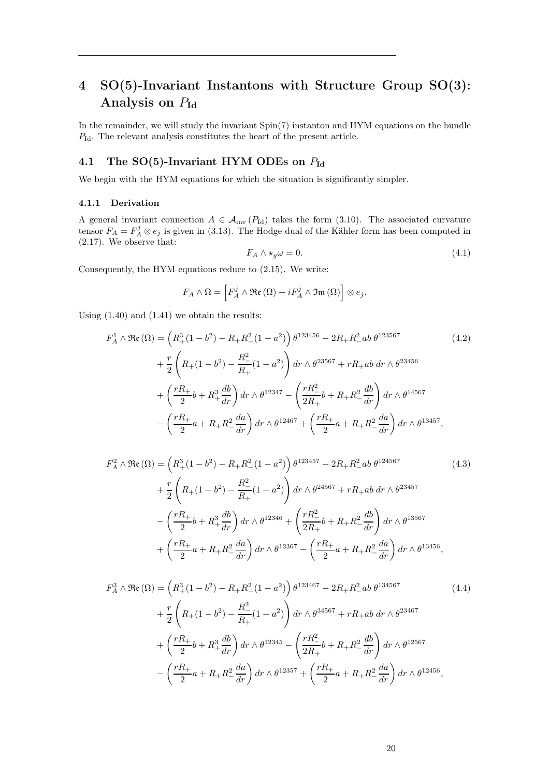# <span id="page-19-0"></span>4 SO(5)-Invariant Instantons with Structure Group SO(3): Analysis on  $P_{\rm Id}$

In the remainder, we will study the invariant Spin(7) instanton and HYM equations on the bundle  $P_{\rm Id}$ . The relevant analysis constitutes the heart of the present article.

## <span id="page-19-1"></span>4.1 The SO(5)-Invariant HYM ODEs on  $P_{\text{Id}}$

We begin with the HYM equations for which the situation is significantly simpler.

#### <span id="page-19-2"></span>4.1.1 Derivation

A general invariant connection  $A \in \mathcal{A}_{inv}(P_{Id})$  takes the form [\(3.10\)](#page-11-1). The associated curvature tensor  $F_A = F_A^j \otimes e_j$  is given in [\(3.13\)](#page-11-2). The Hodge dual of the Kähler form has been computed in [\(2.17\)](#page-7-6). We observe that:

$$
F_A \wedge \star_g \omega = 0. \tag{4.1}
$$

Consequently, the HYM equations reduce to [\(2.15\)](#page-7-3). We write:

$$
F_A \wedge \Omega = \left[ F_A^j \wedge \mathfrak{Re} \left( \Omega \right) + i F_A^j \wedge \mathfrak{Im} \left( \Omega \right) \right] \otimes e_j.
$$

Using [\(1.40\)](#page-4-6) and [\(1.41\)](#page-5-4) we obtain the results:

$$
F_A^1 \wedge \Re(\Omega) = \left(R_+^3(1-b^2) - R_+R_-^2(1-a^2)\right)\theta^{123456} - 2R_+R_-^2ab\theta^{123567}
$$
\n
$$
+ \frac{r}{2}\left(R_+(1-b^2) - \frac{R_-^2}{R_+}(1-a^2)\right)dr \wedge \theta^{23567} + rR_+ab\ dr \wedge \theta^{23456}
$$
\n
$$
+ \left(\frac{rR_+}{2}b + R_+^3\frac{db}{dr}\right)dr \wedge \theta^{12347} - \left(\frac{rR_-^2}{2R_+}b + R_+R_-^2\frac{db}{dr}\right)dr \wedge \theta^{14567}
$$
\n
$$
- \left(\frac{rR_+}{2}a + R_+R_-^2\frac{da}{dr}\right)dr \wedge \theta^{12467} + \left(\frac{rR_+}{2}a + R_+R_-^2\frac{da}{dr}\right)dr \wedge \theta^{13457},
$$
\n(4.2)

$$
F_A^2 \wedge \Re(\Omega) = \left(R_+^3(1-b^2) - R_+R_-^2(1-a^2)\right)\theta^{123457} - 2R_+R_-^2ab\theta^{124567}
$$
\n
$$
+ \frac{r}{2}\left(R_+(1-b^2) - \frac{R_-^2}{R_+}(1-a^2)\right)dr \wedge \theta^{24567} + rR_+ab\ dr \wedge \theta^{23457}
$$
\n
$$
- \left(\frac{rR_+}{2}b + R_+^3\frac{db}{dr}\right)dr \wedge \theta^{12346} + \left(\frac{rR_-^2}{2R_+}b + R_+R_-^2\frac{db}{dr}\right)dr \wedge \theta^{13567}
$$
\n
$$
+ \left(\frac{rR_+}{2}a + R_+R_-^2\frac{da}{dr}\right)dr \wedge \theta^{12367} - \left(\frac{rR_+}{2}a + R_+R_-^2\frac{da}{dr}\right)dr \wedge \theta^{13456},
$$
\n(4.3)

$$
F_A^3 \wedge \mathfrak{Re} \left( \Omega \right) = \left( R_+^3 (1 - b^2) - R_+ R_-^2 (1 - a^2) \right) \theta^{123467} - 2R_+ R_-^2 ab \, \theta^{134567}
$$
\n
$$
+ \frac{r}{2} \left( R_+ (1 - b^2) - \frac{R_-^2}{R_+} (1 - a^2) \right) dr \wedge \theta^{34567} + rR_+ ab \, dr \wedge \theta^{23467}
$$
\n
$$
+ \left( \frac{rR_+}{2} b + R_+^3 \frac{db}{dr} \right) dr \wedge \theta^{12345} - \left( \frac{rR_-^2}{2R_+} b + R_+ R_-^2 \frac{db}{dr} \right) dr \wedge \theta^{12567}
$$
\n
$$
- \left( \frac{rR_+}{2} a + R_+ R_-^2 \frac{da}{dr} \right) dr \wedge \theta^{12357} + \left( \frac{rR_+}{2} a + R_+ R_-^2 \frac{da}{dr} \right) dr \wedge \theta^{12456},
$$
\n
$$
(4.4)
$$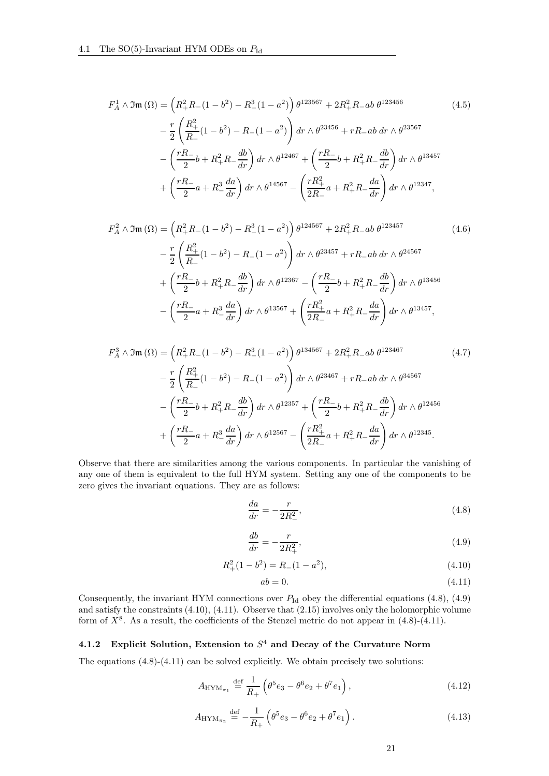$$
F_A^1 \wedge \Im \mathfrak{m} \left( \Omega \right) = \left( R_+^2 R_- (1 - b^2) - R_-^3 (1 - a^2) \right) \theta^{123567} + 2R_+^2 R_- ab \, \theta^{123456}
$$
\n
$$
- \frac{r}{2} \left( \frac{R_+^2}{R_-} (1 - b^2) - R_- (1 - a^2) \right) dr \wedge \theta^{23456} + rR_- ab \, dr \wedge \theta^{23567}
$$
\n
$$
- \left( \frac{rR_-}{2} b + R_+^2 R_- \frac{db}{dr} \right) dr \wedge \theta^{12467} + \left( \frac{rR_-}{2} b + R_+^2 R_- \frac{db}{dr} \right) dr \wedge \theta^{13457}
$$
\n
$$
+ \left( \frac{rR_-}{2} a + R_-^3 \frac{da}{dr} \right) dr \wedge \theta^{14567} - \left( \frac{rR_+^2}{2R_-} a + R_+^2 R_- \frac{da}{dr} \right) dr \wedge \theta^{12347},
$$
\n
$$
(4.5)
$$

$$
F_A^2 \wedge \Im(\Omega) = \left(R_+^2 R_-(1-b^2) - R_-^3 (1-a^2)\right) \theta^{124567} + 2R_+^2 R_- ab \theta^{123457}
$$
\n
$$
- \frac{r}{2} \left(\frac{R_+^2}{R_-} (1-b^2) - R_-(1-a^2)\right) dr \wedge \theta^{23457} + rR_- ab \, dr \wedge \theta^{24567}
$$
\n
$$
+ \left(\frac{rR_-}{2}b + R_+^2 R_- \frac{db}{dr}\right) dr \wedge \theta^{12367} - \left(\frac{rR_-}{2}b + R_+^2 R_- \frac{db}{dr}\right) dr \wedge \theta^{13456}
$$
\n
$$
- \left(\frac{rR_-}{2}a + R_-^3 \frac{da}{dr}\right) dr \wedge \theta^{13567} + \left(\frac{rR_+^2}{2R_-}a + R_+^2 R_- \frac{da}{dr}\right) dr \wedge \theta^{13457},
$$
\n(4.6)

$$
F_A^3 \wedge \Im \mathfrak{m} \left( \Omega \right) = \left( R_+^2 R_- (1 - b^2) - R_-^3 (1 - a^2) \right) \theta^{134567} + 2R_+^2 R_- ab \, \theta^{123467}
$$
\n
$$
- \frac{r}{2} \left( \frac{R_+^2}{R_-} (1 - b^2) - R_- (1 - a^2) \right) dr \wedge \theta^{23467} + rR_- ab \, dr \wedge \theta^{34567}
$$
\n
$$
- \left( \frac{rR_-}{2} b + R_+^2 R_- \frac{db}{dr} \right) dr \wedge \theta^{12357} + \left( \frac{rR_-}{2} b + R_+^2 R_- \frac{db}{dr} \right) dr \wedge \theta^{12456}
$$
\n
$$
+ \left( \frac{rR_-}{2} a + R_-^3 \frac{da}{dr} \right) dr \wedge \theta^{12567} - \left( \frac{rR_+^2}{2R_-} a + R_+^2 R_- \frac{da}{dr} \right) dr \wedge \theta^{12345}.
$$
\n
$$
(4.7)
$$

Observe that there are similarities among the various components. In particular the vanishing of any one of them is equivalent to the full HYM system. Setting any one of the components to be zero gives the invariant equations. They are as follows:

<span id="page-20-1"></span>
$$
\frac{da}{dr} = -\frac{r}{2R_{-}^{2}},\tag{4.8}
$$

<span id="page-20-2"></span>
$$
\frac{db}{dr} = -\frac{r}{2R_+^2},\tag{4.9}
$$

<span id="page-20-3"></span>
$$
R_+^2(1-b^2) = R_-(1-a^2),\tag{4.10}
$$

<span id="page-20-4"></span>
$$
ab = 0.\t\t(4.11)
$$

Consequently, the invariant HYM connections over  $P_{\rm Id}$  obey the differential equations [\(4.8\)](#page-20-1), [\(4.9\)](#page-20-2) and satisfy the constraints [\(4.10\)](#page-20-3), [\(4.11\)](#page-20-4). Observe that [\(2.15\)](#page-7-3) involves only the holomorphic volume form of  $X^8$ . As a result, the coefficients of the Stenzel metric do not appear in  $(4.8)-(4.11)$  $(4.8)-(4.11)$ .

### <span id="page-20-0"></span>4.1.2 Explicit Solution, Extension to  $S<sup>4</sup>$  and Decay of the Curvature Norm

The equations [\(4.8\)](#page-20-1)-[\(4.11\)](#page-20-4) can be solved explicitly. We obtain precisely two solutions:

$$
A_{\text{HYM}_{\pi_1}} \stackrel{\text{def}}{=} \frac{1}{R_+} \left( \theta^5 e_3 - \theta^6 e_2 + \theta^7 e_1 \right), \tag{4.12}
$$

$$
A_{\text{HYM}_{\pi_2}} \stackrel{\text{def}}{=} -\frac{1}{R_+} \left( \theta^5 e_3 - \theta^6 e_2 + \theta^7 e_1 \right). \tag{4.13}
$$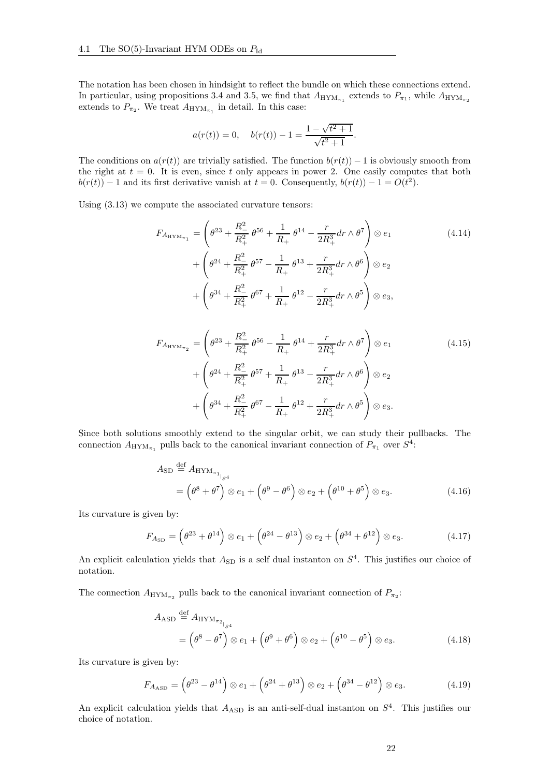The notation has been chosen in hindsight to reflect the bundle on which these connections extend. In particular, using propositions [3.4](#page-18-2) and [3.5,](#page-18-3) we find that  $A_{\text{HYM}_{\pi_1}}$  extends to  $P_{\pi_1}$ , while  $A_{\text{HYM}_{\pi_2}}$ extends to  $P_{\pi_2}$ . We treat  $A_{\text{HYM}_{\pi_1}}$  in detail. In this case:

<span id="page-21-0"></span>
$$
a(r(t)) = 0
$$
,  $b(r(t)) - 1 = \frac{1 - \sqrt{t^2 + 1}}{\sqrt{t^2 + 1}}$ .

The conditions on  $a(r(t))$  are trivially satisfied. The function  $b(r(t)) - 1$  is obviously smooth from the right at  $t = 0$ . It is even, since t only appears in power 2. One easily computes that both  $b(r(t)) - 1$  and its first derivative vanish at  $t = 0$ . Consequently,  $b(r(t)) - 1 = O(t^2)$ .

Using [\(3.13\)](#page-11-2) we compute the associated curvature tensors:

$$
F_{A_{\text{HYM}_{\pi_1}}} = \left(\theta^{23} + \frac{R_{-}^2}{R_{+}^2} \theta^{56} + \frac{1}{R_{+}} \theta^{14} - \frac{r}{2R_{+}^3} dr \wedge \theta^{7}\right) \otimes e_1
$$
\n
$$
+ \left(\theta^{24} + \frac{R_{-}^2}{R_{+}^2} \theta^{57} - \frac{1}{R_{+}} \theta^{13} + \frac{r}{2R_{+}^3} dr \wedge \theta^{6}\right) \otimes e_2
$$
\n
$$
+ \left(\theta^{34} + \frac{R_{-}^2}{R_{+}^2} \theta^{67} + \frac{1}{R_{+}} \theta^{12} - \frac{r}{2R_{+}^3} dr \wedge \theta^{5}\right) \otimes e_3,
$$
\n(4.14)

<span id="page-21-1"></span>
$$
F_{A_{\text{HYM}_{\pi_2}}} = \left(\theta^{23} + \frac{R_{-}^2}{R_{+}^2} \theta^{56} - \frac{1}{R_{+}} \theta^{14} + \frac{r}{2R_{+}^3} dr \wedge \theta^{7}\right) \otimes e_1
$$
\n
$$
+ \left(\theta^{24} + \frac{R_{-}^2}{R_{+}^2} \theta^{57} + \frac{1}{R_{+}} \theta^{13} - \frac{r}{2R_{+}^3} dr \wedge \theta^{6}\right) \otimes e_2
$$
\n
$$
+ \left(\theta^{34} + \frac{R_{-}^2}{R_{+}^2} \theta^{67} - \frac{1}{R_{+}} \theta^{12} + \frac{r}{2R_{+}^3} dr \wedge \theta^{5}\right) \otimes e_3.
$$
\n(4.15)

Since both solutions smoothly extend to the singular orbit, we can study their pullbacks. The connection  $A_{\text{HYM}_{\pi_1}}$  pulls back to the canonical invariant connection of  $P_{\pi_1}$  over  $S^4$ :

$$
A_{\rm SD} \stackrel{\text{def}}{=} A_{\rm HYM_{\pi_{1_{|S^{4}}}}}
$$
  
=  $(\theta^{8} + \theta^{7}) \otimes e_{1} + (\theta^{9} - \theta^{6}) \otimes e_{2} + (\theta^{10} + \theta^{5}) \otimes e_{3}.$  (4.16)

Its curvature is given by:

$$
F_{A_{\rm SD}} = (\theta^{23} + \theta^{14}) \otimes e_1 + (\theta^{24} - \theta^{13}) \otimes e_2 + (\theta^{34} + \theta^{12}) \otimes e_3. \tag{4.17}
$$

An explicit calculation yields that  $A_{SD}$  is a self dual instanton on  $S<sup>4</sup>$ . This justifies our choice of notation.

The connection  $A_{\text{HYM}_{\pi_2}}$  pulls back to the canonical invariant connection of  $P_{\pi_2}$ :

$$
A_{\text{ASD}} \stackrel{\text{def}}{=} A_{\text{HYM}_{\pi_{2}}}_{\beta_{4}} = (\theta^{8} - \theta^{7}) \otimes e_{1} + (\theta^{9} + \theta^{6}) \otimes e_{2} + (\theta^{10} - \theta^{5}) \otimes e_{3}.
$$
 (4.18)

Its curvature is given by:

$$
F_{A_{\text{ASD}}} = (\theta^{23} - \theta^{14}) \otimes e_1 + (\theta^{24} + \theta^{13}) \otimes e_2 + (\theta^{34} - \theta^{12}) \otimes e_3. \tag{4.19}
$$

An explicit calculation yields that  $A_{\rm ASD}$  is an anti-self-dual instanton on  $S^4$ . This justifies our choice of notation.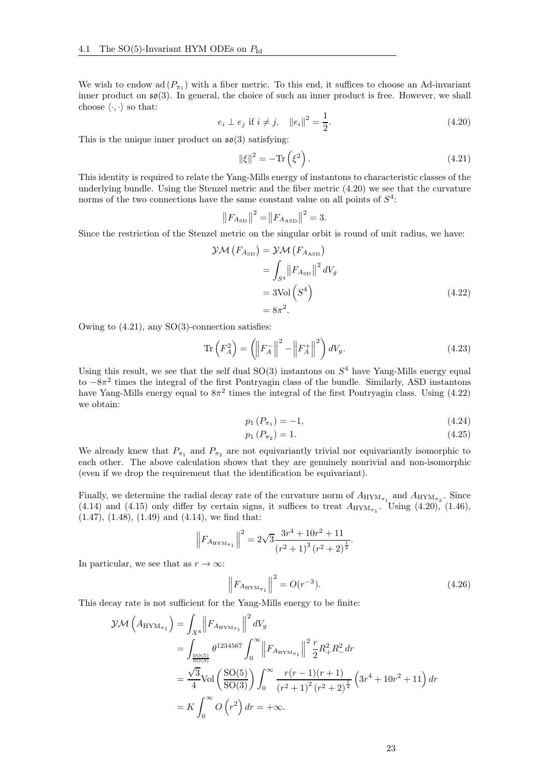We wish to endow ad  $(P_{\pi_1})$  with a fiber metric. To this end, it suffices to choose an Ad-invariant inner product on  $\mathfrak{so}(3)$ . In general, the choice of such an inner product is free. However, we shall choose  $\langle \cdot, \cdot \rangle$  so that:

<span id="page-22-0"></span>
$$
e_i \perp e_j \text{ if } i \neq j, \quad ||e_i||^2 = \frac{1}{2}.
$$
 (4.20)

This is the unique inner product on  $\mathfrak{so}(3)$  satisfying:

<span id="page-22-1"></span>
$$
\|\xi\|^2 = -\text{Tr}\left(\xi^2\right). \tag{4.21}
$$

This identity is required to relate the Yang-Mills energy of instantons to characteristic classes of the underlying bundle. Using the Stenzel metric and the fiber metric [\(4.20\)](#page-22-0) we see that the curvature norms of the two connections have the same constant value on all points of  $S<sup>4</sup>$ :

<span id="page-22-2"></span>
$$
||F_{A_{\rm SD}}||^2 = ||F_{A_{\rm ASD}}||^2 = 3.
$$

Since the restriction of the Stenzel metric on the singular orbit is round of unit radius, we have:

$$
\mathcal{YM}\left(F_{A_{\rm SD}}\right) = \mathcal{YM}\left(F_{A_{\rm AD}}\right)
$$
  
= 
$$
\int_{S^4} \left\|F_{A_{\rm SD}}\right\|^2 dV_g
$$
  
= 3Vol\left(S^4\right)  
=  $8\pi^2$ . (4.22)

Owing to [\(4.21\)](#page-22-1), any SO(3)-connection satisfies:

$$
\operatorname{Tr}\left(F_A^2\right) = \left(\left\|F_A^-\right\|^2 - \left\|F_A^+\right\|^2\right)dV_g. \tag{4.23}
$$

Using this result, we see that the self dual  $SO(3)$  instantons on  $S<sup>4</sup>$  have Yang-Mills energy equal to −8 $\pi^2$  times the integral of the first Pontryagin class of the bundle. Similarly, ASD instantons have Yang-Mills energy equal to  $8\pi^2$  times the integral of the first Pontryagin class. Using [\(4.22\)](#page-22-2) we obtain:

$$
p_1(P_{\pi_1}) = -1,\t\t(4.24)
$$

$$
p_1(P_{\pi_2}) = 1. \t\t(4.25)
$$

We already knew that  $P_{\pi_1}$  and  $P_{\pi_2}$  are not equivariantly trivial nor equivariantly isomorphic to each other. The above calculation shows that they are genuinely nonrivial and non-isomorphic (even if we drop the requirement that the identification be equivariant).

Finally, we determine the radial decay rate of the curvature norm of  $A_{\text{HYM}_{\pi_1}}$  and  $A_{\text{HYM}_{\pi_2}}$ . Since [\(4.14\)](#page-21-0) and [\(4.15\)](#page-21-1) only differ by certain signs, it suffices to treat  $A_{\text{HYM}_{\pi_1}}$ . Using [\(4.20\)](#page-22-0), [\(1.46\)](#page-5-7),  $(1.47), (1.48), (1.49)$  $(1.47), (1.48), (1.49)$  $(1.47), (1.48), (1.49)$  $(1.47), (1.48), (1.49)$  $(1.47), (1.48), (1.49)$  and  $(4.14),$  we find that:

$$
\left\|F_{A_{\text{HYM}_{\pi_1}}}\right\|^2 = 2\sqrt{3} \frac{3r^4 + 10r^2 + 11}{(r^2 + 1)^3 (r^2 + 2)^{\frac{1}{2}}}.
$$

In particular, we see that as  $r \to \infty$ :

$$
\left\| F_{A_{\text{HYM}_{\pi_1}}} \right\|^2 = O(r^{-3}). \tag{4.26}
$$

This decay rate is not sufficient for the Yang-Mills energy to be finite:

$$
\mathcal{YM}\left(A_{\text{HYM}_{\pi_1}}\right) = \int_{X^8} \left\| F_{A_{\text{HYM}_{\pi_1}}}\right\|^2 dV_g
$$
  
= 
$$
\int_{\frac{\text{SO}(5)}{\text{SO}(3)}} \theta^{1234567} \int_0^\infty \left\| F_{A_{\text{HYM}_{\pi_1}}}\right\|^2 \frac{r}{2} R_+^2 R_-^2 dr
$$
  
= 
$$
\frac{\sqrt{3}}{4} \text{Vol}\left(\frac{\text{SO}(5)}{\text{SO}(3)}\right) \int_0^\infty \frac{r(r-1)(r+1)}{(r^2+1)^2 (r^2+2)^{\frac{1}{2}}} \left(3r^4+10r^2+11\right) dr
$$
  
= 
$$
K \int_0^\infty O\left(r^2\right) dr = +\infty.
$$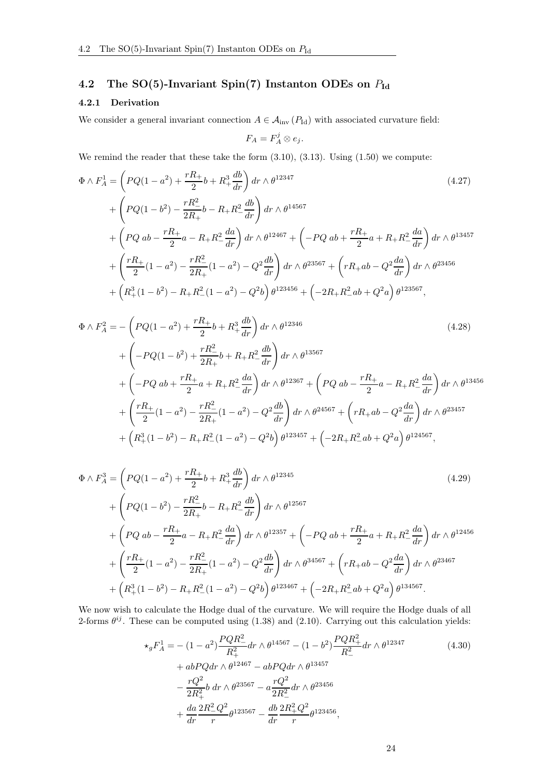# <span id="page-23-0"></span>4.2 The SO(5)-Invariant Spin(7) Instanton ODEs on  $P_{\text{Id}}$

### <span id="page-23-1"></span>4.2.1 Derivation

We consider a general invariant connection  $A \in \mathcal{A}_{\text{inv}}(P_{\text{Id}})$  with associated curvature field:

$$
F_A = F_A^j \otimes e_j.
$$

We remind the reader that these take the form  $(3.10)$ ,  $(3.13)$ . Using  $(1.50)$  we compute:

$$
\Phi \wedge F_A^1 = \left( PQ(1 - a^2) + \frac{rR_+}{2}b + R_+^3 \frac{db}{dr} \right) dr \wedge \theta^{12347}
$$
\n
$$
+ \left( PQ(1 - b^2) - \frac{rR_-^2}{2R_+}b - R_+R_-^2 \frac{db}{dr} \right) dr \wedge \theta^{14567}
$$
\n
$$
+ \left( PQ \, ab - \frac{rR_+}{2}a - R_+R_-^2 \frac{da}{dr} \right) dr \wedge \theta^{12467} + \left( -PQ \, ab + \frac{rR_+}{2}a + R_+R_-^2 \frac{da}{dr} \right) dr \wedge \theta^{13457}
$$
\n
$$
+ \left( \frac{rR_+}{2} (1 - a^2) - \frac{rR_-^2}{2R_+} (1 - a^2) - Q^2 \frac{db}{dr} \right) dr \wedge \theta^{23567} + \left( rR_+ab - Q^2 \frac{da}{dr} \right) dr \wedge \theta^{23456}
$$
\n
$$
+ \left( R_+^3 (1 - b^2) - R_+R_-^2 (1 - a^2) - Q^2 b \right) \theta^{123456} + \left( -2R_+R_-^2 ab + Q^2 a \right) \theta^{123567},
$$
\n
$$
(4.27)
$$

$$
\Phi \wedge F_A^2 = -\left(PQ(1-a^2) + \frac{rR_+}{2}b + R_+^3 \frac{db}{dr}\right)dr \wedge \theta^{12346}
$$
\n
$$
+ \left(-PQ(1-b^2) + \frac{rR_-^2}{2R_+}b + R_+R_-^2 \frac{db}{dr}\right)dr \wedge \theta^{13567}
$$
\n
$$
+ \left(-PQ ab + \frac{rR_+}{2}a + R_+R_-^2 \frac{da}{dr}\right)dr \wedge \theta^{12367} + \left(PQ ab - \frac{rR_+}{2}a - R_+R_-^2 \frac{da}{dr}\right)dr \wedge \theta^{13456}
$$
\n
$$
+ \left(\frac{rR_+}{2}(1-a^2) - \frac{rR_-^2}{2R_+}(1-a^2) - Q^2 \frac{db}{dr}\right)dr \wedge \theta^{24567} + \left(rR_+ab - Q^2 \frac{da}{dr}\right)dr \wedge \theta^{23457}
$$
\n
$$
+ \left(R_+^3(1-b^2) - R_+R_-^2(1-a^2) - Q^2b\right)\theta^{123457} + \left(-2R_+R_-^2ab + Q^2a\right)\theta^{124567},
$$
\n(4.28)

$$
\Phi \wedge F_A^3 = \left( PQ(1 - a^2) + \frac{rR_+}{2}b + R_+^3 \frac{db}{dr} \right) dr \wedge \theta^{12345}
$$
\n
$$
+ \left( PQ(1 - b^2) - \frac{rR_-^2}{2R_+}b - R_+R_-^2 \frac{db}{dr} \right) dr \wedge \theta^{12567}
$$
\n
$$
+ \left( PQ \, ab - \frac{rR_+}{2}a - R_+R_-^2 \frac{da}{dr} \right) dr \wedge \theta^{12357} + \left( -PQ \, ab + \frac{rR_+}{2}a + R_+R_-^2 \frac{da}{dr} \right) dr \wedge \theta^{12456}
$$
\n
$$
+ \left( \frac{rR_+}{2} (1 - a^2) - \frac{rR_-^2}{2R_+} (1 - a^2) - Q^2 \frac{db}{dr} \right) dr \wedge \theta^{34567} + \left( rR_+ab - Q^2 \frac{da}{dr} \right) dr \wedge \theta^{23467}
$$
\n
$$
+ \left( R_+^3 (1 - b^2) - R_+R_-^2 (1 - a^2) - Q^2 b \right) \theta^{123467} + \left( -2R_+R_-^2 ab + Q^2 a \right) \theta^{134567}.
$$
\n
$$
(4.29)
$$

We now wish to calculate the Hodge dual of the curvature. We will require the Hodge duals of all 2-forms  $\theta^{ij}$ . These can be computed using [\(1.38\)](#page-4-5) and [\(2.10\)](#page-7-1). Carrying out this calculation yields:

$$
\begin{split}\n\star_{g} F_{A}^{1} &= -\left(1 - a^{2}\right) \frac{PQR_{-}^{2}}{R_{+}^{2}} dr \wedge \theta^{14567} - \left(1 - b^{2}\right) \frac{PQR_{+}^{2}}{R_{-}^{2}} dr \wedge \theta^{12347} \\
&\quad + abPQdr \wedge \theta^{12467} - abPQdr \wedge \theta^{13457} \\
&\quad - \frac{rQ^{2}}{2R_{+}^{2}} b dr \wedge \theta^{23567} - a \frac{rQ^{2}}{2R_{-}^{2}} dr \wedge \theta^{23456} \\
&\quad + \frac{da}{dr} \frac{2R_{-}^{2}Q^{2}}{r} \theta^{123567} - \frac{db}{dr} \frac{2R_{+}^{2}Q^{2}}{r} \theta^{123456},\n\end{split} \tag{4.30}
$$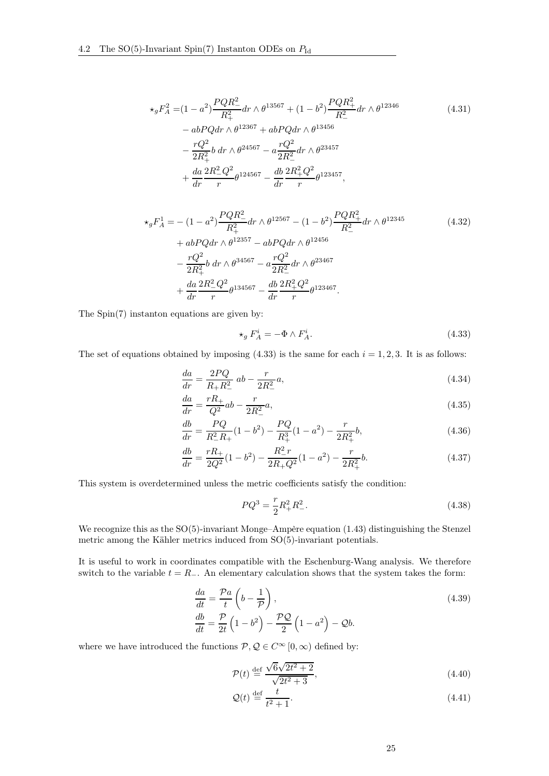$$
\star_g F_A^2 = (1 - a^2) \frac{PQR_{-}^2}{R_+^2} dr \wedge \theta^{13567} + (1 - b^2) \frac{PQR_{+}^2}{R_-^2} dr \wedge \theta^{12346}
$$
\n
$$
- abPQdr \wedge \theta^{12367} + abPQdr \wedge \theta^{13456}
$$
\n
$$
- \frac{rQ^2}{2R_+^2} b dr \wedge \theta^{24567} - a \frac{rQ^2}{2R_-^2} dr \wedge \theta^{23457}
$$
\n
$$
+ \frac{da}{dr} \frac{2R_-^2 Q^2}{r} \theta^{124567} - \frac{db}{dr} \frac{2R_+^2 Q^2}{r} \theta^{123457},
$$
\n
$$
(4.31)
$$

$$
\star_g F_A^1 = -(1 - a^2) \frac{PQR_{-}^2}{R_+^2} dr \wedge \theta^{12567} - (1 - b^2) \frac{PQR_{+}^2}{R_-^2} dr \wedge \theta^{12345}
$$
\n
$$
+ abPQdr \wedge \theta^{12357} - abPQdr \wedge \theta^{12456}
$$
\n
$$
- \frac{rQ^2}{2R_+^2} b dr \wedge \theta^{34567} - a \frac{rQ^2}{2R_-^2} dr \wedge \theta^{23467}
$$
\n
$$
+ \frac{da}{dr} \frac{2R_{-}^2 Q^2}{r} \theta^{134567} - \frac{db}{dr} \frac{2R_{+}^2 Q^2}{r} \theta^{123467}.
$$
\n(4.32)

The Spin(7) instanton equations are given by:

<span id="page-24-0"></span>
$$
\star_g F_A^i = -\Phi \wedge F_A^i. \tag{4.33}
$$

The set of equations obtained by imposing  $(4.33)$  is the same for each  $i = 1, 2, 3$ . It is as follows:

$$
\frac{da}{dr} = \frac{2PQ}{R_{+}R_{-}^{2}}ab - \frac{r}{2R_{-}^{2}}a,
$$
\n(4.34)

$$
\frac{da}{dr} = \frac{rR_+}{Q^2}ab - \frac{r}{2R_-^2}a,\tag{4.35}
$$

$$
\frac{db}{dr} = \frac{PQ}{R_{-}^{2}R_{+}}(1 - b^{2}) - \frac{PQ}{R_{+}^{3}}(1 - a^{2}) - \frac{r}{2R_{+}^{2}}b,
$$
\n(4.36)

$$
\frac{db}{dr} = \frac{rR_+}{2Q^2}(1 - b^2) - \frac{R_-^2r}{2R_+Q^2}(1 - a^2) - \frac{r}{2R_+^2}b.
$$
\n(4.37)

This system is overdetermined unless the metric coefficients satisfy the condition:

$$
PQ^3 = \frac{r}{2}R_+^2R_-^2.
$$
\n(4.38)

We recognize this as the SO(5)-invariant Monge–Ampère equation [\(1.43\)](#page-5-1) distinguishing the Stenzel metric among the Kähler metrics induced from SO(5)-invariant potentials.

It is useful to work in coordinates compatible with the Eschenburg-Wang analysis. We therefore switch to the variable  $t = R_-\$ . An elementary calculation shows that the system takes the form:

$$
\frac{da}{dt} = \frac{\mathcal{P}a}{t} \left( b - \frac{1}{\mathcal{P}} \right),
$$
\n
$$
\frac{db}{dt} = \frac{\mathcal{P}}{2t} \left( 1 - b^2 \right) - \frac{\mathcal{P}Q}{2} \left( 1 - a^2 \right) - Qb.
$$
\n(4.39)

where we have introduced the functions  $P, Q \in C^{\infty}[0, \infty)$  defined by:

<span id="page-24-1"></span>
$$
\mathcal{P}(t) \stackrel{\text{def}}{=} \frac{\sqrt{6}\sqrt{2t^2 + 2}}{\sqrt{2t^2 + 3}},\tag{4.40}
$$

$$
\mathcal{Q}(t) \stackrel{\text{def}}{=} \frac{t}{t^2 + 1}.\tag{4.41}
$$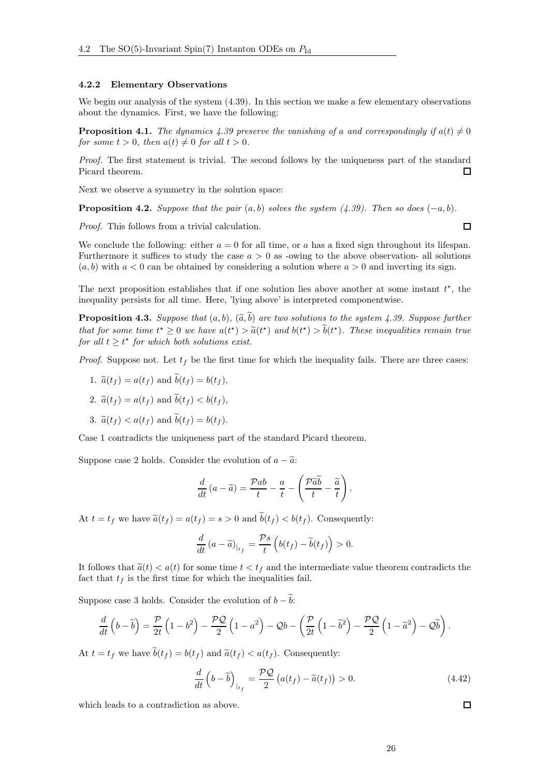#### <span id="page-25-0"></span>4.2.2 Elementary Observations

We begin our analysis of the system  $(4.39)$ . In this section we make a few elementary observations about the dynamics. First, we have the following:

<span id="page-25-1"></span>**Proposition 4.1.** The dynamics [4.39](#page-24-1) preserve the vanishing of a and correspondingly if  $a(t) \neq 0$ for some  $t > 0$ , then  $a(t) \neq 0$  for all  $t > 0$ .

Proof. The first statement is trivial. The second follows by the uniqueness part of the standard Picard theorem. П

Next we observe a symmetry in the solution space:

<span id="page-25-3"></span>**Proposition 4.2.** Suppose that the pair  $(a, b)$  solves the system  $(4.39)$ . Then so does  $(-a, b)$ .

Proof. This follows from a trivial calculation.

We conclude the following: either  $a = 0$  for all time, or a has a fixed sign throughout its lifespan. Furthermore it suffices to study the case  $a > 0$  as -owing to the above observation- all solutions  $(a, b)$  with  $a < 0$  can be obtained by considering a solution where  $a > 0$  and inverting its sign.

The next proposition establishes that if one solution lies above another at some instant  $t^*$ , the inequality persists for all time. Here, 'lying above' is interpreted componentwise.

<span id="page-25-2"></span>**Proposition 4.3.** Suppose that  $(a, b)$ ,  $(\widetilde{a}, \widetilde{b})$  are two solutions to the system [4.39.](#page-24-1) Suppose further that for some time  $t^* \geq 0$  we have  $a(t^*) > \tilde{a}(t^*)$  and  $b(t^*) > b(t^*)$ . These inequalities remain true for all  $t \geq t^*$  for which both solutions exist.

*Proof.* Suppose not. Let  $t_f$  be the first time for which the inequality fails. There are three cases:

- 1.  $\tilde{a}(t_f) = a(t_f)$  and  $\tilde{b}(t_f) = b(t_f)$ ,
- 2.  $\tilde{a}(t_f) = a(t_f)$  and  $\tilde{b}(t_f) < b(t_f)$ ,
- 3.  $\tilde{a}(t_f) < a(t_f)$  and  $\tilde{b}(t_f) = b(t_f)$ .

Case 1 contradicts the uniqueness part of the standard Picard theorem.

Suppose case 2 holds. Consider the evolution of  $a - \tilde{a}$ .

$$
\frac{d}{dt}(a-\widetilde{a}) = \frac{\mathcal{P}ab}{t} - \frac{a}{t} - \left(\frac{\mathcal{P}\widetilde{a}\widetilde{b}}{t} - \frac{\widetilde{a}}{t}\right).
$$

At  $t = t_f$  we have  $\tilde{a}(t_f) = a(t_f) = s > 0$  and  $\tilde{b}(t_f) < b(t_f)$ . Consequently:

$$
\frac{d}{dt} (a - \widetilde{a})_{|_{t_f}} = \frac{\mathcal{P}s}{t} \left( b(t_f) - \widetilde{b}(t_f) \right) > 0.
$$

It follows that  $\tilde{a}(t) < a(t)$  for some time  $t < t_f$  and the intermediate value theorem contradicts the fact that  $t_f$  is the first time for which the inequalities fail.

Suppose case 3 holds. Consider the evolution of  $b - \tilde{b}$ :

$$
\frac{d}{dt}\left(b-\widetilde{b}\right)=\frac{\mathcal{P}}{2t}\left(1-b^2\right)-\frac{\mathcal{P}\mathcal{Q}}{2}\left(1-a^2\right)-\mathcal{Q}b-\left(\frac{\mathcal{P}}{2t}\left(1-\widetilde{b}^2\right)-\frac{\mathcal{P}\mathcal{Q}}{2}\left(1-\widetilde{a}^2\right)-\mathcal{Q}\widetilde{b}\right).
$$

At  $t = t_f$  we have  $\tilde{b}(t_f) = b(t_f)$  and  $\tilde{a}(t_f) < a(t_f)$ . Consequently:

$$
\frac{d}{dt}\left(b-\widetilde{b}\right)_{|_{t_f}} = \frac{\mathcal{PQ}}{2}\left(a(t_f) - \widetilde{a}(t_f)\right) > 0.
$$
\n(4.42)

which leads to a contradiction as above.

 $\Box$ 

 $\Box$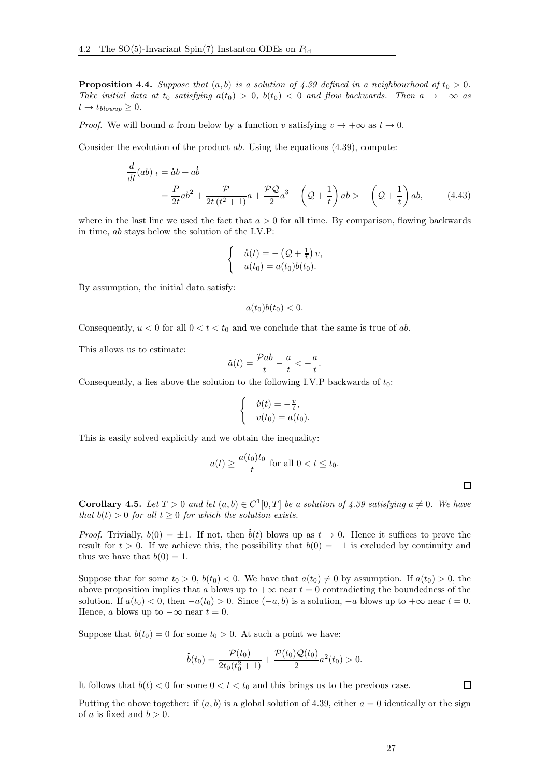**Proposition 4.4.** Suppose that  $(a, b)$  is a solution of [4.39](#page-24-1) defined in a neighbourhood of  $t_0 > 0$ . Take initial data at  $t_0$  satisfying  $a(t_0) > 0$ ,  $b(t_0) < 0$  and flow backwards. Then  $a \to +\infty$  as  $t \to t_{blowup} \geq 0.$ 

*Proof.* We will bound a from below by a function v satisfying  $v \to +\infty$  as  $t \to 0$ .

Consider the evolution of the product  $ab$ . Using the equations  $(4.39)$ , compute:

$$
\frac{d}{dt}(ab)|_t = \dot{a}b + a\dot{b}
$$
\n
$$
= \frac{P}{2t}ab^2 + \frac{P}{2t(t^2+1)}a + \frac{PQ}{2}a^3 - \left(Q + \frac{1}{t}\right)ab > -\left(Q + \frac{1}{t}\right)ab,\tag{4.43}
$$

where in the last line we used the fact that  $a > 0$  for all time. By comparison, flowing backwards in time, ab stays below the solution of the I.V.P:

$$
\begin{cases}\n\dot{u}(t) = -\left(\mathcal{Q} + \frac{1}{t}\right)v, \\
u(t_0) = a(t_0)b(t_0).\n\end{cases}
$$

By assumption, the initial data satisfy:

$$
a(t_0)b(t_0) < 0.
$$

Consequently,  $u < 0$  for all  $0 < t < t_0$  and we conclude that the same is true of ab.

This allows us to estimate:

$$
\dot{a}(t) = \frac{\mathcal{P}ab}{t} - \frac{a}{t} < -\frac{a}{t}.
$$

Consequently, a lies above the solution to the following I.V.P backwards of  $t_0$ :

$$
\begin{cases} & \dot{v}(t) = -\frac{v}{t}, \\ & v(t_0) = a(t_0). \end{cases}
$$

This is easily solved explicitly and we obtain the inequality:

$$
a(t) \ge \frac{a(t_0)t_0}{t}
$$
 for all  $0 < t \le t_0$ .

<span id="page-26-0"></span>**Corollary 4.5.** Let  $T > 0$  and let  $(a, b) \in C^1[0, T]$  be a solution of [4.39](#page-24-1) satisfying  $a \neq 0$ . We have

that  $b(t) > 0$  for all  $t \geq 0$  for which the solution exists. .

*Proof.* Trivially,  $b(0) = \pm 1$ . If not, then  $b(t)$  blows up as  $t \to 0$ . Hence it suffices to prove the result for  $t > 0$ . If we achieve this, the possibility that  $b(0) = -1$  is excluded by continuity and thus we have that  $b(0) = 1$ .

Suppose that for some  $t_0 > 0$ ,  $b(t_0) < 0$ . We have that  $a(t_0) \neq 0$  by assumption. If  $a(t_0) > 0$ , the above proposition implies that a blows up to  $+\infty$  near  $t = 0$  contradicting the boundedness of the solution. If  $a(t_0) < 0$ , then  $-a(t_0) > 0$ . Since  $(-a, b)$  is a solution,  $-a$  blows up to  $+\infty$  near  $t = 0$ . Hence, a blows up to  $-\infty$  near  $t = 0$ .

Suppose that  $b(t_0) = 0$  for some  $t_0 > 0$ . At such a point we have:

$$
\dot{b}(t_0) = \frac{\mathcal{P}(t_0)}{2t_0(t_0^2+1)} + \frac{\mathcal{P}(t_0)\mathcal{Q}(t_0)}{2}a^2(t_0) > 0.
$$

It follows that  $b(t) < 0$  for some  $0 < t < t_0$  and this brings us to the previous case.

Putting the above together: if  $(a, b)$  is a global solution of [4.39,](#page-24-1) either  $a = 0$  identically or the sign of a is fixed and  $b > 0$ .

 $\Box$ 

 $\Box$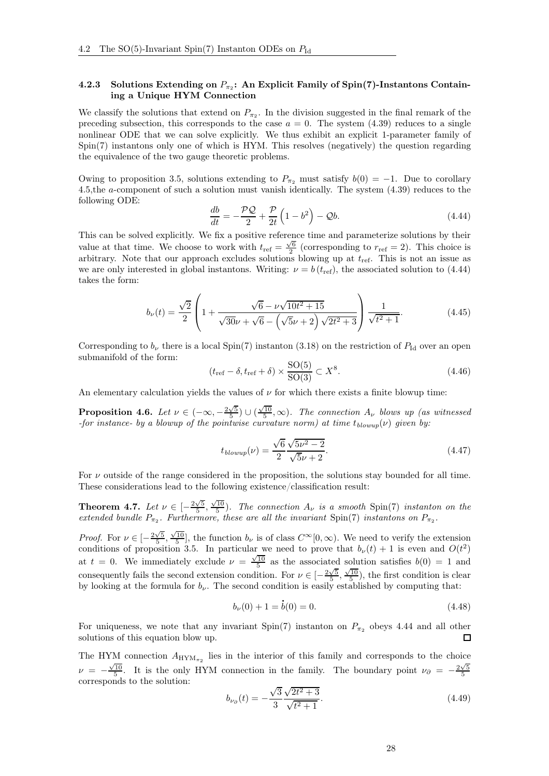#### <span id="page-27-0"></span>4.2.3 Solutions Extending on  $P_{\pi_2}$ : An Explicit Family of Spin(7)-Instantons Containing a Unique HYM Connection

We classify the solutions that extend on  $P_{\pi_2}$ . In the division suggested in the final remark of the preceding subsection, this corresponds to the case  $a = 0$ . The system [\(4.39\)](#page-24-1) reduces to a single nonlinear ODE that we can solve explicitly. We thus exhibit an explicit 1-parameter family of Spin(7) instantons only one of which is HYM. This resolves (negatively) the question regarding the equivalence of the two gauge theoretic problems.

Owing to proposition [3.5,](#page-18-3) solutions extending to  $P_{\pi_2}$  must satisfy  $b(0) = -1$ . Due to corollary [4.5,](#page-26-0)the a-component of such a solution must vanish identically. The system [\(4.39\)](#page-24-1) reduces to the following ODE:

<span id="page-27-1"></span>
$$
\frac{db}{dt} = -\frac{\mathcal{PQ}}{2} + \frac{\mathcal{P}}{2t} \left( 1 - b^2 \right) - \mathcal{Q}b. \tag{4.44}
$$

This can be solved explicitly. We fix a positive reference time and parameterize solutions by their value at that time. We choose to work with  $t_{\text{ref}} = \frac{\sqrt{6}}{2}$  (corresponding to  $r_{\text{ref}} = 2$ ). This choice is arbitrary. Note that our approach excludes solutions blowing up at  $t_{\text{ref}}$ . This is not an issue as we are only interested in global instantons. Writing:  $\nu = b(t_{ref})$ , the associated solution to [\(4.44\)](#page-27-1) takes the form:

<span id="page-27-2"></span>
$$
b_{\nu}(t) = \frac{\sqrt{2}}{2} \left( 1 + \frac{\sqrt{6} - \nu \sqrt{10t^2 + 15}}{\sqrt{30}\nu + \sqrt{6} - (\sqrt{5}\nu + 2) \sqrt{2t^2 + 3}} \right) \frac{1}{\sqrt{t^2 + 1}}.
$$
 (4.45)

Corresponding to  $b_{\nu}$  there is a local Spin(7) instanton [\(3.18\)](#page-12-5) on the restriction of  $P_{\text{Id}}$  over an open submanifold of the form:

$$
(t_{\rm ref} - \delta, t_{\rm ref} + \delta) \times \frac{\text{SO}(5)}{\text{SO}(3)} \subset X^8. \tag{4.46}
$$

An elementary calculation yields the values of  $\nu$  for which there exists a finite blowup time:

**Proposition 4.6.** Let  $\nu \in (-\infty, -\frac{2\sqrt{5}}{5}) \cup (\frac{\sqrt{10}}{5}, \infty)$ . The connection  $A_{\nu}$  blows up (as witnessed -for instance- by a blowup of the pointwise curvature norm) at time  $t_{blown}(v)$  given by:

$$
t_{blowup}(\nu) = \frac{\sqrt{6}}{2} \frac{\sqrt{5\nu^2 - 2}}{\sqrt{5\nu + 2}}.
$$
\n(4.47)

For  $\nu$  outside of the range considered in the proposition, the solutions stay bounded for all time. These considerations lead to the following existence/classification result:

**Theorem 4.7.** Let  $\nu \in [-\frac{2\sqrt{5}}{5}, \frac{\sqrt{10}}{5})$ . The connection  $A_{\nu}$  is a smooth Spin(7) instanton on the extended bundle  $P_{\pi_2}$ . Furthermore, these are all the invariant Spin(7) instantons on  $P_{\pi_2}$ .

*Proof.* For  $\nu \in \left[-\frac{2\sqrt{5}}{5}, \frac{\sqrt{10}}{5}\right]$ , the function  $b_{\nu}$  is of class  $C^{\infty}[0, \infty)$ . We need to verify the extension conditions of proposition [3.5.](#page-18-3) In particular we need to prove that  $b_{\nu}(t) + 1$  is even and  $O(t^2)$ at  $t = 0$ . We immediately exclude  $\nu = \frac{\sqrt{10}}{5}$  as the associated solution satisfies  $b(0) = 1$  and consequently fails the second extension condition. For  $\nu \in \left[-\frac{2\sqrt{5}}{5}, \frac{\sqrt{10}}{5}\right)$ , the first condition is clear by looking at the formula for  $b_{\nu}$ . The second condition is easily established by computing that:

$$
b_{\nu}(0) + 1 = \dot{b}(0) = 0. \tag{4.48}
$$

For uniqueness, we note that any invariant Spin(7) instanton on  $P_{\pi_2}$  obeys [4.44](#page-27-1) and all other solutions of this equation blow up. □

The HYM connection  $A_{\text{HYM}_{\pi_2}}$  lies in the interior of this family and corresponds to the choice  $\nu = -\frac{\sqrt{10}}{5}$ . It is the only HYM connection in the family. The boundary point  $\nu_{\partial} = -\frac{2\sqrt{5}}{5}$ corresponds to the solution:

$$
b_{\nu_{\partial}}(t) = -\frac{\sqrt{3}}{3} \frac{\sqrt{2t^2 + 3}}{\sqrt{t^2 + 1}}.
$$
\n(4.49)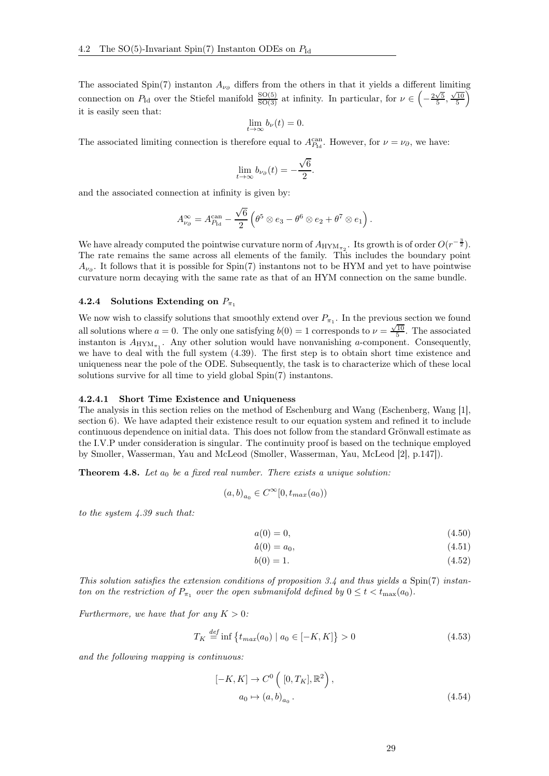The associated Spin(7) instanton  $A_{\nu_{\alpha}}$  differs from the others in that it yields a different limiting connection on  $P_{\text{Id}}$  over the Stiefel manifold  $\frac{\text{SO}(5)}{\text{SO}(3)}$  at infinity. In particular, for  $\nu \in ($  $-\frac{2\sqrt{5}}{5}, \frac{\sqrt{10}}{5}$ Ñ it is easily seen that:

$$
\lim_{t \to \infty} b_{\nu}(t) = 0.
$$

The associated limiting connection is therefore equal to  $A_{P_{\text{Id}}}^{\text{can}}$ . However, for  $\nu = \nu_{\partial}$ , we have:

$$
\lim_{t \to \infty} b_{\nu_{\partial}}(t) = -\frac{\sqrt{6}}{2}.
$$

and the associated connection at infinity is given by:

$$
A^{\infty}_{\nu_{\partial}} = A^{\text{can}}_{P_{\text{Id}}} - \frac{\sqrt{6}}{2} \left( \theta^5 \otimes e_3 - \theta^6 \otimes e_2 + \theta^7 \otimes e_1 \right).
$$

We have already computed the pointwise curvature norm of  $A_{\text{HYM}_{\pi_2}}$ . Its growth is of order  $O(r^{-\frac{3}{2}})$ . The rate remains the same across all elements of the family. This includes the boundary point  $A_{\nu_{\partial}}$ . It follows that it is possible for Spin(7) instantons not to be HYM and yet to have pointwise curvature norm decaying with the same rate as that of an HYM connection on the same bundle.

#### <span id="page-28-0"></span>4.2.4 Solutions Extending on  $P_{\pi_1}$

We now wish to classify solutions that smoothly extend over  $P_{\pi_1}$ . In the previous section we found all solutions where  $a = 0$ . The only one satisfying  $b(0) = 1$  corresponds to  $\nu = \frac{\sqrt{10}}{5}$ . The associated instanton is  $A_{\text{HYM}_{\pi_1}}$ . Any other solution would have nonvanishing a-component. Consequently, we have to deal with the full system [\(4.39\)](#page-24-1). The first step is to obtain short time existence and uniqueness near the pole of the ODE. Subsequently, the task is to characterize which of these local solutions survive for all time to yield global Spin(7) instantons.

#### <span id="page-28-1"></span>4.2.4.1 Short Time Existence and Uniqueness

The analysis in this section relies on the method of Eschenburg and Wang (Eschenberg, Wang [\[1\]](#page-41-4), section 6). We have adapted their existence result to our equation system and refined it to include continuous dependence on initial data. This does not follow from the standard Grönwall estimate as the I.V.P under consideration is singular. The continuity proof is based on the technique employed by Smoller, Wasserman, Yau and McLeod (Smoller, Wasserman, Yau, McLeod [\[2\]](#page-41-11), p.147]).

<span id="page-28-5"></span>**Theorem 4.8.** Let  $a_0$  be a fixed real number. There exists a unique solution:

$$
(a,b)_{a_0} \in C^{\infty}[0,t_{max}(a_0))
$$

to the system [4.39](#page-24-1) such that:

<span id="page-28-2"></span>
$$
a(0) = 0,\t\t(4.50)
$$

<span id="page-28-3"></span>
$$
\dot{a}(0) = 0,
$$
\n(4.50)  
\n
$$
\dot{a}(0) = a_0,
$$
\n(4.51)

<span id="page-28-4"></span>
$$
b(0) = 1.\t\t(4.52)
$$

This solution satisfies the extension conditions of proposition [3.4](#page-18-2) and thus yields a Spin(7) instanton on the restriction of  $P_{\pi_1}$  over the open submanifold defined by  $0 \leq t < t_{\max}(a_0)$ .

Furthermore, we have that for any  $K > 0$ :

$$
T_K \stackrel{def}{=} \inf \{ t_{max}(a_0) \mid a_0 \in [-K, K] \} > 0 \tag{4.53}
$$

and the following mapping is continuous:

$$
[-K, K] \to C^{0} ([0, T_{K}], \mathbb{R}^{2}),
$$
  

$$
a_{0} \mapsto (a, b)_{a_{0}}.
$$
 (4.54)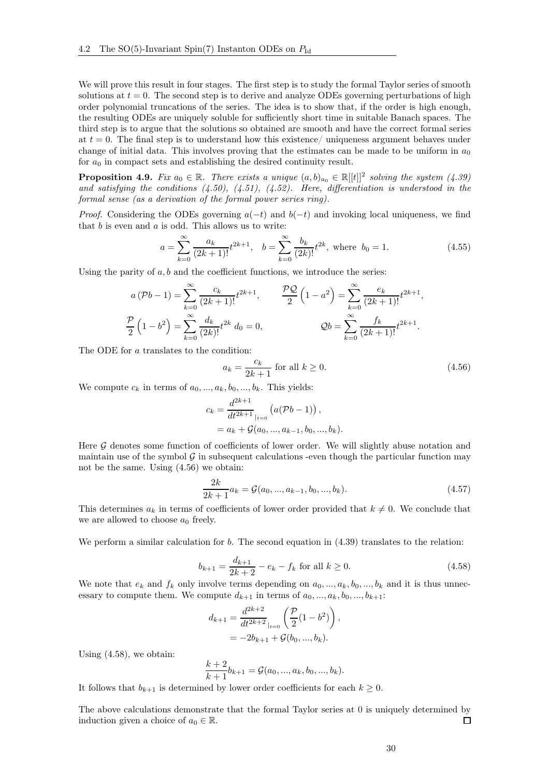We will prove this result in four stages. The first step is to study the formal Taylor series of smooth solutions at  $t = 0$ . The second step is to derive and analyze ODEs governing perturbations of high order polynomial truncations of the series. The idea is to show that, if the order is high enough, the resulting ODEs are uniquely soluble for sufficiently short time in suitable Banach spaces. The third step is to argue that the solutions so obtained are smooth and have the correct formal series at  $t = 0$ . The final step is to understand how this existence/ uniqueness argument behaves under change of initial data. This involves proving that the estimates can be made to be uniform in  $a_0$ for  $a_0$  in compact sets and establishing the desired continuity result.

<span id="page-29-2"></span>**Proposition 4.9.** Fix  $a_0 \in \mathbb{R}$ . There exists a unique  $(a, b)_{a_0} \in \mathbb{R}[[t]]^2$  solving the system  $(4.39)$ and satisfying the conditions  $(4.50)$ ,  $(4.51)$ ,  $(4.52)$ . Here, differentiation is understood in the formal sense (as a derivation of the formal power series ring).

*Proof.* Considering the ODEs governing  $a(-t)$  and  $b(-t)$  and invoking local uniqueness, we find that  $b$  is even and  $a$  is odd. This allows us to write:

$$
a = \sum_{k=0}^{\infty} \frac{a_k}{(2k+1)!} t^{2k+1}, \quad b = \sum_{k=0}^{\infty} \frac{b_k}{(2k)!} t^{2k}, \text{ where } b_0 = 1.
$$
 (4.55)

Using the parity of  $a, b$  and the coefficient functions, we introduce the series:

$$
a (Pb - 1) = \sum_{k=0}^{\infty} \frac{c_k}{(2k+1)!} t^{2k+1}, \qquad \frac{\mathcal{PQ}}{2} \left(1 - a^2\right) = \sum_{k=0}^{\infty} \frac{e_k}{(2k+1)!} t^{2k+1},
$$
  

$$
\frac{\mathcal{P}}{2} \left(1 - b^2\right) = \sum_{k=0}^{\infty} \frac{d_k}{(2k)!} t^{2k} d_0 = 0,
$$
  

$$
\mathcal{Q}b = \sum_{k=0}^{\infty} \frac{f_k}{(2k+1)!} t^{2k+1}.
$$

The ODE for a translates to the condition:

<span id="page-29-0"></span>
$$
a_k = \frac{c_k}{2k+1} \text{ for all } k \ge 0. \tag{4.56}
$$

We compute  $c_k$  in terms of  $a_0, \ldots, a_k, b_0, \ldots, b_k$ . This yields:

$$
c_k = \frac{d^{2k+1}}{dt^{2k+1}}\Big|_{t=0} (a(\mathcal{P}b-1)),
$$
  
=  $a_k + \mathcal{G}(a_0, ..., a_{k-1}, b_0, ..., b_k).$ 

Here  $G$  denotes some function of coefficients of lower order. We will slightly abuse notation and maintain use of the symbol  $\mathcal G$  in subsequent calculations -even though the particular function may not be the same. Using [\(4.56\)](#page-29-0) we obtain:

$$
\frac{2k}{2k+1}a_k = \mathcal{G}(a_0, ..., a_{k-1}, b_0, ..., b_k).
$$
 (4.57)

This determines  $a_k$  in terms of coefficients of lower order provided that  $k \neq 0$ . We conclude that we are allowed to choose  $a_0$  freely.

We perform a similar calculation for  $b$ . The second equation in  $(4.39)$  translates to the relation:

<span id="page-29-1"></span>
$$
b_{k+1} = \frac{d_{k+1}}{2k+2} - e_k - f_k \text{ for all } k \ge 0.
$$
 (4.58)

We note that  $e_k$  and  $f_k$  only involve terms depending on  $a_0, ..., a_k, b_0, ..., b_k$  and it is thus unnecessary to compute them. We compute  $d_{k+1}$  in terms of  $a_0, ..., a_k, b_0, ..., b_{k+1}$ :

$$
d_{k+1} = \frac{d^{2k+2}}{dt^{2k+2}}\Big|_{t=0} \left(\frac{\mathcal{P}}{2}(1-b^2)\right),
$$
  
= -2b<sub>k+1</sub> + \mathcal{G}(b\_0, ..., b\_k).

Using [\(4.58\)](#page-29-1), we obtain:

$$
\frac{k+2}{k+1}b_{k+1} = \mathcal{G}(a_0, ..., a_k, b_0, ..., b_k).
$$

It follows that  $b_{k+1}$  is determined by lower order coefficients for each  $k \geq 0$ .

The above calculations demonstrate that the formal Taylor series at 0 is uniquely determined by induction given a choice of  $a_0 \in \mathbb{R}$ .  $\Box$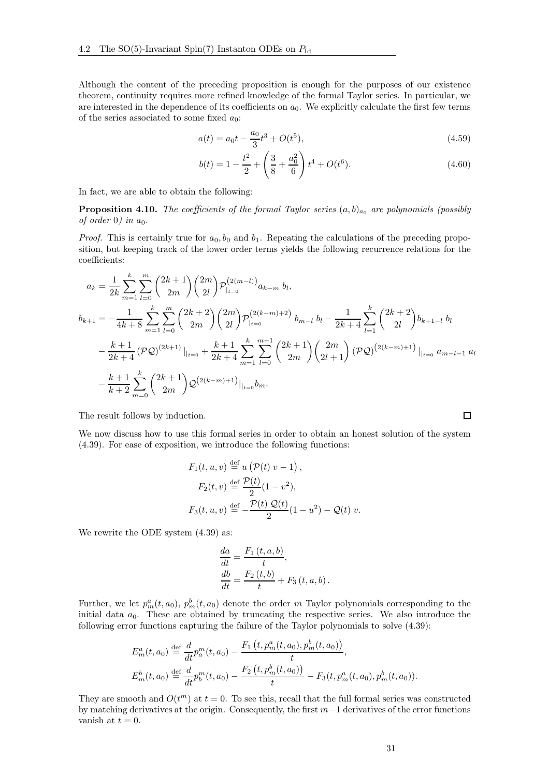Although the content of the preceding proposition is enough for the purposes of our existence theorem, continuity requires more refined knowledge of the formal Taylor series. In particular, we are interested in the dependence of its coefficients on  $a_0$ . We explicitly calculate the first few terms of the series associated to some fixed  $a_0$ :

$$
a(t) = a_0 t - \frac{a_0}{3} t^3 + O(t^5),
$$
\n(4.59)

<span id="page-30-2"></span><span id="page-30-1"></span>
$$
b(t) = 1 - \frac{t^2}{2} + \left(\frac{3}{8} + \frac{a_0^2}{6}\right)t^4 + O(t^6).
$$
 (4.60)

In fact, we are able to obtain the following:

<span id="page-30-0"></span>**Proposition 4.10.** The coefficients of the formal Taylor series  $(a, b)_{a_0}$  are polynomials (possibly of order 0) in  $a_0$ .

*Proof.* This is certainly true for  $a_0, b_0$  and  $b_1$ . Repeating the calculations of the preceding proposition, but keeping track of the lower order terms yields the following recurrence relations for the coefficients:

$$
a_{k} = \frac{1}{2k} \sum_{m=1}^{k} \sum_{l=0}^{m} {2k+1 \choose 2m} {2m \choose 2l} \mathcal{P}_{|_{t=0}}^{(2(m-l))} a_{k-m} b_{l},
$$
  
\n
$$
b_{k+1} = -\frac{1}{4k+8} \sum_{m=1}^{k} \sum_{l=0}^{m} {2k+2 \choose 2m} {2m \choose 2l} \mathcal{P}_{|_{t=0}}^{(2(k-m)+2)} b_{m-l} b_{l} - \frac{1}{2k+4} \sum_{l=1}^{k} {2k+2 \choose 2l} b_{k+1-l} b_{l}
$$
  
\n
$$
-\frac{k+1}{2k+4} (\mathcal{P} \mathcal{Q})^{(2k+1)} |_{t=0} + \frac{k+1}{2k+4} \sum_{m=1}^{k} \sum_{l=0}^{m-1} {2k+1 \choose 2m} {2m \choose 2l+1} (\mathcal{P} \mathcal{Q})^{(2(k-m)+1)} |_{t=0} a_{m-l-1} a_{l}
$$
  
\n
$$
-\frac{k+1}{k+2} \sum_{m=0}^{k} {2k+1 \choose 2m} \mathcal{Q}^{(2(k-m)+1)} |_{t=0} b_{m}.
$$

The result follows by induction.

We now discuss how to use this formal series in order to obtain an honest solution of the system [\(4.39\)](#page-24-1). For ease of exposition, we introduce the following functions:

$$
F_1(t, u, v) \stackrel{\text{def}}{=} u(\mathcal{P}(t) v - 1),
$$
  
\n
$$
F_2(t, v) \stackrel{\text{def}}{=} \frac{\mathcal{P}(t)}{2}(1 - v^2),
$$
  
\n
$$
F_3(t, u, v) \stackrel{\text{def}}{=} -\frac{\mathcal{P}(t) \mathcal{Q}(t)}{2}(1 - u^2) - \mathcal{Q}(t) v.
$$

We rewrite the ODE system  $(4.39)$  as:

$$
\begin{aligned}\n\frac{da}{dt} &= \frac{F_1(t, a, b)}{t}, \\
\frac{db}{dt} &= \frac{F_2(t, b)}{t} + F_3(t, a, b).\n\end{aligned}
$$

Further, we let  $p_m^a(t, a_0)$ ,  $p_m^b(t, a_0)$  denote the order m Taylor polynomials corresponding to the initial data  $a_0$ . These are obtained by truncating the respective series. We also introduce the following error functions capturing the failure of the Taylor polynomials to solve [\(4.39\)](#page-24-1):

$$
E_m^a(t, a_0) \stackrel{\text{def}}{=} \frac{d}{dt} p_a^m(t, a_0) - \frac{F_1\left(t, p_m^a(t, a_0), p_m^b(t, a_0)\right)}{t},
$$
  

$$
E_m^b(t, a_0) \stackrel{\text{def}}{=} \frac{d}{dt} p_b^m(t, a_0) - \frac{F_2\left(t, p_m^b(t, a_0)\right)}{t} - F_3(t, p_m^a(t, a_0), p_m^b(t, a_0)).
$$

They are smooth and  $O(t^m)$  at  $t = 0$ . To see this, recall that the full formal series was constructed by matching derivatives at the origin. Consequently, the first m−1 derivatives of the error functions vanish at  $t = 0$ .

 $\Box$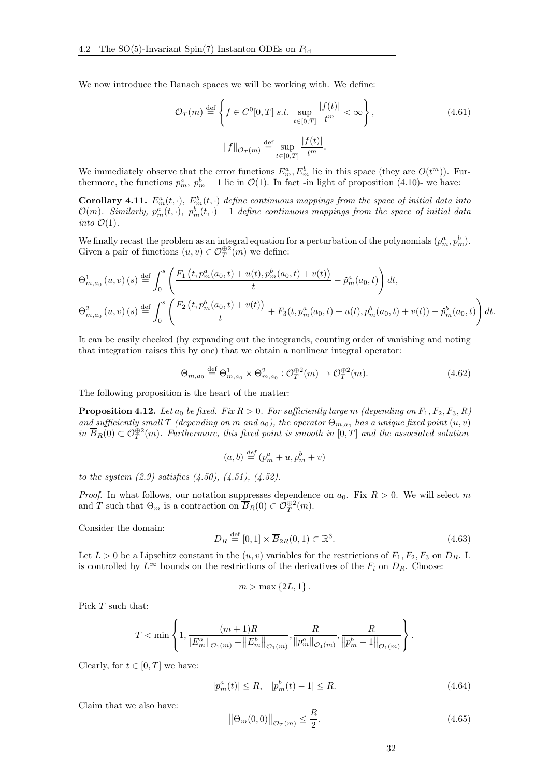We now introduce the Banach spaces we will be working with. We define:

$$
\mathcal{O}_T(m) \stackrel{\text{def}}{=} \left\{ f \in C^0[0, T] \text{ s.t. } \sup_{t \in [0, T]} \frac{|f(t)|}{t^m} < \infty \right\},\tag{4.61}
$$

$$
||f||_{\mathcal{O}_T(m)} \stackrel{\text{def}}{=} \sup_{t \in [0, T]} \frac{|f(t)|}{t^m}.
$$

We immediately observe that the error functions  $E_m^a, E_m^b$  lie in this space (they are  $O(t^m)$ ). Furthermore, the functions  $p_m^a$ ,  $p_m^b - 1$  lie in  $\mathcal{O}(1)$ . In fact -in light of proposition [\(4.10\)](#page-30-0)- we have:

<span id="page-31-3"></span>**Corollary 4.11.**  $E_m^a(t, \cdot)$ ,  $E_m^b(t, \cdot)$  define continuous mappings from the space of initial data into  $\mathcal{O}(m)$ . Similarly,  $p_m^a(t, \cdot)$ ,  $p_m^b(t, \cdot) - 1$  define continuous mappings from the space of initial data into  $\mathcal{O}(1)$ .

We finally recast the problem as an integral equation for a perturbation of the polynomials  $(p_m^a, p_m^b)$ . Given a pair of functions  $(u, v) \in \mathcal{O}_T^{\oplus 2}(m)$  we define:

$$
\Theta_{m,a_0}^1(u,v)(s) \stackrel{\text{def}}{=} \int_0^s \left( \frac{F_1(t, p_m^a(a_0, t) + u(t), p_m^b(a_0, t) + v(t))}{t} - \dot{p}_m^a(a_0, t) \right) dt,
$$
  

$$
\Theta_{m,a_0}^2(u,v)(s) \stackrel{\text{def}}{=} \int_0^s \left( \frac{F_2(t, p_m^b(a_0, t) + v(t))}{t} + F_3(t, p_m^a(a_0, t) + u(t), p_m^b(a_0, t) + v(t)) - \dot{p}_m^b(a_0, t) \right) dt.
$$

It can be easily checked (by expanding out the integrands, counting order of vanishing and noting that integration raises this by one) that we obtain a nonlinear integral operator:

$$
\Theta_{m,a_0} \stackrel{\text{def}}{=} \Theta_{m,a_0}^1 \times \Theta_{m,a_0}^2 : \mathcal{O}_T^{\oplus 2}(m) \to \mathcal{O}_T^{\oplus 2}(m). \tag{4.62}
$$

The following proposition is the heart of the matter:

<span id="page-31-2"></span>**Proposition 4.12.** Let  $a_0$  be fixed. Fix  $R > 0$ . For sufficiently large m (depending on  $F_1, F_2, F_3, R$ ) and sufficiently small T (depending on m and  $a_0$ ), the operator  $\Theta_{m,a_0}$  has a unique fixed point  $(u, v)$ in  $\overline{B}_R(0) \subset \mathcal{O}_T^{\oplus 2}(m)$ . Furthermore, this fixed point is smooth in  $[0,T]$  and the associated solution

$$
(a, b) \stackrel{def}{=} (p_m^a + u, p_m^b + v)
$$

to the system  $(2.9)$  satisfies  $(4.50)$ ,  $(4.51)$ ,  $(4.52)$ .

*Proof.* In what follows, our notation suppresses dependence on  $a_0$ . Fix  $R > 0$ . We will select m and T such that  $\Theta_m$  is a contraction on  $\overline{B}_R(0) \subset \mathcal{O}_T^{\oplus 2}(m)$ .

Consider the domain:

$$
D_R \stackrel{\text{def}}{=} [0,1] \times \overline{B}_{2R}(0,1) \subset \mathbb{R}^3. \tag{4.63}
$$

Let  $L > 0$  be a Lipschitz constant in the  $(u, v)$  variables for the restrictions of  $F_1, F_2, F_3$  on  $D_R$ . L is controlled by  $L^{\infty}$  bounds on the restrictions of the derivatives of the  $F_i$  on  $D_R$ . Choose:

$$
m > \max\left\{2L, 1\right\}.
$$

Pick T such that:

$$
T < \min\left\{1, \frac{(m+1)R}{\|E_m^a\|_{\mathcal{O}_1(m)} + \|E_m^b\|_{\mathcal{O}_1(m)}}, \frac{R}{\|p_m^a\|_{\mathcal{O}_1(m)}}, \frac{R}{\|p_m^b - 1\|_{\mathcal{O}_1(m)}}\right\}.
$$

Clearly, for  $t \in [0, T]$  we have:

<span id="page-31-0"></span>
$$
|p_m^a(t)| \le R, \quad |p_m^b(t) - 1| \le R. \tag{4.64}
$$

Claim that we also have:

<span id="page-31-1"></span>
$$
\left\|\Theta_m(0,0)\right\|_{\mathcal{O}_T(m)} \le \frac{R}{2}.\tag{4.65}
$$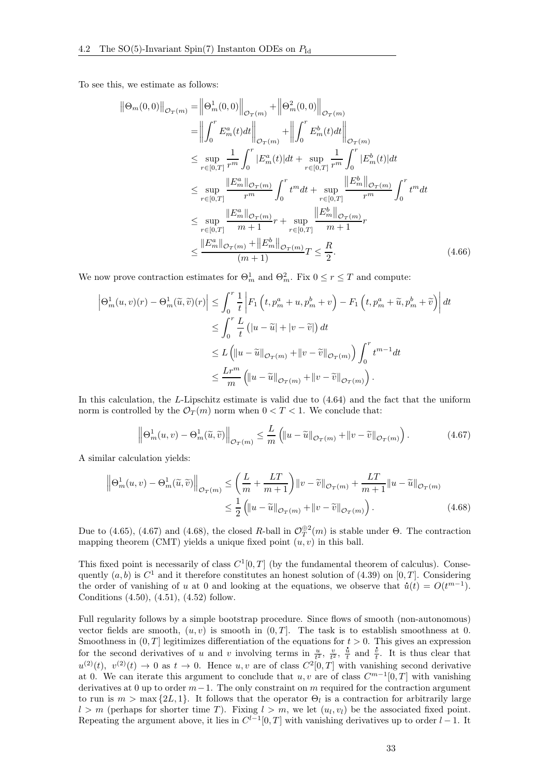To see this, we estimate as follows:

$$
\|\Theta_m(0,0)\|_{\mathcal{O}_T(m)} = \left\|\Theta_m^1(0,0)\right\|_{\mathcal{O}_T(m)} + \left\|\Theta_m^2(0,0)\right\|_{\mathcal{O}_T(m)} \n= \left\|\int_0^r E_m^a(t)dt\right\|_{\mathcal{O}_T(m)} + \left\|\int_0^r E_m^b(t)dt\right\|_{\mathcal{O}_T(m)} \n\leq \sup_{r \in [0,T]} \frac{1}{r^m} \int_0^r |E_m^a(t)|dt + \sup_{r \in [0,T]} \frac{1}{r^m} \int_0^r |E_m^b(t)|dt \n\leq \sup_{r \in [0,T]} \frac{\|E_m^a\|_{\mathcal{O}_T(m)}}{r^m} \int_0^r t^m dt + \sup_{r \in [0,T]} \frac{\|E_m^b\|_{\mathcal{O}_T(m)}}{r^m} \int_0^r t^m dt \n\leq \sup_{r \in [0,T]} \frac{\|E_m^a\|_{\mathcal{O}_T(m)}}{m+1} r + \sup_{r \in [0,T]} \frac{\|E_m^b\|_{\mathcal{O}_T(m)}}{m+1} r \n\leq \frac{\|E_m^a\|_{\mathcal{O}_T(m)} + \|E_m^b\|_{\mathcal{O}_T(m)}}{(m+1)} T \leq \frac{R}{2}.
$$
\n(4.66)

We now prove contraction estimates for  $\Theta_m^1$  and  $\Theta_m^2$ . Fix  $0 \le r \le T$  and compute:

$$
\left|\Theta_m^1(u,v)(r) - \Theta_m^1(\tilde{u},\tilde{v})(r)\right| \leq \int_0^r \frac{1}{t} \left| F_1\left(t, p_m^a + u, p_m^b + v\right) - F_1\left(t, p_m^a + \tilde{u}, p_m^b + \tilde{v}\right) \right| dt
$$
  
\n
$$
\leq \int_0^r \frac{L}{t} \left( |u - \tilde{u}| + |v - \tilde{v}| \right) dt
$$
  
\n
$$
\leq L \left( \|u - \tilde{u}\|_{\mathcal{O}_T(m)} + \|v - \tilde{v}\|_{\mathcal{O}_T(m)} \right) \int_0^r t^{m-1} dt
$$
  
\n
$$
\leq \frac{Lr^m}{m} \left( \|u - \tilde{u}\|_{\mathcal{O}_T(m)} + \|v - \tilde{v}\|_{\mathcal{O}_T(m)} \right).
$$

In this calculation, the L-Lipschitz estimate is valid due to  $(4.64)$  and the fact that the uniform norm is controlled by the  $\mathcal{O}_T(m)$  norm when  $0 < T < 1$ . We conclude that:

<span id="page-32-1"></span><span id="page-32-0"></span>
$$
\left\|\Theta_m^1(u,v) - \Theta_m^1(\widetilde{u},\widetilde{v})\right\|_{\mathcal{O}_T(m)} \le \frac{L}{m} \left( \|u - \widetilde{u}\|_{\mathcal{O}_T(m)} + \|v - \widetilde{v}\|_{\mathcal{O}_T(m)} \right). \tag{4.67}
$$

A similar calculation yields:

$$
\left\|\Theta_m^1(u,v) - \Theta_m^1(\widetilde{u},\widetilde{v})\right\|_{\mathcal{O}_T(m)} \le \left(\frac{L}{m} + \frac{LT}{m+1}\right) \|v - \widetilde{v}\|_{\mathcal{O}_T(m)} + \frac{LT}{m+1} \|u - \widetilde{u}\|_{\mathcal{O}_T(m)} \le \frac{1}{2} \left( \|u - \widetilde{u}\|_{\mathcal{O}_T(m)} + \|v - \widetilde{v}\|_{\mathcal{O}_T(m)} \right).
$$
\n(4.68)

Due to [\(4.65\)](#page-31-1), [\(4.67\)](#page-32-0) and [\(4.68\)](#page-32-1), the closed R-ball in  $\mathcal{O}_T^{\oplus 2}(m)$  is stable under  $\Theta$ . The contraction mapping theorem (CMT) yields a unique fixed point  $(u, v)$  in this ball.

This fixed point is necessarily of class  $C^1[0,T]$  (by the fundamental theorem of calculus). Consequently  $(a, b)$  is  $C<sup>1</sup>$  and it therefore constitutes an honest solution of  $(4.39)$  on  $[0, T]$ . Considering the order of vanishing of u at 0 and looking at the equations, we observe that  $\dot{u}(t) = O(t^{m-1})$ . Conditions [\(4.50\)](#page-28-2), [\(4.51\)](#page-28-3), [\(4.52\)](#page-28-4) follow.

Full regularity follows by a simple bootstrap procedure. Since flows of smooth (non-autonomous) vector fields are smooth,  $(u, v)$  is smooth in  $(0, T]$ . The task is to establish smoothness at 0. Smoothness in  $(0, T]$  legitimizes differentiation of the equations for  $t > 0$ . This gives an expression smootnness in  $(0, I)$  legitimizes differentiation of the equations for  $t > 0$ . This gives an expression<br>for the second derivatives of u and v involving terms in  $\frac{u}{t^2}$ ,  $\frac{v}{t^2}$ ,  $\frac{u}{t}$  and  $\frac{v}{t}$ . It is thu  $u^{(2)}(t), v^{(2)}(t) \to 0$  as  $t \to 0$ . Hence  $u, v$  are of class  $C^2[0,T]$  with vanishing second derivative at 0. We can iterate this argument to conclude that  $u, v$  are of class  $C^{m-1}[0,T]$  with vanishing derivatives at 0 up to order  $m-1$ . The only constraint on m required for the contraction argument to run is  $m > \max\{2L, 1\}$ . It follows that the operator  $\Theta_l$  is a contraction for arbitrarily large  $l > m$  (perhaps for shorter time T). Fixing  $l > m$ , we let  $(u_l, v_l)$  be the associated fixed point. Repeating the argument above, it lies in  $C^{l-1}[0,T]$  with vanishing derivatives up to order  $l-1$ . It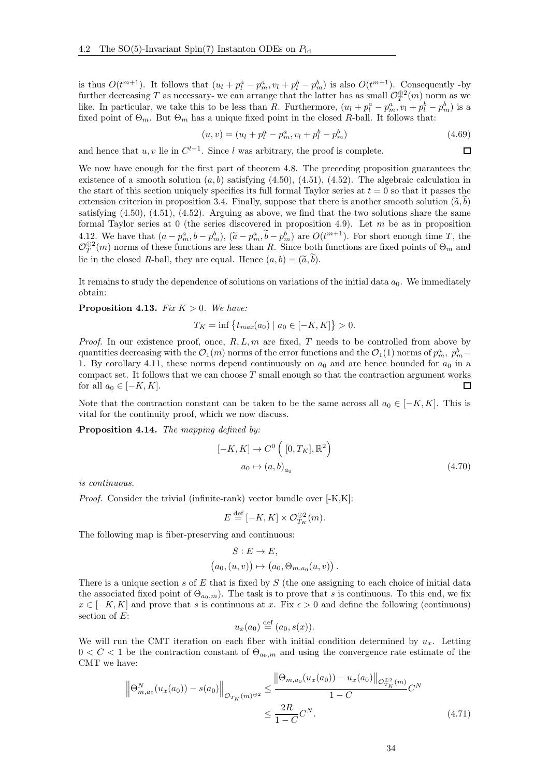is thus  $O(t^{m+1})$ . It follows that  $(u_l + p_l^a - p_m^a, v_l + p_l^b - p_m^b)$  is also  $O(t^{m+1})$ . Consequently -by further decreasing T as necessary- we can arrange that the latter has as small  $\mathcal{O}_T^{\oplus 2}(m)$  norm as we like. In particular, we take this to be less than R. Furthermore,  $(u_l + p_l^a - p_m^a, v_l + p_l^b - p_m^b)$  is a fixed point of  $\Theta_m$ . But  $\Theta_m$  has a unique fixed point in the closed R-ball. It follows that:

$$
(u, v) = (ul + pla - pma, vl + plb - pmb)
$$
\n(4.69)

 $\Box$ 

and hence that  $u, v$  lie in  $C^{l-1}$ . Since l was arbitrary, the proof is complete.

We now have enough for the first part of theorem [4.8.](#page-28-5) The preceding proposition guarantees the existence of a smooth solution  $(a, b)$  satisfying  $(4.50)$ ,  $(4.51)$ ,  $(4.52)$ . The algebraic calculation in the start of this section uniquely specifies its full formal Taylor series at  $t = 0$  so that it passes the extension criterion in proposition [3.4.](#page-18-2) Finally, suppose that there is another smooth solution  $(\tilde{a},b)$ satisfying  $(4.50)$ ,  $(4.51)$ ,  $(4.52)$ . Arguing as above, we find that the two solutions share the same formal Taylor series at 0 (the series discovered in proposition [4.9\)](#page-29-2). Let  $m$  be as in proposition [4.12.](#page-31-2) We have that  $(a - p_m^a, b - p_m^b)$ ,  $(\tilde{a} - p_m^a, \tilde{b} - p_m^b)$  are  $O(t^{m+1})$ . For short enough time T, the  $\mathcal{O}_T^{\oplus 2}(m)$  norms of these functions are less than R. Since both functions are fixed points of  $\Theta_m$  and lie in the closed R-ball, they are equal. Hence  $(a, b) = (\tilde{a}, b)$ .

It remains to study the dependence of solutions on variations of the initial data  $a_0$ . We immediately obtain:

**Proposition 4.13.** Fix  $K > 0$ . We have:

$$
T_K = \inf \{ t_{max}(a_0) \mid a_0 \in [-K, K] \} > 0.
$$

*Proof.* In our existence proof, once,  $R, L, m$  are fixed, T needs to be controlled from above by quantities decreasing with the  $\mathcal{O}_1(m)$  norms of the error functions and the  $\mathcal{O}_1(1)$  norms of  $p_m^a$ ,  $p_m^b$  – 1. By corollary [4.11,](#page-31-3) these norms depend continuously on  $a_0$  and are hence bounded for  $a_0$  in a compact set. It follows that we can choose  $T$  small enough so that the contraction argument works for all  $a_0 \in [-K, K]$ . П

Note that the contraction constant can be taken to be the same across all  $a_0 \in [-K, K]$ . This is vital for the continuity proof, which we now discuss.

Proposition 4.14. The mapping defined by:

$$
[-K, K] \rightarrow C^{0} ([0, T_{K}], \mathbb{R}^{2})
$$

$$
a_{0} \mapsto (a, b)_{a_{0}}
$$
(4.70)

is continuous.

Proof. Consider the trivial (infinite-rank) vector bundle over [-K,K]:

$$
E \stackrel{\text{def}}{=} [-K, K] \times \mathcal{O}_{T_K}^{\oplus 2}(m).
$$

The following map is fiber-preserving and continuous:

$$
S: E \to E,
$$
  
 $(a_0, (u, v)) \mapsto (a_0, \Theta_{m,a_0}(u, v)).$ 

There is a unique section s of E that is fixed by  $S$  (the one assigning to each choice of initial data the associated fixed point of  $\Theta_{a_0,m}$ ). The task is to prove that s is continuous. To this end, we fix  $x \in [-K, K]$  and prove that s is continuous at x. Fix  $\epsilon > 0$  and define the following (continuous) section of  $E$ :

<span id="page-33-0"></span>
$$
u_x(a_0) \stackrel{\text{def}}{=} (a_0, s(x)).
$$

We will run the CMT iteration on each fiber with initial condition determined by  $u_x$ . Letting  $0 < C < 1$  be the contraction constant of  $\Theta_{a_0,m}$  and using the convergence rate estimate of the CMT we have:

$$
\left\| \Theta_{m,a_0}^N(u_x(a_0)) - s(a_0) \right\|_{\mathcal{O}_{T_K}(m)^{\oplus 2}} \le \frac{\left\| \Theta_{m,a_0}(u_x(a_0)) - u_x(a_0) \right\|_{\mathcal{O}_{T_K}^{\oplus 2}(m)}}{1 - C} C^N
$$
\n
$$
\le \frac{2R}{1 - C} C^N. \tag{4.71}
$$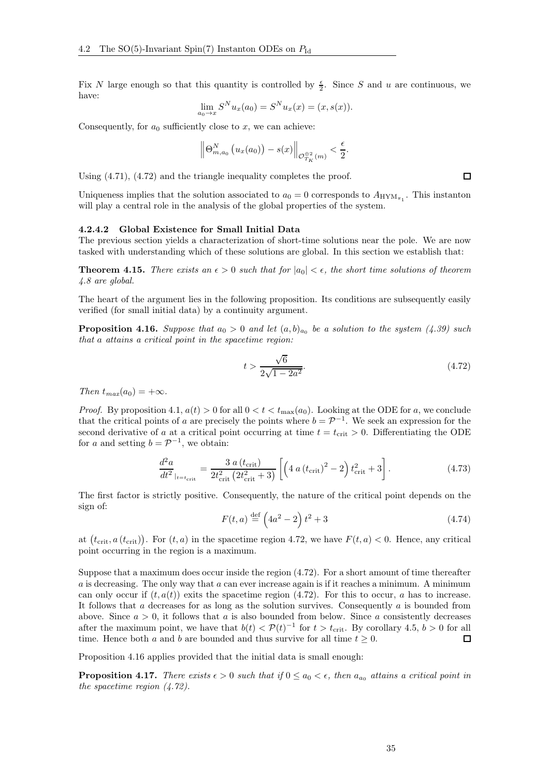Fix N large enough so that this quantity is controlled by  $\frac{\epsilon}{2}$ . Since S and u are continuous, we have:

$$
\lim_{a_0 \to x} S^N u_x(a_0) = S^N u_x(x) = (x, s(x)).
$$

Consequently, for  $a_0$  sufficiently close to x, we can achieve:

$$
\left\|\Theta_{m,a_0}^N\left(u_x(a_0)\right)-s(x)\right\|_{\mathcal{O}_{T_K}^{\oplus2}(m)}<\frac{\epsilon}{2}.
$$

Using [\(4.71\)](#page-33-0), [\(4.72\)](#page-34-1) and the triangle inequality completes the proof.

Uniqueness implies that the solution associated to  $a_0 = 0$  corresponds to  $A_{HYM_{\pi_1}}$ . This instanton will play a central role in the analysis of the global properties of the system.

#### <span id="page-34-0"></span>4.2.4.2 Global Existence for Small Initial Data

The previous section yields a characterization of short-time solutions near the pole. We are now tasked with understanding which of these solutions are global. In this section we establish that:

<span id="page-34-3"></span>**Theorem 4.15.** There exists an  $\epsilon > 0$  such that for  $|a_0| < \epsilon$ , the short time solutions of theorem [4.8](#page-28-5) are global.

The heart of the argument lies in the following proposition. Its conditions are subsequently easily verified (for small initial data) by a continuity argument.

<span id="page-34-2"></span>**Proposition 4.16.** Suppose that  $a_0 > 0$  and let  $(a, b)_{a_0}$  be a solution to the system [\(4.39\)](#page-24-1) such that a attains a critical point in the spacetime region:

<span id="page-34-1"></span>
$$
t > \frac{\sqrt{6}}{2\sqrt{1 - 2a^2}}.\tag{4.72}
$$

Then  $t_{max}(a_0) = +\infty$ .

*Proof.* By proposition [4.1,](#page-25-1)  $a(t) > 0$  for all  $0 < t < t_{\text{max}}(a_0)$ . Looking at the ODE for a, we conclude that the critical points of a are precisely the points where  $b = \mathcal{P}^{-1}$ . We seek an expression for the second derivative of a at a critical point occurring at time  $t = t_{\text{crit}} > 0$ . Differentiating the ODE for a and setting  $b = \mathcal{P}^{-1}$ , we obtain:

$$
\frac{d^2 a}{dt^2}_{|t=t_{\rm crit}} = \frac{3 a (t_{\rm crit})}{2t_{\rm crit}^2 (2t_{\rm crit}^2 + 3)} \left[ \left( 4 a (t_{\rm crit})^2 - 2 \right) t_{\rm crit}^2 + 3 \right]. \tag{4.73}
$$

The first factor is strictly positive. Consequently, the nature of the critical point depends on the sign of:

$$
F(t,a) \stackrel{\text{def}}{=} \left(4a^2 - 2\right)t^2 + 3\tag{4.74}
$$

at  $(t_{\text{crit}}, a(t_{\text{crit}}))$ . For  $(t, a)$  in the spacetime region [4.72,](#page-34-1) we have  $F(t, a) < 0$ . Hence, any critical point occurring in the region is a maximum.

Suppose that a maximum does occur inside the region [\(4.72\)](#page-34-1). For a short amount of time thereafter  $a$  is decreasing. The only way that  $a$  can ever increase again is if it reaches a minimum. A minimum can only occur if  $(t, a(t))$  exits the spacetime region [\(4.72\)](#page-34-1). For this to occur, a has to increase. It follows that  $a$  decreases for as long as the solution survives. Consequently  $a$  is bounded from above. Since  $a > 0$ , it follows that a is also bounded from below. Since a consistently decreases after the maximum point, we have that  $b(t) < \mathcal{P}(t)^{-1}$  for  $t > t_{\text{crit}}$ . By corollary [4.5,](#page-26-0)  $b > 0$  for all time. Hence both a and b are bounded and thus survive for all time  $t \geq 0$ .  $\Box$ 

Proposition [4.16](#page-34-2) applies provided that the initial data is small enough:

<span id="page-34-4"></span>**Proposition 4.17.** There exists  $\epsilon > 0$  such that if  $0 \le a_0 < \epsilon$ , then  $a_{a_0}$  attains a critical point in the spacetime region [\(4.72\)](#page-34-1).

 $\Box$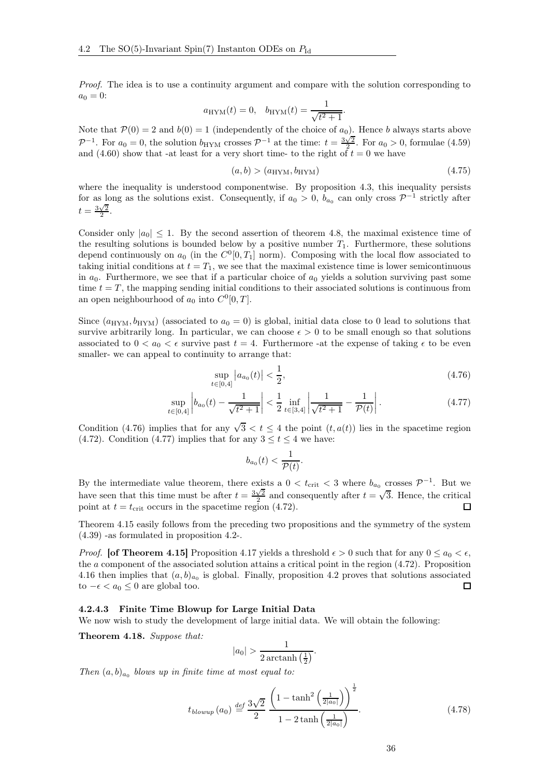Proof. The idea is to use a continuity argument and compare with the solution corresponding to  $a_0 = 0$ :

$$
a_{\text{HYM}}(t) = 0, \quad b_{\text{HYM}}(t) = \frac{1}{\sqrt{t^2 + 1}}.
$$

Note that  $\mathcal{P}(0) = 2$  and  $b(0) = 1$  (independently of the choice of  $a_0$ ). Hence b always starts above  $\mathcal{P}^{-1}$ . For  $a_0 = 0$ , the solution  $b_{\text{HYM}}$  crosses  $\mathcal{P}^{-1}$  at the time:  $t = \frac{3\sqrt{2}}{2}$ . For  $a_0 > 0$ , formulae [\(4.59\)](#page-30-1) and  $(4.60)$  show that -at least for a very short time- to the right of  $t = 0$  we have

$$
(a,b) > (aHYM, bHYM)
$$
\n(4.75)

where the inequality is understood componentwise. By proposition [4.3,](#page-25-2) this inequality persists for as long as the solutions exist. Consequently, if  $a_0 > 0$ ,  $b_{a_0}$  can only cross  $\mathcal{P}^{-1}$  strictly after  $t=\frac{3\sqrt{2}}{2}.$ 

Consider only  $|a_0| \leq 1$ . By the second assertion of theorem [4.8,](#page-28-5) the maximal existence time of the resulting solutions is bounded below by a positive number  $T_1$ . Furthermore, these solutions depend continuously on  $a_0$  (in the  $C^0[0,T_1]$  norm). Composing with the local flow associated to taking initial conditions at  $t = T_1$ , we see that the maximal existence time is lower semicontinuous in  $a_0$ . Furthermore, we see that if a particular choice of  $a_0$  yields a solution surviving past some time  $t = T$ , the mapping sending initial conditions to their associated solutions is continuous from an open neighbourhood of  $a_0$  into  $C^0[0,T]$ .

Since  $(a_{HYM}, b_{HYM})$  (associated to  $a_0 = 0$ ) is global, initial data close to 0 lead to solutions that survive arbitrarily long. In particular, we can choose  $\epsilon > 0$  to be small enough so that solutions associated to  $0 < a_0 < \epsilon$  survive past  $t = 4$ . Furthermore -at the expense of taking  $\epsilon$  to be even smaller- we can appeal to continuity to arrange that:

$$
\sup_{t \in [0,4]} |a_{a_0}(t)| < \frac{1}{2},\tag{4.76}
$$

$$
\sup_{t \in [0,4]} \left| b_{a_0}(t) - \frac{1}{\sqrt{t^2 + 1}} \right| < \frac{1}{2} \inf_{t \in [3,4]} \left| \frac{1}{\sqrt{t^2 + 1}} - \frac{1}{\mathcal{P}(t)} \right| \,. \tag{4.77}
$$

Condition [\(4.76\)](#page-35-1) implies that for any  $\sqrt{3} < t \le 4$  the point  $(t, a(t))$  lies in the spacetime region [\(4.72\)](#page-34-1). Condition [\(4.77\)](#page-35-2) implies that for any  $3 \le t \le 4$  we have:

<span id="page-35-2"></span><span id="page-35-1"></span>
$$
b_{a_0}(t) < \frac{1}{\mathcal{P}(t)}.
$$

By the intermediate value theorem, there exists a  $0 < t_{\text{crit}} < 3$  where  $b_{a_0}$  crosses  $\mathcal{P}^{-1}$ . But we have seen that this time must be after  $t = \frac{3\sqrt{2}}{2}$  and consequently after  $t = \sqrt{3}$ . Hence, the critical point at  $t = t_{\text{crit}}$  occurs in the spacetime region [\(4.72\)](#page-34-1).

Theorem [4.15](#page-34-3) easily follows from the preceding two propositions and the symmetry of the system [\(4.39\)](#page-24-1) -as formulated in proposition [4.2-](#page-25-3).

*Proof.* [of Theorem [4.15\]](#page-34-3) Proposition [4.17](#page-34-4) yields a threshold  $\epsilon > 0$  such that for any  $0 \le a_0 \le \epsilon$ , the a component of the associated solution attains a critical point in the region [\(4.72\)](#page-34-1). Proposition [4.16](#page-34-2) then implies that  $(a, b)_{a_0}$  is global. Finally, proposition [4.2](#page-25-3) proves that solutions associated to  $-\epsilon < a_0 \leq 0$  are global too.  $\Box$ 

#### <span id="page-35-0"></span>4.2.4.3 Finite Time Blowup for Large Initial Data

We now wish to study the development of large initial data. We will obtain the following:

<span id="page-35-3"></span>Theorem 4.18. Suppose that:

$$
|a_0| > \frac{1}{2\arctanh\left(\frac{1}{2}\right)}.
$$

Then  $(a, b)_{a_0}$  blows up in finite time at most equal to:

$$
t_{blowup}(a_0) \stackrel{def}{=} \frac{3\sqrt{2}}{2} \frac{\left(1 - \tanh^2\left(\frac{1}{2|a_0|}\right)\right)^{\frac{1}{2}}}{1 - 2\tanh\left(\frac{1}{2|a_0|}\right)}.
$$
\n(4.78)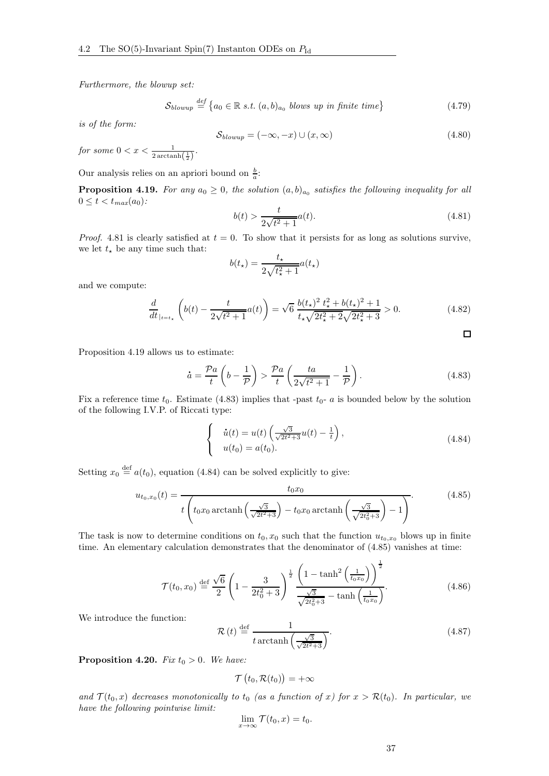Furthermore, the blowup set:

$$
S_{blowup} \stackrel{def}{=} \{a_0 \in \mathbb{R} \ s.t. \ (a, b)_{a_0} \ blows \ up \ in \ finite \ time\} \tag{4.79}
$$

is of the form:

$$
S_{blowup} = (-\infty, -x) \cup (x, \infty) \tag{4.80}
$$

for some  $0 < x < \frac{1}{2\arctanh(\frac{1}{2})}$ .

Our analysis relies on an apriori bound on  $\frac{b}{a}$ :

<span id="page-36-1"></span>**Proposition 4.19.** For any  $a_0 \geq 0$ , the solution  $(a, b)_{a_0}$  satisfies the following inequality for all  $0 \le t < t_{max}(a_0)$ :

<span id="page-36-0"></span>
$$
b(t) > \frac{t}{2\sqrt{t^2 + 1}}a(t).
$$
\n(4.81)

 $\Box$ 

*Proof.* [4.81](#page-36-0) is clearly satisfied at  $t = 0$ . To show that it persists for as long as solutions survive, we let  $t_{\star}$  be any time such that:

$$
b(t_\star) = \frac{t_\star}{2\sqrt{t_\star^2 + 1}} a(t_\star)
$$

and we compute:

$$
\frac{d}{dt}_{|t=t_{\star}}\left(b(t) - \frac{t}{2\sqrt{t^2+1}}a(t)\right) = \sqrt{6}\frac{b(t_{\star})^2 t_{\star}^2 + b(t_{\star})^2 + 1}{t_{\star}\sqrt{2t_{\star}^2 + 2\sqrt{2t_{\star}^2 + 3}}} > 0. \tag{4.82}
$$

Proposition [4.19](#page-36-1) allows us to estimate:

<span id="page-36-2"></span>
$$
\dot{a} = \frac{\mathcal{P}a}{t} \left( b - \frac{1}{\mathcal{P}} \right) > \frac{\mathcal{P}a}{t} \left( \frac{ta}{2\sqrt{t^2 + 1}} - \frac{1}{\mathcal{P}} \right). \tag{4.83}
$$

Fix a reference time  $t_0$ . Estimate [\(4.83\)](#page-36-2) implies that -past  $t_0$ - a is bounded below by the solution of the following I.V.P. of Riccati type:

<span id="page-36-3"></span>
$$
\begin{cases}\n\dot{u}(t) = u(t) \left( \frac{\sqrt{3}}{\sqrt{2t^2 + 3}} u(t) - \frac{1}{t} \right), \\
u(t_0) = a(t_0).\n\end{cases}
$$
\n(4.84)

Setting  $x_0 \stackrel{\text{def}}{=} a(t_0)$ , equation [\(4.84\)](#page-36-3) can be solved explicitly to give:

<span id="page-36-4"></span>
$$
u_{t_0,x_0}(t) = \frac{t_0x_0}{t \left(t_0x_0 \operatorname{arctanh}\left(\frac{\sqrt{3}}{\sqrt{2t^2+3}}\right) - t_0x_0 \operatorname{arctanh}\left(\frac{\sqrt{3}}{\sqrt{2t_0^2+3}}\right) - 1\right)}.
$$
(4.85)

The task is now to determine conditions on  $t_0, x_0$  such that the function  $u_{t_0, x_0}$  blows up in finite time. An elementary calculation demonstrates that the denominator of [\(4.85\)](#page-36-4) vanishes at time:

<span id="page-36-6"></span>
$$
\mathcal{T}(t_0, x_0) \stackrel{\text{def}}{=} \frac{\sqrt{6}}{2} \left( 1 - \frac{3}{2t_0^2 + 3} \right)^{\frac{1}{2}} \frac{\left( 1 - \tanh^2\left(\frac{1}{t_0 x_0}\right) \right)^{\frac{1}{2}}}{\frac{\sqrt{3}}{\sqrt{2t_0^2 + 3}} - \tanh\left(\frac{1}{t_0 x_0}\right)}.
$$
\n(4.86)

We introduce the function:

<span id="page-36-7"></span>
$$
\mathcal{R}\left(t\right) \stackrel{\text{def}}{=} \frac{1}{t \arctanh\left(\frac{\sqrt{3}}{\sqrt{2t^2+3}}\right)}.\tag{4.87}
$$

<span id="page-36-5"></span>**Proposition 4.20.** Fix  $t_0 > 0$ . We have:

$$
\mathcal{T}\left(t_0,\mathcal{R}(t_0)\right) = +\infty
$$

and  $\mathcal{T}(t_0,x)$  decreases monotonically to  $t_0$  (as a function of x) for  $x > \mathcal{R}(t_0)$ . In particular, we have the following pointwise limit:

$$
\lim_{x\to\infty} \mathcal{T}(t_0,x)=t_0.
$$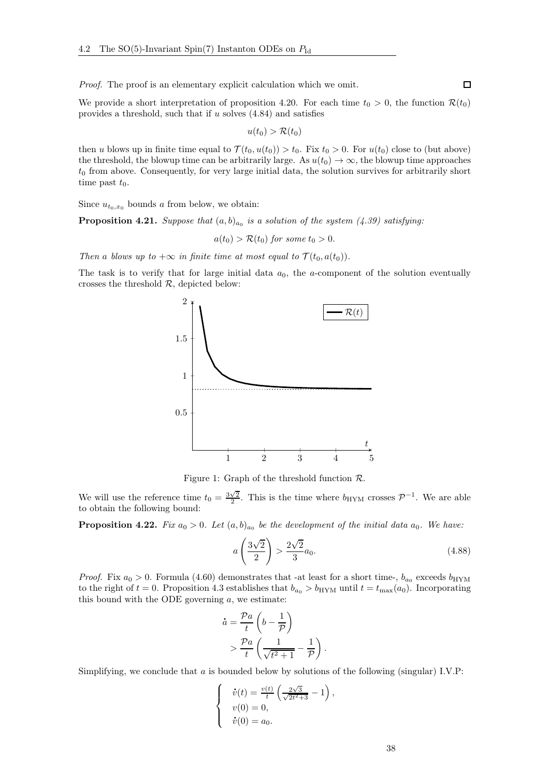Proof. The proof is an elementary explicit calculation which we omit.

We provide a short interpretation of proposition [4.20.](#page-36-5) For each time  $t_0 > 0$ , the function  $\mathcal{R}(t_0)$ provides a threshold, such that if  $u$  solves  $(4.84)$  and satisfies

$$
u(t_0) > \mathcal{R}(t_0)
$$

then u blows up in finite time equal to  $\mathcal{T}(t_0, u(t_0)) > t_0$ . Fix  $t_0 > 0$ . For  $u(t_0)$  close to (but above) the threshold, the blowup time can be arbitrarily large. As  $u(t_0) \to \infty$ , the blowup time approaches  $t_0$  from above. Consequently, for very large initial data, the solution survives for arbitrarily short time past  $t_0$ .

Since  $u_{t_0,x_0}$  bounds a from below, we obtain:

<span id="page-37-0"></span>**Proposition 4.21.** Suppose that  $(a, b)_{a_0}$  is a solution of the system [\(4.39\)](#page-24-1) satisfying:

 $a(t_0) > \mathcal{R}(t_0)$  for some  $t_0 > 0$ .

Then a blows up to  $+\infty$  in finite time at most equal to  $\mathcal{T}(t_0, a(t_0))$ .

The task is to verify that for large initial data  $a_0$ , the a-component of the solution eventually crosses the threshold  $R$ , depicted below:



Figure 1: Graph of the threshold function  $\mathcal{R}$ .

We will use the reference time  $t_0 = \frac{3\sqrt{2}}{2}$ . This is the time where  $b_{\text{HYM}}$  crosses  $\mathcal{P}^{-1}$ . We are able to obtain the following bound:

<span id="page-37-1"></span>**Proposition 4.22.** Fix  $a_0 > 0$ . Let  $(a, b)_{a_0}$  be the development of the initial data  $a_0$ . We have:

<span id="page-37-2"></span>
$$
a\left(\frac{3\sqrt{2}}{2}\right) > \frac{2\sqrt{2}}{3}a_0. \tag{4.88}
$$

*Proof.* Fix  $a_0 > 0$ . Formula [\(4.60\)](#page-30-2) demonstrates that -at least for a short time-,  $b_{a_0}$  exceeds  $b_{\text{HYM}}$ to the right of  $t = 0$ . Proposition [4.3](#page-25-2) establishes that  $b_{a_0} > b_{\text{HYM}}$  until  $t = t_{\text{max}}(a_0)$ . Incorporating this bound with the ODE governing  $a$ , we estimate:

$$
\dot{a} = \frac{\mathcal{P}a}{t} \left( b - \frac{1}{\mathcal{P}} \right)
$$

$$
> \frac{\mathcal{P}a}{t} \left( \frac{1}{\sqrt{t^2 + 1}} - \frac{1}{\mathcal{P}} \right).
$$

Simplifying, we conclude that a is bounded below by solutions of the following (singular) I.V.P:

$$
\begin{cases}\n\dot{v}(t) = \frac{v(t)}{t} \left( \frac{2\sqrt{3}}{\sqrt{2t^2 + 3}} - 1 \right), \\
v(0) = 0, \\
\dot{v}(0) = a_0.\n\end{cases}
$$

 $\Box$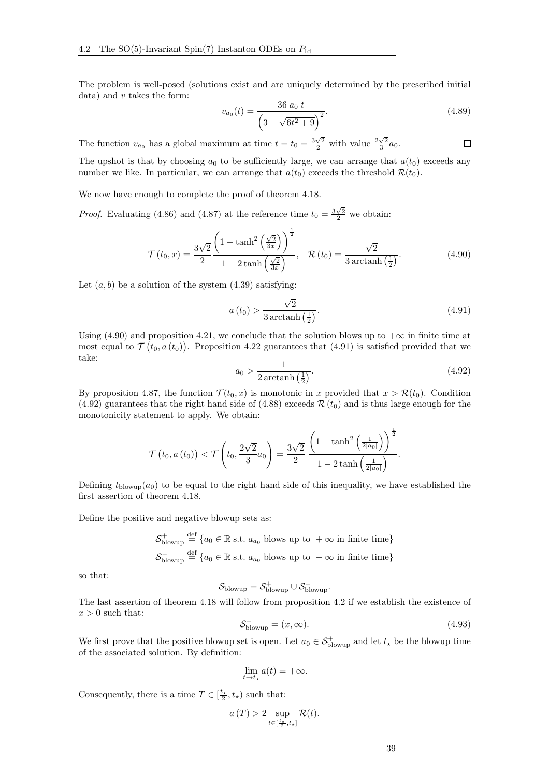The problem is well-posed (solutions exist and are uniquely determined by the prescribed initial data) and  $v$  takes the form:

$$
v_{a_0}(t) = \frac{36 a_0 t}{\left(3 + \sqrt{6t^2 + 9}\right)^2}.
$$
\n(4.89)

 $\Box$ 

The function  $v_{a_0}$  has a global maximum at time  $t = t_0 = \frac{3\sqrt{2}}{2}$  with value  $\frac{2\sqrt{2}}{3}a_0$ .

The upshot is that by choosing  $a_0$  to be sufficiently large, we can arrange that  $a(t_0)$  exceeds any number we like. In particular, we can arrange that  $a(t_0)$  exceeds the threshold  $\mathcal{R}(t_0)$ .

We now have enough to complete the proof of theorem [4.18.](#page-35-3)

*Proof.* Evaluating [\(4.86\)](#page-36-6) and [\(4.87\)](#page-36-7) at the reference time  $t_0 = \frac{3\sqrt{2}}{2}$  we obtain:

<span id="page-38-0"></span>
$$
\mathcal{T}(t_0, x) = \frac{3\sqrt{2}}{2} \frac{\left(1 - \tanh^2\left(\frac{\sqrt{2}}{3x}\right)\right)^{\frac{1}{2}}}{1 - 2\tanh\left(\frac{\sqrt{2}}{3x}\right)}, \quad \mathcal{R}(t_0) = \frac{\sqrt{2}}{3\arctanh\left(\frac{1}{2}\right)}.
$$
\n(4.90)

Let  $(a, b)$  be a solution of the system  $(4.39)$  satisfying:

<span id="page-38-1"></span>
$$
a(t_0) > \frac{\sqrt{2}}{3\arctanh\left(\frac{1}{2}\right)}.\tag{4.91}
$$

Using [\(4.90\)](#page-38-0) and proposition [4.21,](#page-37-0) we conclude that the solution blows up to  $+\infty$  in finite time at most equal to  $\mathcal{T}(t_0, a(t_0))$ . Proposition [4.22](#page-37-1) guarantees that [\(4.91\)](#page-38-1) is satisfied provided that we take:

<span id="page-38-2"></span>
$$
a_0 > \frac{1}{2\arctanh\left(\frac{1}{2}\right)}.\tag{4.92}
$$

By proposition [4.87,](#page-36-7) the function  $\mathcal{T}(t_0, x)$  is monotonic in x provided that  $x > \mathcal{R}(t_0)$ . Condition [\(4.92\)](#page-38-2) guarantees that the right hand side of [\(4.88\)](#page-37-2) exceeds  $\mathcal{R}(t_0)$  and is thus large enough for the monotonicity statement to apply. We obtain:

$$
\mathcal{T}\left(t_0, a\left(t_0\right)\right) < \mathcal{T}\left(t_0, \frac{2\sqrt{2}}{3}a_0\right) = \frac{3\sqrt{2}}{2} \frac{\left(1 - \tanh^2\left(\frac{1}{2|a_0|}\right)\right)^{\frac{1}{2}}}{1 - 2\tanh\left(\frac{1}{2|a_0|}\right)}.
$$

Defining  $t_{\text{blowup}}(a_0)$  to be equal to the right hand side of this inequality, we have established the first assertion of theorem [4.18.](#page-35-3)

Define the positive and negative blowup sets as:

$$
\mathcal{S}_{\text{blowup}}^{+} \stackrel{\text{def}}{=} \{a_0 \in \mathbb{R} \text{ s.t. } a_{a_0} \text{ blows up to } +\infty \text{ in finite time}\}\
$$

$$
\mathcal{S}_{\text{blowup}}^{-} \stackrel{\text{def}}{=} \{a_0 \in \mathbb{R} \text{ s.t. } a_{a_0} \text{ blows up to } -\infty \text{ in finite time}\}\
$$

so that:

$$
\mathcal{S}_{\rm blowup} = \mathcal{S}_{\rm blowup}^+ \cup \mathcal{S}_{\rm blowup}^-.
$$

The last assertion of theorem [4.18](#page-35-3) will follow from proposition [4.2](#page-25-3) if we establish the existence of  $x > 0$  such that:

<span id="page-38-3"></span>
$$
\mathcal{S}_{\text{blowup}}^{+} = (x, \infty). \tag{4.93}
$$

We first prove that the positive blowup set is open. Let  $a_0 \in S^+_{\text{blowup}}$  and let  $t_{\star}$  be the blowup time of the associated solution. By definition:

$$
\lim_{t \to t_{\star}} a(t) = +\infty.
$$

Consequently, there is a time  $T \in [\frac{t_{\star}}{2}, t_{\star})$  such that:

$$
a(T) > 2 \sup_{t \in [\frac{t_*}{2}, t_*]} \mathcal{R}(t).
$$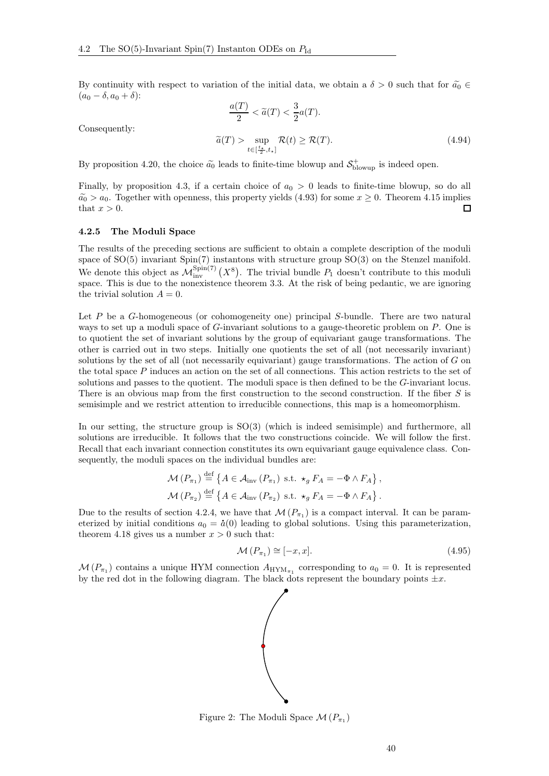By continuity with respect to variation of the initial data, we obtain a  $\delta > 0$  such that for  $\tilde{a}_0 \in$  $(a_0 - \delta, a_0 + \delta)$ :  $\langle T \rangle$  $\Omega$ 

$$
\frac{a(1)}{2} < \tilde{a}(T) < \frac{3}{2}a(T).
$$
\n
$$
\tilde{a}(T) > \sup_{t \in \left[\frac{t_1}{2}, t_*\right]} \mathcal{R}(t) \ge \mathcal{R}(T).
$$
\n
$$
(4.94)
$$

Consequently:

By proposition [4.20,](#page-36-5) the choice  $\tilde{a_0}$  leads to finite-time blowup and  $S_{\text{blowup}}^+$  is indeed open.

Finally, by proposition [4.3,](#page-25-2) if a certain choice of  $a_0 > 0$  leads to finite-time blowup, so do all  $\widetilde{a_0} > a_0$ . Together with openness, this property yields [\(4.93\)](#page-38-3) for some  $x \ge 0$ . Theorem [4.15](#page-34-3) implies that  $x > 0$ . that  $x > 0$ .

#### <span id="page-39-0"></span>4.2.5 The Moduli Space

The results of the preceding sections are sufficient to obtain a complete description of the moduli space of SO(5) invariant Spin(7) instantons with structure group SO(3) on the Stenzel manifold. We denote this object as  $\mathcal{M}_{\text{inv}}^{\text{Spin}(7)}(X^8)$ . The trivial bundle  $P_1$  doesn't contribute to this moduli space. This is due to the nonexistence theorem [3.3.](#page-13-3) At the risk of being pedantic, we are ignoring the trivial solution  $A = 0$ .

Let  $P$  be a  $G$ -homogeneous (or cohomogeneity one) principal  $S$ -bundle. There are two natural ways to set up a moduli space of G-invariant solutions to a gauge-theoretic problem on P. One is to quotient the set of invariant solutions by the group of equivariant gauge transformations. The other is carried out in two steps. Initially one quotients the set of all (not necessarily invariant) solutions by the set of all (not necessarily equivariant) gauge transformations. The action of  $G$  on the total space  $P$  induces an action on the set of all connections. This action restricts to the set of solutions and passes to the quotient. The moduli space is then defined to be the G-invariant locus. There is an obvious map from the first construction to the second construction. If the fiber S is semisimple and we restrict attention to irreducible connections, this map is a homeomorphism.

In our setting, the structure group is SO(3) (which is indeed semisimple) and furthermore, all solutions are irreducible. It follows that the two constructions coincide. We will follow the first. Recall that each invariant connection constitutes its own equivariant gauge equivalence class. Consequently, the moduli spaces on the individual bundles are:

$$
\mathcal{M}(P_{\pi_1}) \stackrel{\text{def}}{=} \left\{ A \in \mathcal{A}_{\text{inv}}(P_{\pi_1}) \text{ s.t. } \star_g F_A = -\Phi \wedge F_A \right\},\
$$
  

$$
\mathcal{M}(P_{\pi_2}) \stackrel{\text{def}}{=} \left\{ A \in \mathcal{A}_{\text{inv}}(P_{\pi_2}) \text{ s.t. } \star_g F_A = -\Phi \wedge F_A \right\}.
$$

Due to the results of section [4.2.4,](#page-28-0) we have that  $\mathcal{M}(P_{\pi_1})$  is a compact interval. It can be param-Let to the results of section 4.2.4, we have that  $\mathcal{M}(T_{\pi_1})$  is a compact metrical. It can be parameterized by initial conditions  $a_0 = \dot{a}(0)$  leading to global solutions. Using this parameterization, theorem [4.18](#page-35-3) gives us a number  $x > 0$  such that:

$$
\mathcal{M}\left(P_{\pi_{1}}\right) \cong [-x, x].\tag{4.95}
$$

 $\mathcal{M}(P_{\pi_1})$  contains a unique HYM connection  $A_{\text{HYM}_{\pi_1}}$  corresponding to  $a_0 = 0$ . It is represented by the red dot in the following diagram. The black dots represent the boundary points  $\pm x$ .



<span id="page-39-1"></span>Figure 2: The Moduli Space  $\mathcal{M}(P_{\pi_1})$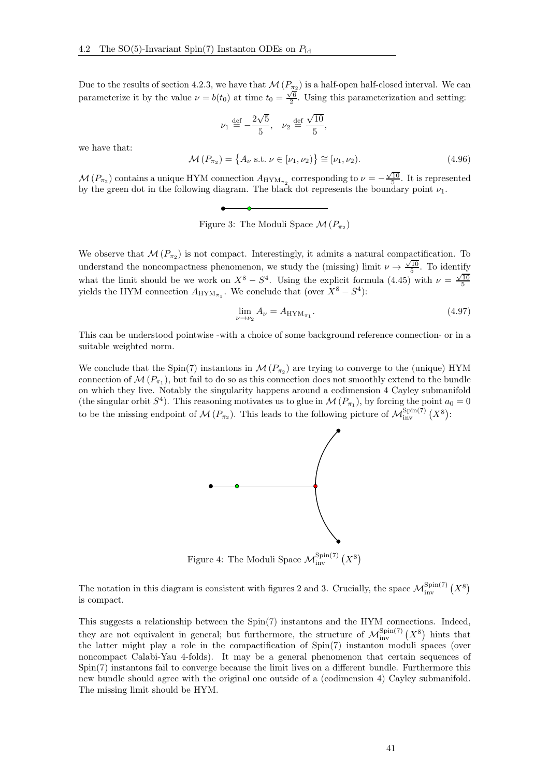Due to the results of section [4.2.3,](#page-27-0) we have that  $\mathcal{M}(P_{\pi_2})$  is a half-open half-closed interval. We can parameterize it by the value  $\nu = b(t_0)$  at time  $t_0 = \frac{\sqrt{6}}{2}$ . Using this parameterization and setting:

$$
\nu_1 \stackrel{\text{def}}{=} -\frac{2\sqrt{5}}{5}, \quad \nu_2 \stackrel{\text{def}}{=} \frac{\sqrt{10}}{5},
$$

we have that:

$$
\mathcal{M}(P_{\pi_2}) = \{A_\nu \text{ s.t. } \nu \in [\nu_1, \nu_2)\} \cong [\nu_1, \nu_2). \tag{4.96}
$$

 $\mathcal{M}(P_{\pi_2})$  contains a unique HYM connection  $A_{\text{HYM}_{\pi_2}}$  corresponding to  $\nu = -\frac{\sqrt{10}}{5}$ . It is represented by the green dot in the following diagram. The black dot represents the boundary point  $\nu_1$ .

<span id="page-40-0"></span>Figure 3: The Moduli Space  $\mathcal{M}(P_{\pi_2})$ 

We observe that  $\mathcal{M}(P_{\pi_2})$  is not compact. Interestingly, it admits a natural compactification. To understand the noncompactness phenomenon, we study the (missing) limit  $\nu \rightarrow \frac{\sqrt{10}}{5}$ . To identify what the limit should be we work on  $X^8 - S^4$ . Using the explicit formula [\(4.45\)](#page-27-2) with  $\nu = \frac{\sqrt{10}}{5}$  yields the HYM connection  $A_{\text{HYM}_{\pi_1}}$ . We conclude that (over  $X^8 - S^4$ ):

$$
\lim_{\nu \to \nu_2} A_{\nu} = A_{\text{HYM}_{\pi_1}}.\tag{4.97}
$$

This can be understood pointwise -with a choice of some background reference connection- or in a suitable weighted norm.

We conclude that the Spin(7) instantons in  $\mathcal{M}(P_{\pi_2})$  are trying to converge to the (unique) HYM connection of  $\mathcal{M}(P_{\pi_1})$ , but fail to do so as this connection does not smoothly extend to the bundle on which they live. Notably the singularity happens around a codimension 4 Cayley submanifold (the singular orbit  $S^4$ ). This reasoning motivates us to glue in  $\mathcal{M}(P_{\pi_1})$ , by forcing the point  $a_0 = 0$ to be the missing endpoint of  $\mathcal{M}(P_{\pi_2})$ . This leads to the following picture of  $\mathcal{M}_{\text{inv}}^{\text{Spin}(7)}(X^8)$ :



Figure 4: The Moduli Space  $\mathcal{M}_{\text{inv}}^{\text{Spin}(7)}$   $\left(X^8\right)$ 

The notation in this diagram is consistent with figures [2](#page-39-1) and [3.](#page-40-0) Crucially, the space  $\mathcal{M}_{\text{inv}}^{\text{Spin}(7)}$   $(X^8)$ is compact.

This suggests a relationship between the Spin(7) instantons and the HYM connections. Indeed, they are not equivalent in general; but furthermore, the structure of  $\mathcal{M}_{\text{inv}}^{\text{Spin}(7)}(X^8)$  hints that the latter might play a role in the compactification of Spin(7) instanton moduli spaces (over noncompact Calabi-Yau 4-folds). It may be a general phenomenon that certain sequences of Spin(7) instantons fail to converge because the limit lives on a different bundle. Furthermore this new bundle should agree with the original one outside of a (codimension 4) Cayley submanifold. The missing limit should be HYM.